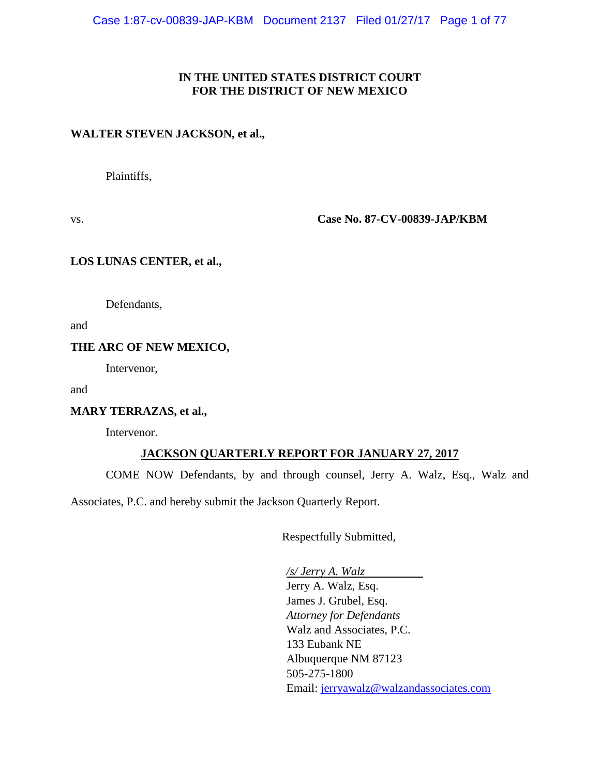## **IN THE UNITED STATES DISTRICT COURT FOR THE DISTRICT OF NEW MEXICO**

#### **WALTER STEVEN JACKSON, et al.,**

Plaintiffs,

vs. **Case No. 87-CV-00839-JAP/KBM**

## **LOS LUNAS CENTER, et al.,**

Defendants,

and

#### **THE ARC OF NEW MEXICO,**

Intervenor,

and

#### **MARY TERRAZAS, et al.,**

Intervenor.

# **JACKSON QUARTERLY REPORT FOR JANUARY 27, 2017**

COME NOW Defendants, by and through counsel, Jerry A. Walz, Esq., Walz and

Associates, P.C. and hereby submit the Jackson Quarterly Report.

Respectfully Submitted,

*/s/ Jerry A. Walz* Jerry A. Walz, Esq. James J. Grubel, Esq. *Attorney for Defendants* Walz and Associates, P.C. 133 Eubank NE Albuquerque NM 87123 505-275-1800 Email: [jerryawalz@walzandassociates.com](mailto:jerryawalz@walzandassociates.com)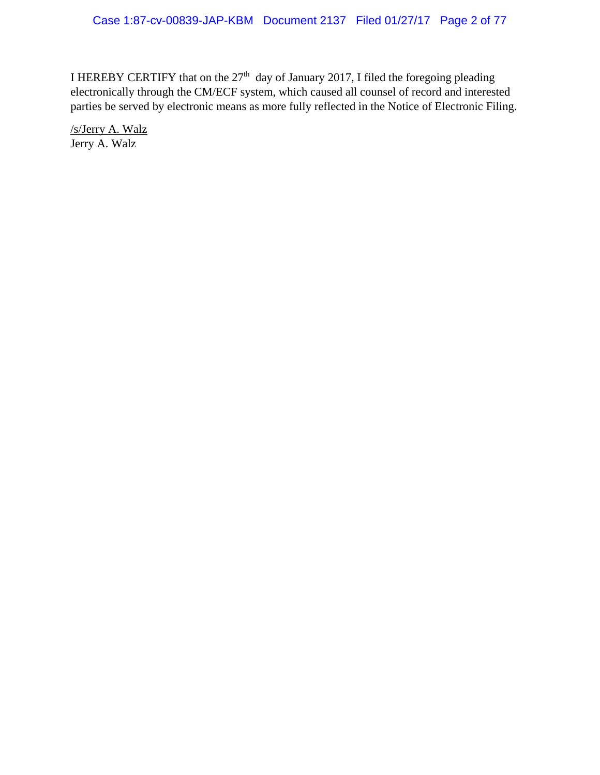I HEREBY CERTIFY that on the  $27<sup>th</sup>$  day of January 2017, I filed the foregoing pleading electronically through the CM/ECF system, which caused all counsel of record and interested parties be served by electronic means as more fully reflected in the Notice of Electronic Filing.

/s/Jerry A. Walz Jerry A. Walz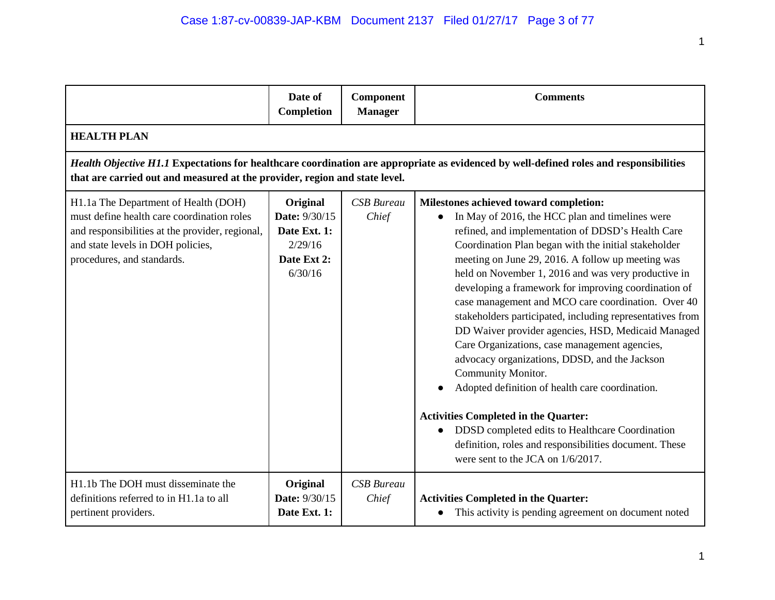|                                                                                                                                                                                                          | Date of<br>Completion                                                          | Component<br><b>Manager</b> | <b>Comments</b>                                                                                                                                                                                                                                                                                                                                                                                                                                                                                                                                                                                                                                                                                                                                                                                                                                                                                                                 |
|----------------------------------------------------------------------------------------------------------------------------------------------------------------------------------------------------------|--------------------------------------------------------------------------------|-----------------------------|---------------------------------------------------------------------------------------------------------------------------------------------------------------------------------------------------------------------------------------------------------------------------------------------------------------------------------------------------------------------------------------------------------------------------------------------------------------------------------------------------------------------------------------------------------------------------------------------------------------------------------------------------------------------------------------------------------------------------------------------------------------------------------------------------------------------------------------------------------------------------------------------------------------------------------|
| <b>HEALTH PLAN</b>                                                                                                                                                                                       |                                                                                |                             |                                                                                                                                                                                                                                                                                                                                                                                                                                                                                                                                                                                                                                                                                                                                                                                                                                                                                                                                 |
| that are carried out and measured at the provider, region and state level.                                                                                                                               |                                                                                |                             | Health Objective H1.1 Expectations for healthcare coordination are appropriate as evidenced by well-defined roles and responsibilities                                                                                                                                                                                                                                                                                                                                                                                                                                                                                                                                                                                                                                                                                                                                                                                          |
| H1.1a The Department of Health (DOH)<br>must define health care coordination roles<br>and responsibilities at the provider, regional,<br>and state levels in DOH policies,<br>procedures, and standards. | Original<br>Date: 9/30/15<br>Date Ext. 1:<br>2/29/16<br>Date Ext 2:<br>6/30/16 | <b>CSB</b> Bureau<br>Chief  | Milestones achieved toward completion:<br>In May of 2016, the HCC plan and timelines were<br>refined, and implementation of DDSD's Health Care<br>Coordination Plan began with the initial stakeholder<br>meeting on June 29, 2016. A follow up meeting was<br>held on November 1, 2016 and was very productive in<br>developing a framework for improving coordination of<br>case management and MCO care coordination. Over 40<br>stakeholders participated, including representatives from<br>DD Waiver provider agencies, HSD, Medicaid Managed<br>Care Organizations, case management agencies,<br>advocacy organizations, DDSD, and the Jackson<br>Community Monitor.<br>Adopted definition of health care coordination.<br><b>Activities Completed in the Quarter:</b><br>DDSD completed edits to Healthcare Coordination<br>definition, roles and responsibilities document. These<br>were sent to the JCA on 1/6/2017. |
| H1.1b The DOH must disseminate the<br>definitions referred to in H1.1a to all<br>pertinent providers.                                                                                                    | Original<br>Date: 9/30/15<br>Date Ext. 1:                                      | <b>CSB</b> Bureau<br>Chief  | <b>Activities Completed in the Quarter:</b><br>This activity is pending agreement on document noted                                                                                                                                                                                                                                                                                                                                                                                                                                                                                                                                                                                                                                                                                                                                                                                                                             |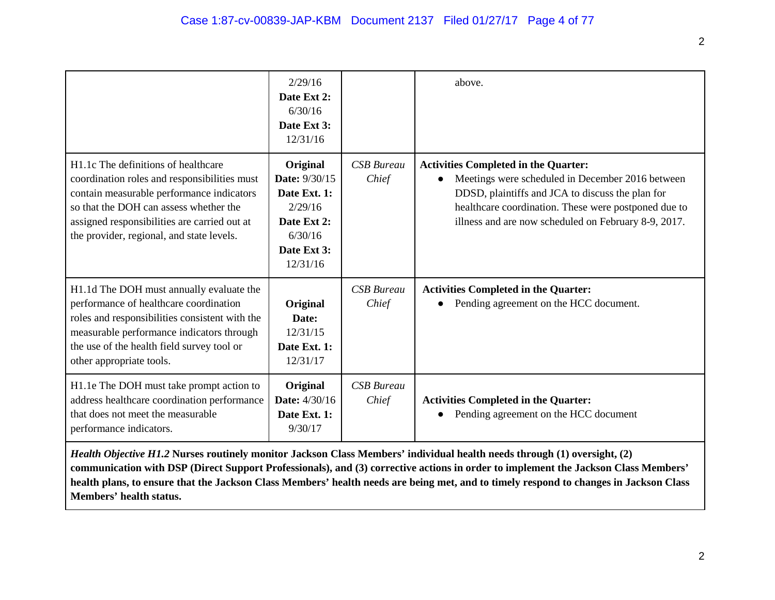|                                                                                                                                                                                                                                                                         | 2/29/16<br>Date Ext 2:<br>6/30/16<br>Date Ext 3:<br>12/31/16                                                     |                            | above.                                                                                                                                                                                                                                                              |
|-------------------------------------------------------------------------------------------------------------------------------------------------------------------------------------------------------------------------------------------------------------------------|------------------------------------------------------------------------------------------------------------------|----------------------------|---------------------------------------------------------------------------------------------------------------------------------------------------------------------------------------------------------------------------------------------------------------------|
| H1.1c The definitions of healthcare<br>coordination roles and responsibilities must<br>contain measurable performance indicators<br>so that the DOH can assess whether the<br>assigned responsibilities are carried out at<br>the provider, regional, and state levels. | Original<br><b>Date: 9/30/15</b><br>Date Ext. 1:<br>2/29/16<br>Date Ext 2:<br>6/30/16<br>Date Ext 3:<br>12/31/16 | <b>CSB</b> Bureau<br>Chief | <b>Activities Completed in the Quarter:</b><br>Meetings were scheduled in December 2016 between<br>DDSD, plaintiffs and JCA to discuss the plan for<br>healthcare coordination. These were postponed due to<br>illness and are now scheduled on February 8-9, 2017. |
| H1.1d The DOH must annually evaluate the<br>performance of healthcare coordination<br>roles and responsibilities consistent with the<br>measurable performance indicators through<br>the use of the health field survey tool or<br>other appropriate tools.             | Original<br>Date:<br>12/31/15<br>Date Ext. 1:<br>12/31/17                                                        | <b>CSB</b> Bureau<br>Chief | <b>Activities Completed in the Quarter:</b><br>Pending agreement on the HCC document.                                                                                                                                                                               |
| H1.1e The DOH must take prompt action to<br>address healthcare coordination performance<br>that does not meet the measurable<br>performance indicators.                                                                                                                 | Original<br><b>Date:</b> 4/30/16<br>Date Ext. 1:<br>9/30/17                                                      | <b>CSB</b> Bureau<br>Chief | <b>Activities Completed in the Quarter:</b><br>Pending agreement on the HCC document                                                                                                                                                                                |

*Health Objective H1.2* **Nurses routinely monitor Jackson Class Members' individual health needs through (1) oversight, (2) communication with DSP (Direct Support Professionals), and (3) corrective actions in order to implement the Jackson Class Members' health plans, to ensure that the Jackson Class Members' health needs are being met, and to timely respond to changes in Jackson Class Members' health status.**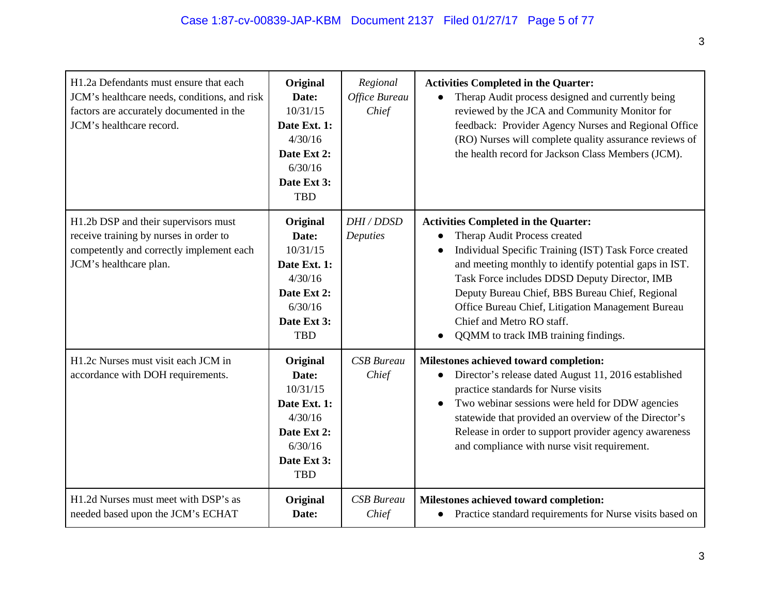| H1.2a Defendants must ensure that each<br>JCM's healthcare needs, conditions, and risk<br>factors are accurately documented in the<br>JCM's healthcare record. | Original<br>Date:<br>10/31/15<br>Date Ext. 1:<br>4/30/16<br>Date Ext 2:<br>6/30/16<br>Date Ext 3:<br><b>TBD</b> | Regional<br>Office Bureau<br>Chief | <b>Activities Completed in the Quarter:</b><br>Therap Audit process designed and currently being<br>reviewed by the JCA and Community Monitor for<br>feedback: Provider Agency Nurses and Regional Office<br>(RO) Nurses will complete quality assurance reviews of<br>the health record for Jackson Class Members (JCM).                                                                                                                 |
|----------------------------------------------------------------------------------------------------------------------------------------------------------------|-----------------------------------------------------------------------------------------------------------------|------------------------------------|-------------------------------------------------------------------------------------------------------------------------------------------------------------------------------------------------------------------------------------------------------------------------------------------------------------------------------------------------------------------------------------------------------------------------------------------|
| H1.2b DSP and their supervisors must<br>receive training by nurses in order to<br>competently and correctly implement each<br>JCM's healthcare plan.           | Original<br>Date:<br>10/31/15<br>Date Ext. 1:<br>4/30/16<br>Date Ext 2:<br>6/30/16<br>Date Ext 3:<br><b>TBD</b> | DHI / DDSD<br>Deputies             | <b>Activities Completed in the Quarter:</b><br>Therap Audit Process created<br>Individual Specific Training (IST) Task Force created<br>$\bullet$<br>and meeting monthly to identify potential gaps in IST.<br>Task Force includes DDSD Deputy Director, IMB<br>Deputy Bureau Chief, BBS Bureau Chief, Regional<br>Office Bureau Chief, Litigation Management Bureau<br>Chief and Metro RO staff.<br>QQMM to track IMB training findings. |
| H1.2c Nurses must visit each JCM in<br>accordance with DOH requirements.                                                                                       | Original<br>Date:<br>10/31/15<br>Date Ext. 1:<br>4/30/16<br>Date Ext 2:<br>6/30/16<br>Date Ext 3:<br><b>TBD</b> | <b>CSB</b> Bureau<br>Chief         | Milestones achieved toward completion:<br>Director's release dated August 11, 2016 established<br>practice standards for Nurse visits<br>Two webinar sessions were held for DDW agencies<br>$\bullet$<br>statewide that provided an overview of the Director's<br>Release in order to support provider agency awareness<br>and compliance with nurse visit requirement.                                                                   |
| H1.2d Nurses must meet with DSP's as<br>needed based upon the JCM's ECHAT                                                                                      | Original<br>Date:                                                                                               | <b>CSB</b> Bureau<br>Chief         | Milestones achieved toward completion:<br>Practice standard requirements for Nurse visits based on<br>$\bullet$                                                                                                                                                                                                                                                                                                                           |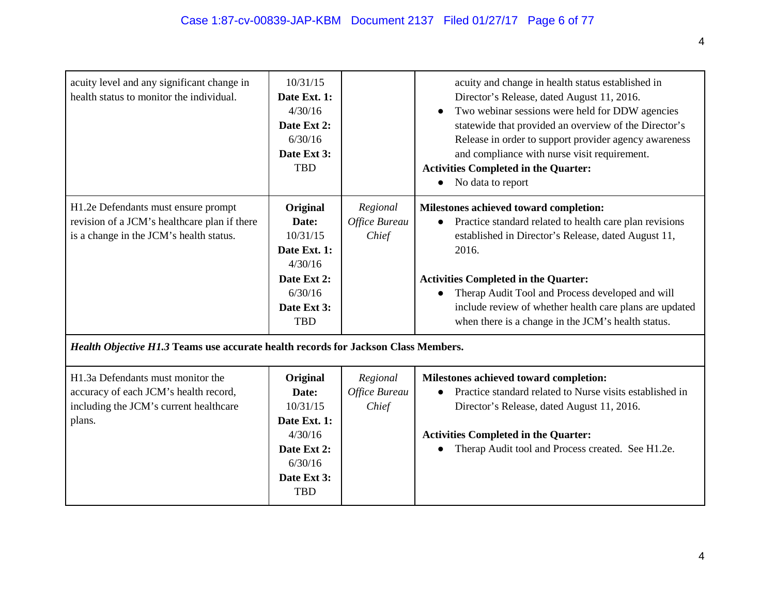| acuity level and any significant change in<br>health status to monitor the individual. | 10/31/15<br>Date Ext. 1:<br>4/30/16<br>Date Ext 2:<br>6/30/16 |               | acuity and change in health status established in<br>Director's Release, dated August 11, 2016.<br>Two webinar sessions were held for DDW agencies<br>statewide that provided an overview of the Director's<br>Release in order to support provider agency awareness |
|----------------------------------------------------------------------------------------|---------------------------------------------------------------|---------------|----------------------------------------------------------------------------------------------------------------------------------------------------------------------------------------------------------------------------------------------------------------------|
|                                                                                        | Date Ext 3:                                                   |               | and compliance with nurse visit requirement.                                                                                                                                                                                                                         |
|                                                                                        | <b>TBD</b>                                                    |               | <b>Activities Completed in the Quarter:</b>                                                                                                                                                                                                                          |
|                                                                                        |                                                               |               | No data to report                                                                                                                                                                                                                                                    |
| H1.2e Defendants must ensure prompt                                                    | Original                                                      | Regional      | Milestones achieved toward completion:                                                                                                                                                                                                                               |
| revision of a JCM's healthcare plan if there                                           | Date:                                                         | Office Bureau | Practice standard related to health care plan revisions                                                                                                                                                                                                              |
| is a change in the JCM's health status.                                                | 10/31/15<br>Date Ext. 1:                                      | Chief         | established in Director's Release, dated August 11,<br>2016.                                                                                                                                                                                                         |
|                                                                                        | 4/30/16                                                       |               |                                                                                                                                                                                                                                                                      |
|                                                                                        | Date Ext 2:                                                   |               | <b>Activities Completed in the Quarter:</b>                                                                                                                                                                                                                          |
|                                                                                        | 6/30/16                                                       |               | Therap Audit Tool and Process developed and will                                                                                                                                                                                                                     |
|                                                                                        | Date Ext 3:<br><b>TBD</b>                                     |               | include review of whether health care plans are updated<br>when there is a change in the JCM's health status.                                                                                                                                                        |
| Health Objective H1.3 Teams use accurate health records for Jackson Class Members.     |                                                               |               |                                                                                                                                                                                                                                                                      |
| H1.3a Defendants must monitor the                                                      | Original                                                      | Regional      | Milestones achieved toward completion:                                                                                                                                                                                                                               |
| accuracy of each JCM's health record,                                                  | Date:                                                         | Office Bureau | Practice standard related to Nurse visits established in                                                                                                                                                                                                             |
| including the JCM's current healthcare                                                 | 10/31/15                                                      | Chief         | Director's Release, dated August 11, 2016.                                                                                                                                                                                                                           |
| plans.                                                                                 | Date Ext. 1:<br>4/30/16                                       |               |                                                                                                                                                                                                                                                                      |
|                                                                                        | Date Ext 2:                                                   |               | <b>Activities Completed in the Quarter:</b><br>Therap Audit tool and Process created. See H1.2e.                                                                                                                                                                     |
|                                                                                        | 6/30/16                                                       |               |                                                                                                                                                                                                                                                                      |
|                                                                                        | Date Ext 3:                                                   |               |                                                                                                                                                                                                                                                                      |
|                                                                                        | <b>TBD</b>                                                    |               |                                                                                                                                                                                                                                                                      |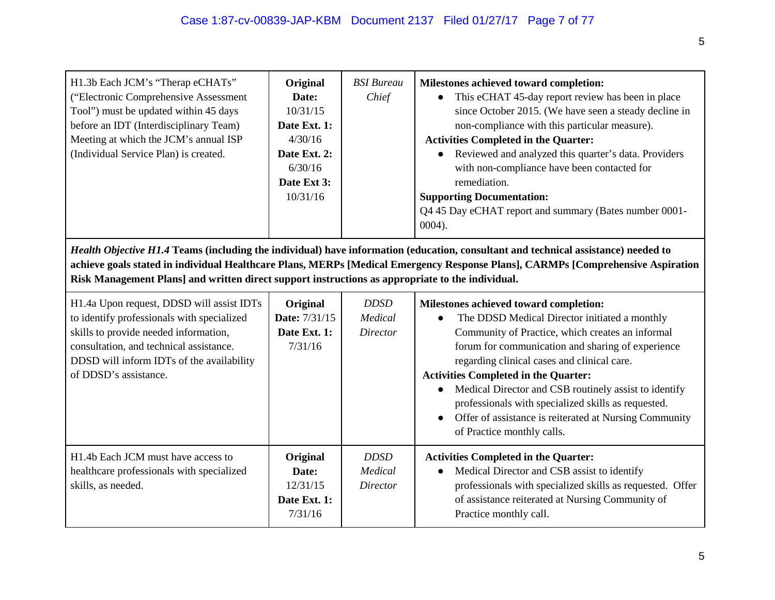| H1.3b Each JCM's "Therap eCHATs"<br>("Electronic Comprehensive Assessment<br>Tool") must be updated within 45 days<br>before an IDT (Interdisciplinary Team)<br>Meeting at which the JCM's annual ISP<br>(Individual Service Plan) is created.                                                                                                                            | Original<br>Date:<br>10/31/15<br>Date Ext. 1:<br>4/30/16<br>Date Ext. 2:<br>6/30/16<br>Date Ext 3:<br>10/31/16 | <b>BSI</b> Bureau<br>Chief                | Milestones achieved toward completion:<br>This eCHAT 45-day report review has been in place<br>$\bullet$<br>since October 2015. (We have seen a steady decline in<br>non-compliance with this particular measure).<br><b>Activities Completed in the Quarter:</b><br>Reviewed and analyzed this quarter's data. Providers<br>$\bullet$<br>with non-compliance have been contacted for<br>remediation.<br><b>Supporting Documentation:</b><br>Q4 45 Day eCHAT report and summary (Bates number 0001-<br>$0004$ ). |  |  |
|---------------------------------------------------------------------------------------------------------------------------------------------------------------------------------------------------------------------------------------------------------------------------------------------------------------------------------------------------------------------------|----------------------------------------------------------------------------------------------------------------|-------------------------------------------|------------------------------------------------------------------------------------------------------------------------------------------------------------------------------------------------------------------------------------------------------------------------------------------------------------------------------------------------------------------------------------------------------------------------------------------------------------------------------------------------------------------|--|--|
| Health Objective H1.4 Teams (including the individual) have information (education, consultant and technical assistance) needed to<br>achieve goals stated in individual Healthcare Plans, MERPs [Medical Emergency Response Plans], CARMPs [Comprehensive Aspiration<br>Risk Management Plans] and written direct support instructions as appropriate to the individual. |                                                                                                                |                                           |                                                                                                                                                                                                                                                                                                                                                                                                                                                                                                                  |  |  |
| H1.4a Upon request, DDSD will assist IDTs<br>to identify professionals with specialized<br>skills to provide needed information,<br>consultation, and technical assistance.<br>DDSD will inform IDTs of the availability<br>of DDSD's assistance.                                                                                                                         | Original<br>Date: 7/31/15<br>Date Ext. 1:<br>7/31/16                                                           | <b>DDSD</b><br>Medical<br><b>Director</b> | Milestones achieved toward completion:<br>The DDSD Medical Director initiated a monthly<br>Community of Practice, which creates an informal<br>forum for communication and sharing of experience<br>regarding clinical cases and clinical care.<br><b>Activities Completed in the Quarter:</b><br>Medical Director and CSB routinely assist to identify<br>professionals with specialized skills as requested.<br>Offer of assistance is reiterated at Nursing Community<br>of Practice monthly calls.           |  |  |
| H1.4b Each JCM must have access to<br>healthcare professionals with specialized<br>skills, as needed.                                                                                                                                                                                                                                                                     | Original<br>Date:<br>12/31/15<br>Date Ext. 1:<br>7/31/16                                                       | <b>DDSD</b><br>Medical<br><b>Director</b> | <b>Activities Completed in the Quarter:</b><br>Medical Director and CSB assist to identify<br>$\bullet$<br>professionals with specialized skills as requested. Offer<br>of assistance reiterated at Nursing Community of<br>Practice monthly call.                                                                                                                                                                                                                                                               |  |  |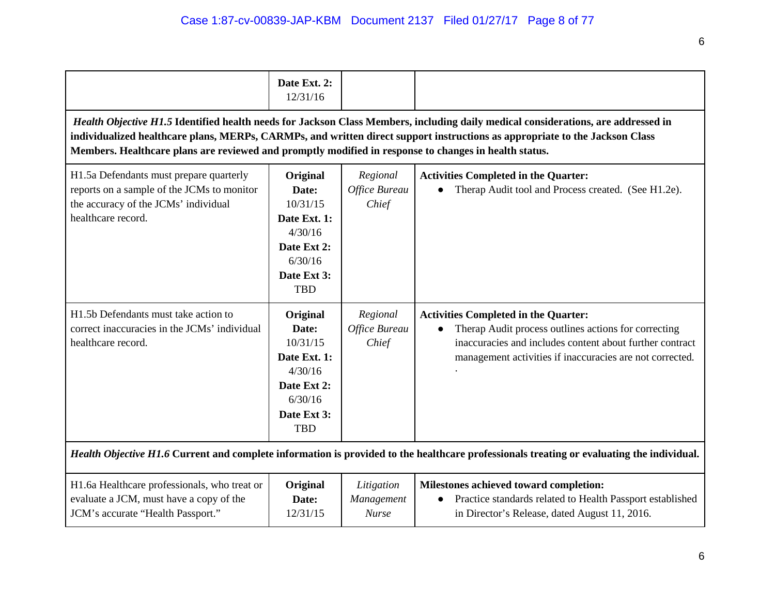|                                                                                                                                                                                                                                                                                                                                                                           | Date Ext. 2:<br>12/31/16                                                                                        |                                          |                                                                                                                                                                                                                             |  |  |
|---------------------------------------------------------------------------------------------------------------------------------------------------------------------------------------------------------------------------------------------------------------------------------------------------------------------------------------------------------------------------|-----------------------------------------------------------------------------------------------------------------|------------------------------------------|-----------------------------------------------------------------------------------------------------------------------------------------------------------------------------------------------------------------------------|--|--|
| Health Objective H1.5 Identified health needs for Jackson Class Members, including daily medical considerations, are addressed in<br>individualized healthcare plans, MERPs, CARMPs, and written direct support instructions as appropriate to the Jackson Class<br>Members. Healthcare plans are reviewed and promptly modified in response to changes in health status. |                                                                                                                 |                                          |                                                                                                                                                                                                                             |  |  |
| H1.5a Defendants must prepare quarterly<br>reports on a sample of the JCMs to monitor<br>the accuracy of the JCMs' individual<br>healthcare record.                                                                                                                                                                                                                       | Original<br>Date:<br>10/31/15<br>Date Ext. 1:<br>4/30/16<br>Date Ext 2:<br>6/30/16<br>Date Ext 3:<br><b>TBD</b> | Regional<br>Office Bureau<br>Chief       | <b>Activities Completed in the Quarter:</b><br>Therap Audit tool and Process created. (See H1.2e).                                                                                                                          |  |  |
| H1.5b Defendants must take action to<br>correct inaccuracies in the JCMs' individual<br>healthcare record.                                                                                                                                                                                                                                                                | Original<br>Date:<br>10/31/15<br>Date Ext. 1:<br>4/30/16<br>Date Ext 2:<br>6/30/16<br>Date Ext 3:<br><b>TBD</b> | Regional<br>Office Bureau<br>Chief       | <b>Activities Completed in the Quarter:</b><br>Therap Audit process outlines actions for correcting<br>inaccuracies and includes content about further contract<br>management activities if inaccuracies are not corrected. |  |  |
|                                                                                                                                                                                                                                                                                                                                                                           |                                                                                                                 |                                          | Health Objective H1.6 Current and complete information is provided to the healthcare professionals treating or evaluating the individual.                                                                                   |  |  |
| H1.6a Healthcare professionals, who treat or<br>evaluate a JCM, must have a copy of the<br>JCM's accurate "Health Passport."                                                                                                                                                                                                                                              | Original<br>Date:<br>12/31/15                                                                                   | Litigation<br>Management<br><b>Nurse</b> | Milestones achieved toward completion:<br>Practice standards related to Health Passport established<br>in Director's Release, dated August 11, 2016.                                                                        |  |  |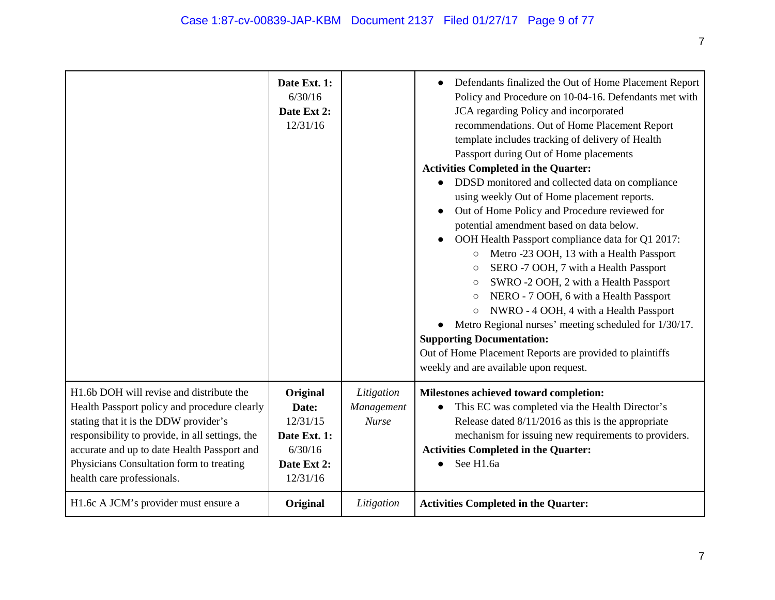|                                                                                                                                                                                                                                                                                                               | Date Ext. 1:<br>6/30/16<br>Date Ext 2:<br>12/31/16                                  |                                          | Defendants finalized the Out of Home Placement Report<br>$\bullet$<br>Policy and Procedure on 10-04-16. Defendants met with<br>JCA regarding Policy and incorporated<br>recommendations. Out of Home Placement Report<br>template includes tracking of delivery of Health<br>Passport during Out of Home placements<br><b>Activities Completed in the Quarter:</b><br>DDSD monitored and collected data on compliance<br>using weekly Out of Home placement reports.<br>Out of Home Policy and Procedure reviewed for<br>potential amendment based on data below.<br>OOH Health Passport compliance data for Q1 2017:<br>Metro -23 OOH, 13 with a Health Passport<br>$\bigcirc$<br>SERO -7 OOH, 7 with a Health Passport<br>$\bigcirc$<br>SWRO -2 OOH, 2 with a Health Passport<br>$\circlearrowright$<br>NERO - 7 OOH, 6 with a Health Passport<br>$\circ$<br>NWRO - 4 OOH, 4 with a Health Passport<br>$\bigcirc$<br>Metro Regional nurses' meeting scheduled for 1/30/17.<br><b>Supporting Documentation:</b><br>Out of Home Placement Reports are provided to plaintiffs<br>weekly and are available upon request. |
|---------------------------------------------------------------------------------------------------------------------------------------------------------------------------------------------------------------------------------------------------------------------------------------------------------------|-------------------------------------------------------------------------------------|------------------------------------------|------------------------------------------------------------------------------------------------------------------------------------------------------------------------------------------------------------------------------------------------------------------------------------------------------------------------------------------------------------------------------------------------------------------------------------------------------------------------------------------------------------------------------------------------------------------------------------------------------------------------------------------------------------------------------------------------------------------------------------------------------------------------------------------------------------------------------------------------------------------------------------------------------------------------------------------------------------------------------------------------------------------------------------------------------------------------------------------------------------------------|
| H1.6b DOH will revise and distribute the<br>Health Passport policy and procedure clearly<br>stating that it is the DDW provider's<br>responsibility to provide, in all settings, the<br>accurate and up to date Health Passport and<br>Physicians Consultation form to treating<br>health care professionals. | Original<br>Date:<br>12/31/15<br>Date Ext. 1:<br>6/30/16<br>Date Ext 2:<br>12/31/16 | Litigation<br>Management<br><b>Nurse</b> | Milestones achieved toward completion:<br>This EC was completed via the Health Director's<br>Release dated $8/11/2016$ as this is the appropriate<br>mechanism for issuing new requirements to providers.<br><b>Activities Completed in the Quarter:</b><br>See H1.6a                                                                                                                                                                                                                                                                                                                                                                                                                                                                                                                                                                                                                                                                                                                                                                                                                                                  |
| H1.6c A JCM's provider must ensure a                                                                                                                                                                                                                                                                          | Original                                                                            | Litigation                               | <b>Activities Completed in the Quarter:</b>                                                                                                                                                                                                                                                                                                                                                                                                                                                                                                                                                                                                                                                                                                                                                                                                                                                                                                                                                                                                                                                                            |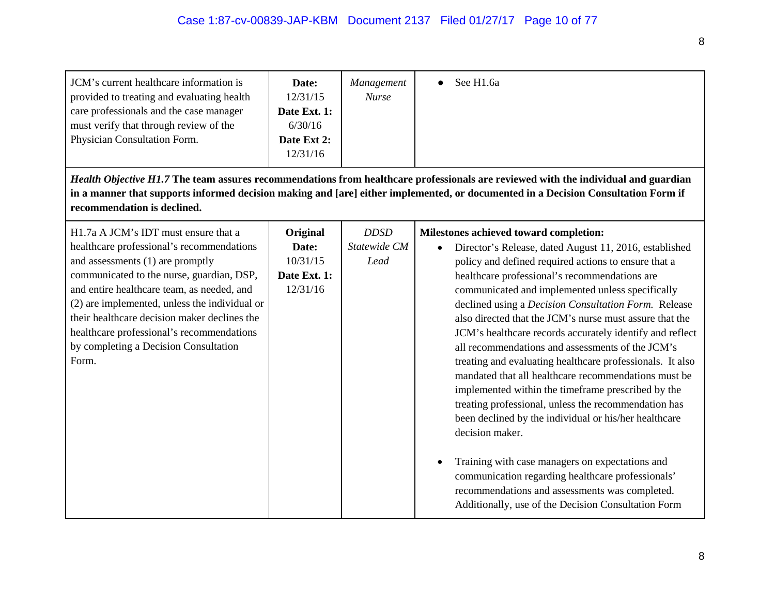| JCM's current healthcare information is<br>provided to treating and evaluating health<br>care professionals and the case manager<br>must verify that through review of the<br>Physician Consultation Form.                                                                                                                                                                                                       | Date:<br>12/31/15<br>Date Ext. 1:<br>6/30/16<br>Date Ext 2:<br>12/31/16 | Management<br><b>Nurse</b>          | See H1.6a                                                                                                                                                                                                                                                                                                                                                                                                                                                                                                                                                                                                                                                                                                                                                                                                                                                                                                                       |
|------------------------------------------------------------------------------------------------------------------------------------------------------------------------------------------------------------------------------------------------------------------------------------------------------------------------------------------------------------------------------------------------------------------|-------------------------------------------------------------------------|-------------------------------------|---------------------------------------------------------------------------------------------------------------------------------------------------------------------------------------------------------------------------------------------------------------------------------------------------------------------------------------------------------------------------------------------------------------------------------------------------------------------------------------------------------------------------------------------------------------------------------------------------------------------------------------------------------------------------------------------------------------------------------------------------------------------------------------------------------------------------------------------------------------------------------------------------------------------------------|
| recommendation is declined.                                                                                                                                                                                                                                                                                                                                                                                      |                                                                         |                                     | Health Objective H1.7 The team assures recommendations from healthcare professionals are reviewed with the individual and guardian<br>in a manner that supports informed decision making and [are] either implemented, or documented in a Decision Consultation Form if                                                                                                                                                                                                                                                                                                                                                                                                                                                                                                                                                                                                                                                         |
| H1.7a A JCM's IDT must ensure that a<br>healthcare professional's recommendations<br>and assessments (1) are promptly<br>communicated to the nurse, guardian, DSP,<br>and entire healthcare team, as needed, and<br>(2) are implemented, unless the individual or<br>their healthcare decision maker declines the<br>healthcare professional's recommendations<br>by completing a Decision Consultation<br>Form. | Original<br>Date:<br>10/31/15<br>Date Ext. 1:<br>12/31/16               | <b>DDSD</b><br>Statewide CM<br>Lead | Milestones achieved toward completion:<br>Director's Release, dated August 11, 2016, established<br>policy and defined required actions to ensure that a<br>healthcare professional's recommendations are<br>communicated and implemented unless specifically<br>declined using a <i>Decision Consultation Form</i> . Release<br>also directed that the JCM's nurse must assure that the<br>JCM's healthcare records accurately identify and reflect<br>all recommendations and assessments of the JCM's<br>treating and evaluating healthcare professionals. It also<br>mandated that all healthcare recommendations must be<br>implemented within the timeframe prescribed by the<br>treating professional, unless the recommendation has<br>been declined by the individual or his/her healthcare<br>decision maker.<br>Training with case managers on expectations and<br>communication regarding healthcare professionals' |

recommendations and assessments was completed. Additionally, use of the Decision Consultation Form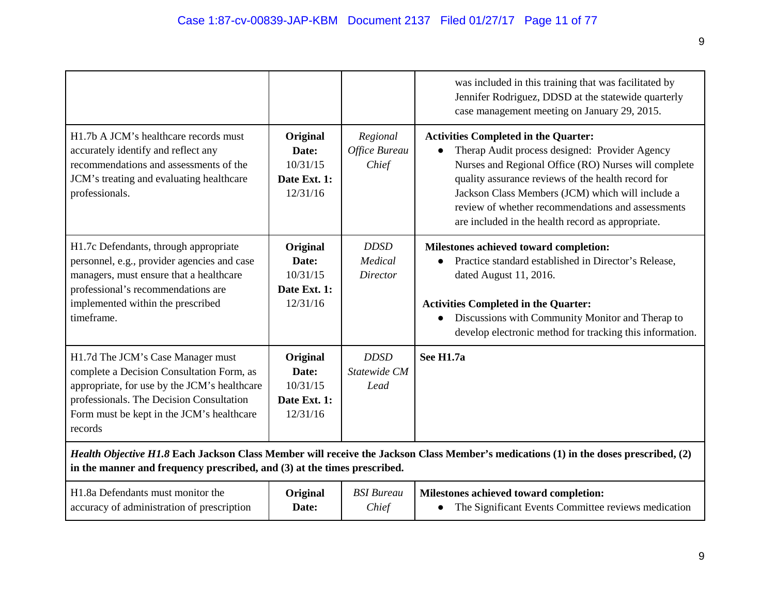|                                                                                                                                                                                                                                    |                                                           |                                           | was included in this training that was facilitated by<br>Jennifer Rodriguez, DDSD at the statewide quarterly<br>case management meeting on January 29, 2015.                                                                                                                                                                                                              |  |
|------------------------------------------------------------------------------------------------------------------------------------------------------------------------------------------------------------------------------------|-----------------------------------------------------------|-------------------------------------------|---------------------------------------------------------------------------------------------------------------------------------------------------------------------------------------------------------------------------------------------------------------------------------------------------------------------------------------------------------------------------|--|
| H1.7b A JCM's healthcare records must<br>accurately identify and reflect any<br>recommendations and assessments of the<br>JCM's treating and evaluating healthcare<br>professionals.                                               | Original<br>Date:<br>10/31/15<br>Date Ext. 1:<br>12/31/16 | Regional<br>Office Bureau<br>Chief        | <b>Activities Completed in the Quarter:</b><br>Therap Audit process designed: Provider Agency<br>Nurses and Regional Office (RO) Nurses will complete<br>quality assurance reviews of the health record for<br>Jackson Class Members (JCM) which will include a<br>review of whether recommendations and assessments<br>are included in the health record as appropriate. |  |
| H1.7c Defendants, through appropriate<br>personnel, e.g., provider agencies and case<br>managers, must ensure that a healthcare<br>professional's recommendations are<br>implemented within the prescribed<br>timeframe.           | Original<br>Date:<br>10/31/15<br>Date Ext. 1:<br>12/31/16 | <b>DDSD</b><br>Medical<br><b>Director</b> | Milestones achieved toward completion:<br>Practice standard established in Director's Release,<br>dated August 11, 2016.<br><b>Activities Completed in the Quarter:</b><br>Discussions with Community Monitor and Therap to<br>$\bullet$<br>develop electronic method for tracking this information.                                                                      |  |
| H1.7d The JCM's Case Manager must<br>complete a Decision Consultation Form, as<br>appropriate, for use by the JCM's healthcare<br>professionals. The Decision Consultation<br>Form must be kept in the JCM's healthcare<br>records | Original<br>Date:<br>10/31/15<br>Date Ext. 1:<br>12/31/16 | <b>DDSD</b><br>Statewide CM<br>Lead       | See H1.7a                                                                                                                                                                                                                                                                                                                                                                 |  |
| Health Objective H1.8 Each Jackson Class Member will receive the Jackson Class Member's medications (1) in the doses prescribed, (2)<br>in the manner and frequency prescribed, and (3) at the times prescribed.                   |                                                           |                                           |                                                                                                                                                                                                                                                                                                                                                                           |  |
| H1.8a Defendants must monitor the<br>accuracy of administration of prescription                                                                                                                                                    | Original<br>Date:                                         | <b>BSI</b> Bureau<br>Chief                | Milestones achieved toward completion:<br>The Significant Events Committee reviews medication<br>$\bullet$                                                                                                                                                                                                                                                                |  |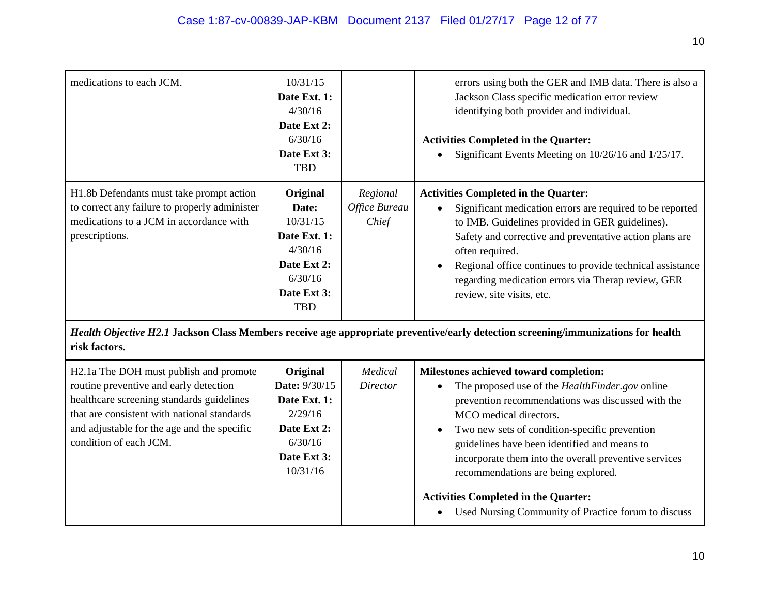| medications to each JCM.                                                                                                                               | 10/31/15<br>Date Ext. 1:<br>4/30/16<br>Date Ext 2:<br>6/30/16<br>Date Ext 3:<br><b>TBD</b>                      |                                    | errors using both the GER and IMB data. There is also a<br>Jackson Class specific medication error review<br>identifying both provider and individual.<br><b>Activities Completed in the Quarter:</b><br>Significant Events Meeting on 10/26/16 and 1/25/17.                                                                                                                              |  |
|--------------------------------------------------------------------------------------------------------------------------------------------------------|-----------------------------------------------------------------------------------------------------------------|------------------------------------|-------------------------------------------------------------------------------------------------------------------------------------------------------------------------------------------------------------------------------------------------------------------------------------------------------------------------------------------------------------------------------------------|--|
| H1.8b Defendants must take prompt action<br>to correct any failure to properly administer<br>medications to a JCM in accordance with<br>prescriptions. | Original<br>Date:<br>10/31/15<br>Date Ext. 1:<br>4/30/16<br>Date Ext 2:<br>6/30/16<br>Date Ext 3:<br><b>TBD</b> | Regional<br>Office Bureau<br>Chief | <b>Activities Completed in the Quarter:</b><br>Significant medication errors are required to be reported<br>to IMB. Guidelines provided in GER guidelines).<br>Safety and corrective and preventative action plans are<br>often required.<br>Regional office continues to provide technical assistance<br>regarding medication errors via Therap review, GER<br>review, site visits, etc. |  |
| Health Objective H2.1 Jackson Class Members receive age appropriate preventive/early detection screening/immunizations for health<br>risk factors.     |                                                                                                                 |                                    |                                                                                                                                                                                                                                                                                                                                                                                           |  |
| $\mathbf{H}$ 1. The DOII and soll be a large set                                                                                                       | $\mathbf{Q}$ $\mathbf{Q}$ $\mathbf{Q}$ $\mathbf{Q}$ $\mathbf{Q}$ $\mathbf{Q}$ $\mathbf{Q}$                      | $\overline{11}$                    |                                                                                                                                                                                                                                                                                                                                                                                           |  |

| H <sub>2</sub> .1a The DOH must publish and promote | Original             | Medical  | Milestones achieved toward completion:                                                             |
|-----------------------------------------------------|----------------------|----------|----------------------------------------------------------------------------------------------------|
| routine preventive and early detection              | <b>Date:</b> 9/30/15 | Director | The proposed use of the <i>HealthFinder, gov</i> online                                            |
| healthcare screening standards guidelines           | Date Ext. 1:         |          | prevention recommendations was discussed with the                                                  |
| that are consistent with national standards         | 2/29/16              |          | MCO medical directors.                                                                             |
| and adjustable for the age and the specific         | Date Ext 2:          |          | Two new sets of condition-specific prevention                                                      |
| condition of each JCM.                              | 6/30/16              |          | guidelines have been identified and means to                                                       |
|                                                     | Date Ext 3:          |          | incorporate them into the overall preventive services                                              |
|                                                     | 10/31/16             |          | recommendations are being explored.                                                                |
|                                                     |                      |          | <b>Activities Completed in the Quarter:</b><br>Used Nursing Community of Practice forum to discuss |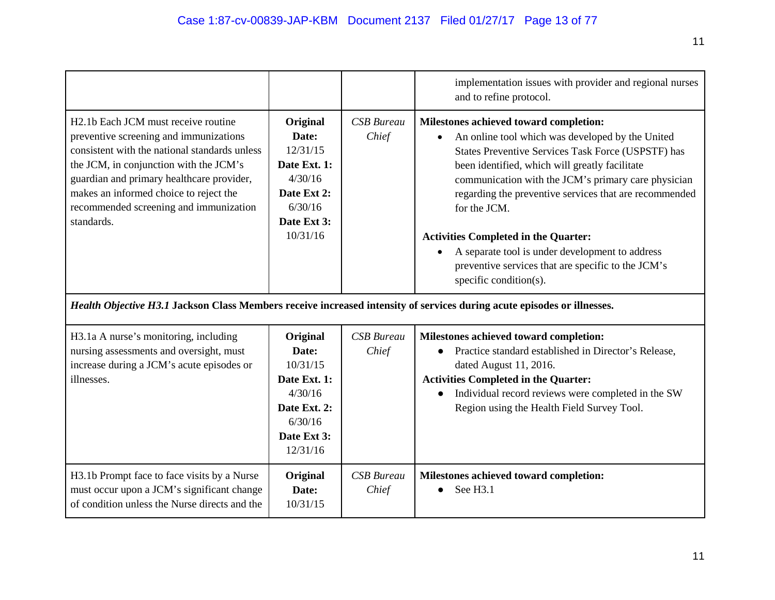|                                                                                                                                                                                                                                                                                                                                      |                                                                                                                |                            | implementation issues with provider and regional nurses<br>and to refine protocol.                                                                                                                                                                                                                                                                                                                                                                                                                                    |
|--------------------------------------------------------------------------------------------------------------------------------------------------------------------------------------------------------------------------------------------------------------------------------------------------------------------------------------|----------------------------------------------------------------------------------------------------------------|----------------------------|-----------------------------------------------------------------------------------------------------------------------------------------------------------------------------------------------------------------------------------------------------------------------------------------------------------------------------------------------------------------------------------------------------------------------------------------------------------------------------------------------------------------------|
| H <sub>2.1</sub> b Each JCM must receive routine<br>preventive screening and immunizations<br>consistent with the national standards unless<br>the JCM, in conjunction with the JCM's<br>guardian and primary healthcare provider,<br>makes an informed choice to reject the<br>recommended screening and immunization<br>standards. | Original<br>Date:<br>12/31/15<br>Date Ext. 1:<br>4/30/16<br>Date Ext 2:<br>6/30/16<br>Date Ext 3:<br>10/31/16  | <b>CSB</b> Bureau<br>Chief | Milestones achieved toward completion:<br>An online tool which was developed by the United<br>States Preventive Services Task Force (USPSTF) has<br>been identified, which will greatly facilitate<br>communication with the JCM's primary care physician<br>regarding the preventive services that are recommended<br>for the JCM.<br><b>Activities Completed in the Quarter:</b><br>A separate tool is under development to address<br>preventive services that are specific to the JCM's<br>specific condition(s). |
|                                                                                                                                                                                                                                                                                                                                      |                                                                                                                |                            | Health Objective H3.1 Jackson Class Members receive increased intensity of services during acute episodes or illnesses.                                                                                                                                                                                                                                                                                                                                                                                               |
| H3.1a A nurse's monitoring, including<br>nursing assessments and oversight, must<br>increase during a JCM's acute episodes or<br>illnesses.                                                                                                                                                                                          | Original<br>Date:<br>10/31/15<br>Date Ext. 1:<br>4/30/16<br>Date Ext. 2:<br>6/30/16<br>Date Ext 3:<br>12/31/16 | <b>CSB</b> Bureau<br>Chief | Milestones achieved toward completion:<br>Practice standard established in Director's Release,<br>dated August 11, 2016.<br><b>Activities Completed in the Quarter:</b><br>Individual record reviews were completed in the SW<br>Region using the Health Field Survey Tool.                                                                                                                                                                                                                                           |
| H3.1b Prompt face to face visits by a Nurse<br>must occur upon a JCM's significant change<br>of condition unless the Nurse directs and the                                                                                                                                                                                           | Original<br>Date:<br>10/31/15                                                                                  | <b>CSB</b> Bureau<br>Chief | Milestones achieved toward completion:<br>See H3.1                                                                                                                                                                                                                                                                                                                                                                                                                                                                    |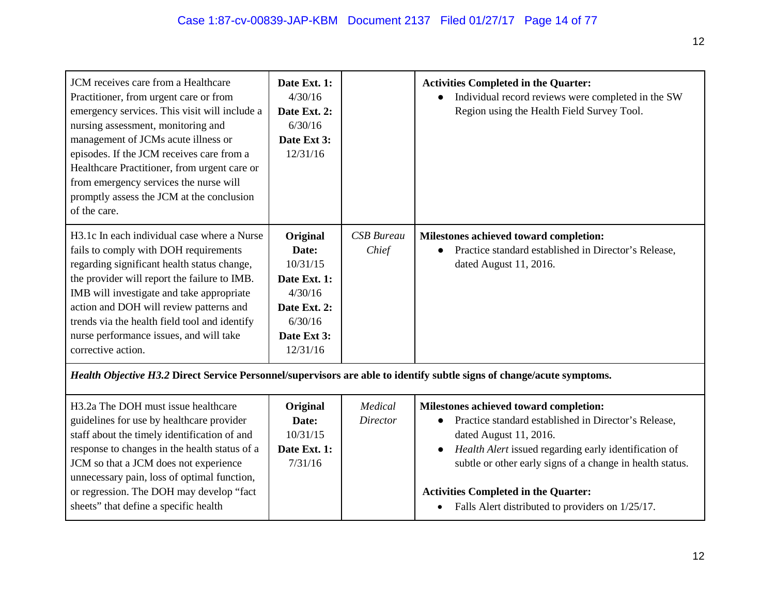| JCM receives care from a Healthcare<br>Practitioner, from urgent care or from<br>emergency services. This visit will include a<br>nursing assessment, monitoring and<br>management of JCMs acute illness or<br>episodes. If the JCM receives care from a<br>Healthcare Practitioner, from urgent care or<br>from emergency services the nurse will<br>promptly assess the JCM at the conclusion<br>of the care. | Date Ext. 1:<br>4/30/16<br>Date Ext. 2:<br>6/30/16<br>Date Ext 3:<br>12/31/16                                  |                            | <b>Activities Completed in the Quarter:</b><br>Individual record reviews were completed in the SW<br>Region using the Health Field Survey Tool.                                   |
|-----------------------------------------------------------------------------------------------------------------------------------------------------------------------------------------------------------------------------------------------------------------------------------------------------------------------------------------------------------------------------------------------------------------|----------------------------------------------------------------------------------------------------------------|----------------------------|-----------------------------------------------------------------------------------------------------------------------------------------------------------------------------------|
| H3.1c In each individual case where a Nurse<br>fails to comply with DOH requirements<br>regarding significant health status change,<br>the provider will report the failure to IMB.<br>IMB will investigate and take appropriate<br>action and DOH will review patterns and<br>trends via the health field tool and identify<br>nurse performance issues, and will take<br>corrective action.                   | Original<br>Date:<br>10/31/15<br>Date Ext. 1:<br>4/30/16<br>Date Ext. 2:<br>6/30/16<br>Date Ext 3:<br>12/31/16 | <b>CSB</b> Bureau<br>Chief | Milestones achieved toward completion:<br>Practice standard established in Director's Release,<br>dated August 11, 2016.                                                          |
| Health Objective H3.2 Direct Service Personnel/supervisors are able to identify subtle signs of change/acute symptoms.                                                                                                                                                                                                                                                                                          |                                                                                                                |                            |                                                                                                                                                                                   |
| H <sub>3</sub> .2a The DOH must issue healthcare<br>guidelines for use by healthcare provider<br>staff about the timely identification of and<br>response to changes in the health status of a                                                                                                                                                                                                                  | Original<br>Date:<br>10/31/15<br>Date Ext. 1:                                                                  | Medical<br>Director        | Milestones achieved toward completion:<br>Practice standard established in Director's Release,<br>dated August 11, 2016.<br>Health Alert issued regarding early identification of |

● *Health Alert* issued regarding early identification of subtle or other early signs of a change in health status.

| unnecessary pain, loss of optimal function, |  |                                                  |
|---------------------------------------------|--|--------------------------------------------------|
| or regression. The DOH may develop "fact    |  | <b>Activities Completed in the Quarter:</b>      |
| sheets" that define a specific health       |  | Falls Alert distributed to providers on 1/25/17. |

7/31/16

JCM so that a JCM does not experience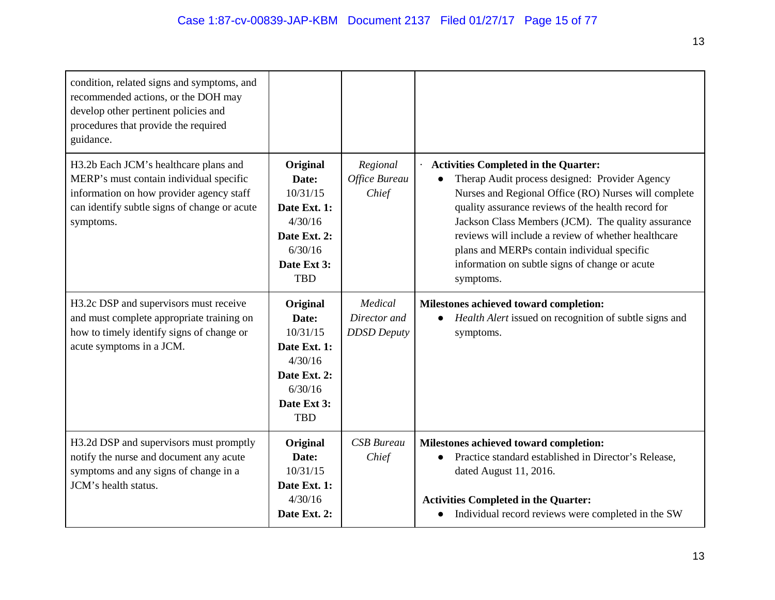| condition, related signs and symptoms, and<br>recommended actions, or the DOH may<br>develop other pertinent policies and<br>procedures that provide the required<br>guidance.            |                                                                                                                  |                                               |                                                                                                                                                                                                                                                                                                                                                                                                                                        |
|-------------------------------------------------------------------------------------------------------------------------------------------------------------------------------------------|------------------------------------------------------------------------------------------------------------------|-----------------------------------------------|----------------------------------------------------------------------------------------------------------------------------------------------------------------------------------------------------------------------------------------------------------------------------------------------------------------------------------------------------------------------------------------------------------------------------------------|
| H3.2b Each JCM's healthcare plans and<br>MERP's must contain individual specific<br>information on how provider agency staff<br>can identify subtle signs of change or acute<br>symptoms. | Original<br>Date:<br>10/31/15<br>Date Ext. 1:<br>4/30/16<br>Date Ext. 2:<br>6/30/16<br>Date Ext 3:<br><b>TBD</b> | Regional<br>Office Bureau<br>Chief            | <b>Activities Completed in the Quarter:</b><br>Therap Audit process designed: Provider Agency<br>Nurses and Regional Office (RO) Nurses will complete<br>quality assurance reviews of the health record for<br>Jackson Class Members (JCM). The quality assurance<br>reviews will include a review of whether healthcare<br>plans and MERPs contain individual specific<br>information on subtle signs of change or acute<br>symptoms. |
| H3.2c DSP and supervisors must receive<br>and must complete appropriate training on<br>how to timely identify signs of change or<br>acute symptoms in a JCM.                              | Original<br>Date:<br>10/31/15<br>Date Ext. 1:<br>4/30/16<br>Date Ext. 2:<br>6/30/16<br>Date Ext 3:<br><b>TBD</b> | Medical<br>Director and<br><b>DDSD</b> Deputy | Milestones achieved toward completion:<br>Health Alert issued on recognition of subtle signs and<br>symptoms.                                                                                                                                                                                                                                                                                                                          |
| H3.2d DSP and supervisors must promptly<br>notify the nurse and document any acute<br>symptoms and any signs of change in a<br>JCM's health status.                                       | Original<br>Date:<br>10/31/15<br>Date Ext. 1:<br>4/30/16<br>Date Ext. 2:                                         | <b>CSB</b> Bureau<br>Chief                    | Milestones achieved toward completion:<br>Practice standard established in Director's Release,<br>dated August 11, 2016.<br><b>Activities Completed in the Quarter:</b><br>Individual record reviews were completed in the SW<br>$\bullet$                                                                                                                                                                                             |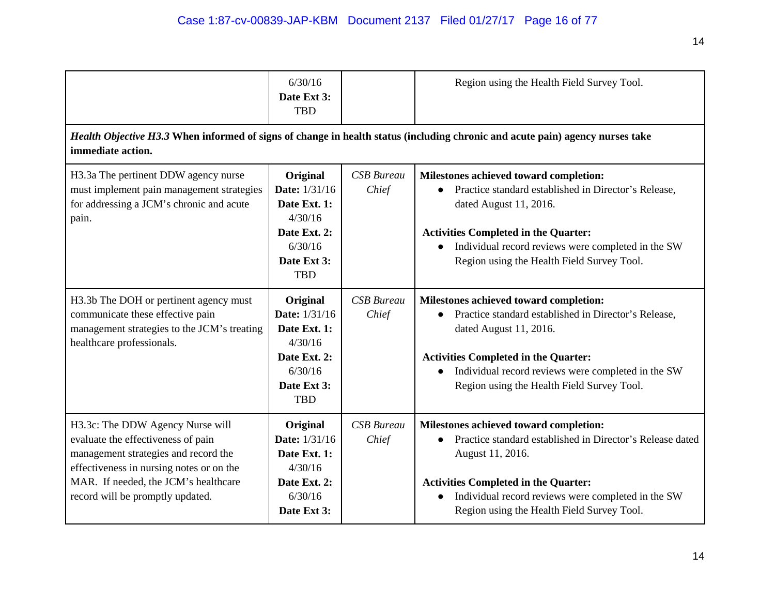|                                                                                                                                                                                                                                        | 6/30/16<br>Date Ext 3:<br><b>TBD</b>                                                                                |                            | Region using the Health Field Survey Tool.                                                                                                                                                                                                                                               |
|----------------------------------------------------------------------------------------------------------------------------------------------------------------------------------------------------------------------------------------|---------------------------------------------------------------------------------------------------------------------|----------------------------|------------------------------------------------------------------------------------------------------------------------------------------------------------------------------------------------------------------------------------------------------------------------------------------|
| immediate action.                                                                                                                                                                                                                      |                                                                                                                     |                            | Health Objective H3.3 When informed of signs of change in health status (including chronic and acute pain) agency nurses take                                                                                                                                                            |
| H3.3a The pertinent DDW agency nurse<br>must implement pain management strategies<br>for addressing a JCM's chronic and acute<br>pain.                                                                                                 | Original<br><b>Date:</b> 1/31/16<br>Date Ext. 1:<br>4/30/16<br>Date Ext. 2:<br>6/30/16<br>Date Ext 3:<br><b>TBD</b> | <b>CSB</b> Bureau<br>Chief | Milestones achieved toward completion:<br>Practice standard established in Director's Release,<br>dated August 11, 2016.<br><b>Activities Completed in the Quarter:</b><br>Individual record reviews were completed in the SW<br>Region using the Health Field Survey Tool.              |
| H3.3b The DOH or pertinent agency must<br>communicate these effective pain<br>management strategies to the JCM's treating<br>healthcare professionals.                                                                                 | Original<br><b>Date:</b> 1/31/16<br>Date Ext. 1:<br>4/30/16<br>Date Ext. 2:<br>6/30/16<br>Date Ext 3:<br><b>TBD</b> | <b>CSB</b> Bureau<br>Chief | Milestones achieved toward completion:<br>Practice standard established in Director's Release,<br>dated August 11, 2016.<br><b>Activities Completed in the Quarter:</b><br>Individual record reviews were completed in the SW<br>$\bullet$<br>Region using the Health Field Survey Tool. |
| H3.3c: The DDW Agency Nurse will<br>evaluate the effectiveness of pain<br>management strategies and record the<br>effectiveness in nursing notes or on the<br>MAR. If needed, the JCM's healthcare<br>record will be promptly updated. | Original<br><b>Date:</b> 1/31/16<br>Date Ext. 1:<br>4/30/16<br>Date Ext. 2:<br>6/30/16<br>Date Ext 3:               | <b>CSB</b> Bureau<br>Chief | Milestones achieved toward completion:<br>Practice standard established in Director's Release dated<br>August 11, 2016.<br><b>Activities Completed in the Quarter:</b><br>Individual record reviews were completed in the SW<br>Region using the Health Field Survey Tool.               |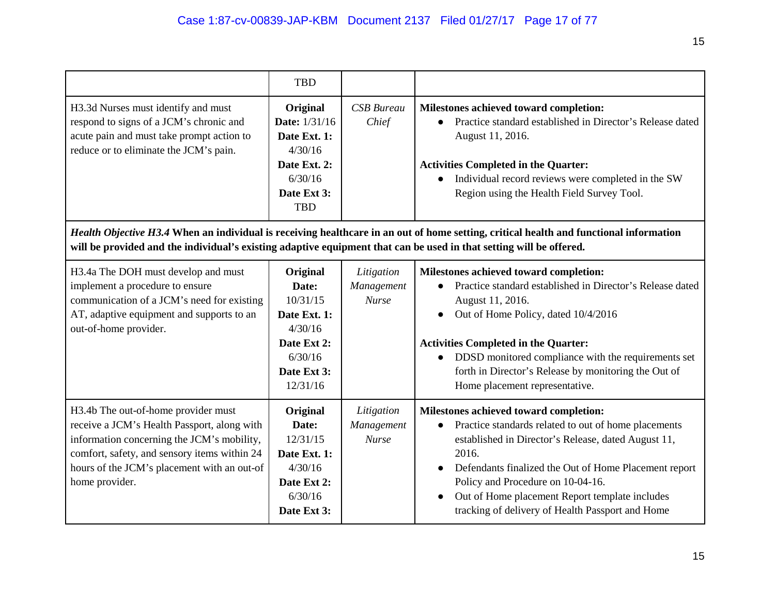15

|                                                                                                                                                                                                                                                   | <b>TBD</b>                                                                                                          |                                          |                                                                                                                                                                                                                                                                                                                                                                    |
|---------------------------------------------------------------------------------------------------------------------------------------------------------------------------------------------------------------------------------------------------|---------------------------------------------------------------------------------------------------------------------|------------------------------------------|--------------------------------------------------------------------------------------------------------------------------------------------------------------------------------------------------------------------------------------------------------------------------------------------------------------------------------------------------------------------|
| H3.3d Nurses must identify and must<br>respond to signs of a JCM's chronic and<br>acute pain and must take prompt action to<br>reduce or to eliminate the JCM's pain.                                                                             | Original<br><b>Date:</b> 1/31/16<br>Date Ext. 1:<br>4/30/16<br>Date Ext. 2:<br>6/30/16<br>Date Ext 3:<br><b>TBD</b> | <b>CSB</b> Bureau<br>Chief               | Milestones achieved toward completion:<br>Practice standard established in Director's Release dated<br>August 11, 2016.<br><b>Activities Completed in the Quarter:</b><br>Individual record reviews were completed in the SW<br>Region using the Health Field Survey Tool.                                                                                         |
| will be provided and the individual's existing adaptive equipment that can be used in that setting will be offered.                                                                                                                               |                                                                                                                     |                                          | Health Objective H3.4 When an individual is receiving healthcare in an out of home setting, critical health and functional information                                                                                                                                                                                                                             |
| H3.4a The DOH must develop and must<br>implement a procedure to ensure<br>communication of a JCM's need for existing<br>AT, adaptive equipment and supports to an<br>out-of-home provider.                                                        | Original<br>Date:<br>10/31/15<br>Date Ext. 1:<br>4/30/16<br>Date Ext 2:<br>6/30/16<br>Date Ext 3:<br>12/31/16       | Litigation<br>Management<br><b>Nurse</b> | Milestones achieved toward completion:<br>Practice standard established in Director's Release dated<br>August 11, 2016.<br>Out of Home Policy, dated 10/4/2016<br><b>Activities Completed in the Quarter:</b><br>DDSD monitored compliance with the requirements set<br>forth in Director's Release by monitoring the Out of<br>Home placement representative.     |
| H3.4b The out-of-home provider must<br>receive a JCM's Health Passport, along with<br>information concerning the JCM's mobility,<br>comfort, safety, and sensory items within 24<br>hours of the JCM's placement with an out-of<br>home provider. | Original<br>Date:<br>12/31/15<br>Date Ext. 1:<br>4/30/16<br>Date Ext 2:<br>6/30/16<br>Date Ext 3:                   | Litigation<br>Management<br><b>Nurse</b> | Milestones achieved toward completion:<br>Practice standards related to out of home placements<br>established in Director's Release, dated August 11,<br>2016.<br>Defendants finalized the Out of Home Placement report<br>Policy and Procedure on 10-04-16.<br>Out of Home placement Report template includes<br>tracking of delivery of Health Passport and Home |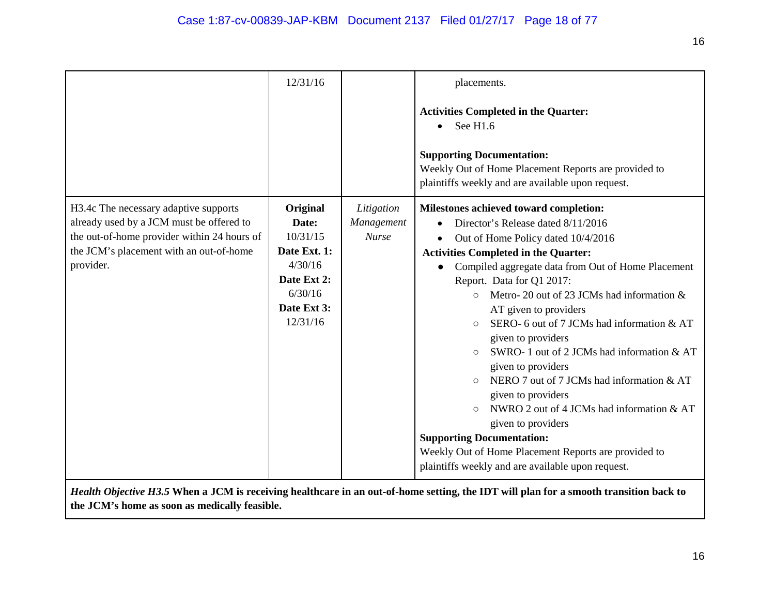|                                                                                                                                                                                          | 12/31/16                                                                                                      |                                          | placements.<br><b>Activities Completed in the Quarter:</b><br>See H1.6<br><b>Supporting Documentation:</b><br>Weekly Out of Home Placement Reports are provided to<br>plaintiffs weekly and are available upon request.                                                                                                                                                                                                                                                                                                                                                                                                                                                                                                                                                                        |
|------------------------------------------------------------------------------------------------------------------------------------------------------------------------------------------|---------------------------------------------------------------------------------------------------------------|------------------------------------------|------------------------------------------------------------------------------------------------------------------------------------------------------------------------------------------------------------------------------------------------------------------------------------------------------------------------------------------------------------------------------------------------------------------------------------------------------------------------------------------------------------------------------------------------------------------------------------------------------------------------------------------------------------------------------------------------------------------------------------------------------------------------------------------------|
| H3.4c The necessary adaptive supports<br>already used by a JCM must be offered to<br>the out-of-home provider within 24 hours of<br>the JCM's placement with an out-of-home<br>provider. | Original<br>Date:<br>10/31/15<br>Date Ext. 1:<br>4/30/16<br>Date Ext 2:<br>6/30/16<br>Date Ext 3:<br>12/31/16 | Litigation<br>Management<br><b>Nurse</b> | Milestones achieved toward completion:<br>Director's Release dated 8/11/2016<br>Out of Home Policy dated 10/4/2016<br><b>Activities Completed in the Quarter:</b><br>Compiled aggregate data from Out of Home Placement<br>Report. Data for Q1 2017:<br>Metro-20 out of 23 JCMs had information &<br>AT given to providers<br>SERO-6 out of 7 JCMs had information & AT<br>$\bigcirc$<br>given to providers<br>SWRO-1 out of 2 JCMs had information & AT<br>$\bigcirc$<br>given to providers<br>NERO 7 out of 7 JCMs had information & AT<br>given to providers<br>NWRO 2 out of 4 JCMs had information & AT<br>$\circ$<br>given to providers<br><b>Supporting Documentation:</b><br>Weekly Out of Home Placement Reports are provided to<br>plaintiffs weekly and are available upon request. |

*Health Objective H3.5* **When a JCM is receiving healthcare in an out-of-home setting, the IDT will plan for a smooth transition back to the JCM's home as soon as medically feasible.**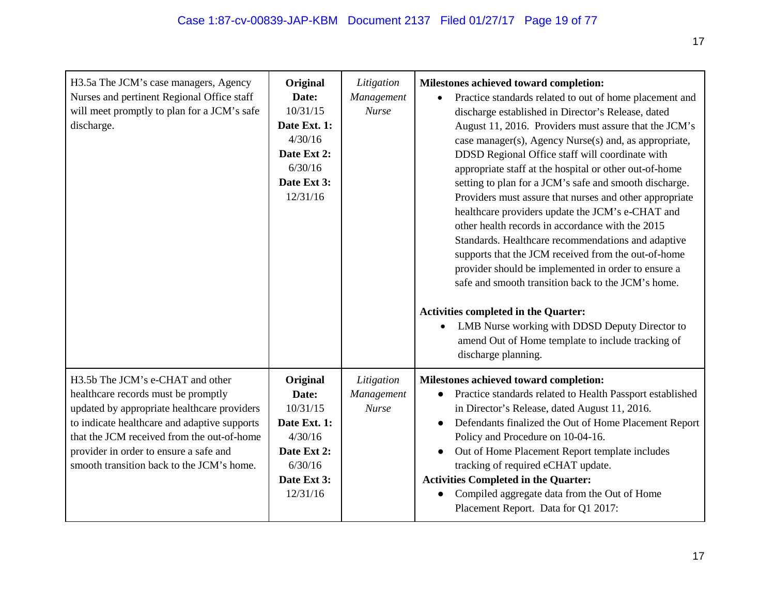| H3.5a The JCM's case managers, Agency<br>Nurses and pertinent Regional Office staff<br>will meet promptly to plan for a JCM's safe<br>discharge.                                                                                                                                                            | Original<br>Date:<br>10/31/15<br>Date Ext. 1:<br>4/30/16<br>Date Ext 2:<br>6/30/16<br>Date Ext 3:<br>12/31/16 | Litigation<br>Management<br><b>Nurse</b> | Milestones achieved toward completion:<br>Practice standards related to out of home placement and<br>discharge established in Director's Release, dated<br>August 11, 2016. Providers must assure that the JCM's<br>case manager(s), Agency Nurse(s) and, as appropriate,<br>DDSD Regional Office staff will coordinate with<br>appropriate staff at the hospital or other out-of-home<br>setting to plan for a JCM's safe and smooth discharge.<br>Providers must assure that nurses and other appropriate<br>healthcare providers update the JCM's e-CHAT and<br>other health records in accordance with the 2015<br>Standards. Healthcare recommendations and adaptive<br>supports that the JCM received from the out-of-home<br>provider should be implemented in order to ensure a<br>safe and smooth transition back to the JCM's home.<br><b>Activities completed in the Quarter:</b><br>LMB Nurse working with DDSD Deputy Director to<br>amend Out of Home template to include tracking of<br>discharge planning. |
|-------------------------------------------------------------------------------------------------------------------------------------------------------------------------------------------------------------------------------------------------------------------------------------------------------------|---------------------------------------------------------------------------------------------------------------|------------------------------------------|----------------------------------------------------------------------------------------------------------------------------------------------------------------------------------------------------------------------------------------------------------------------------------------------------------------------------------------------------------------------------------------------------------------------------------------------------------------------------------------------------------------------------------------------------------------------------------------------------------------------------------------------------------------------------------------------------------------------------------------------------------------------------------------------------------------------------------------------------------------------------------------------------------------------------------------------------------------------------------------------------------------------------|
| H3.5b The JCM's e-CHAT and other<br>healthcare records must be promptly<br>updated by appropriate healthcare providers<br>to indicate healthcare and adaptive supports<br>that the JCM received from the out-of-home<br>provider in order to ensure a safe and<br>smooth transition back to the JCM's home. | Original<br>Date:<br>10/31/15<br>Date Ext. 1:<br>4/30/16<br>Date Ext 2:<br>6/30/16<br>Date Ext 3:<br>12/31/16 | Litigation<br>Management<br><b>Nurse</b> | Milestones achieved toward completion:<br>Practice standards related to Health Passport established<br>in Director's Release, dated August 11, 2016.<br>Defendants finalized the Out of Home Placement Report<br>$\bullet$<br>Policy and Procedure on 10-04-16.<br>Out of Home Placement Report template includes<br>tracking of required eCHAT update.<br><b>Activities Completed in the Quarter:</b><br>Compiled aggregate data from the Out of Home<br>Placement Report. Data for Q1 2017:                                                                                                                                                                                                                                                                                                                                                                                                                                                                                                                              |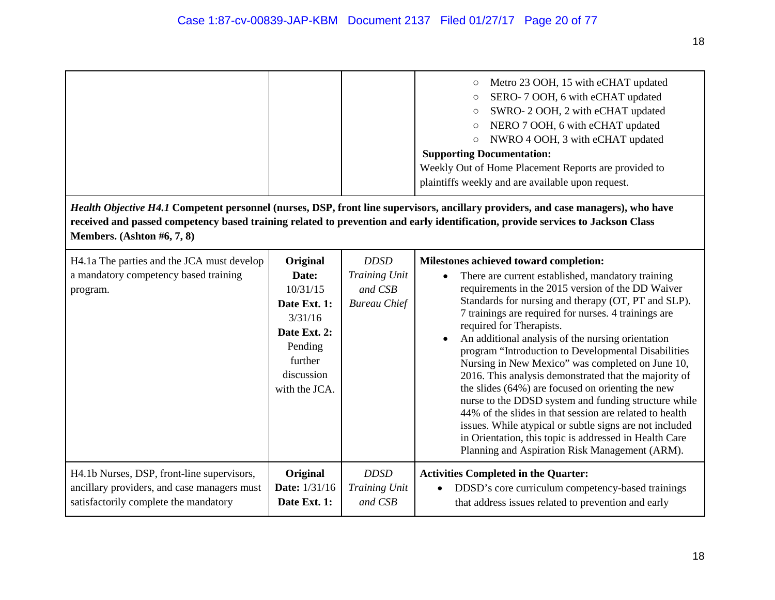|                                                                                                                                    |                                                                                                                               |                                                                | Metro 23 OOH, 15 with eCHAT updated<br>$\bigcirc$<br>SERO-7 OOH, 6 with eCHAT updated<br>$\bigcirc$<br>SWRO-2 OOH, 2 with eCHAT updated<br>$\bigcirc$<br>NERO 7 OOH, 6 with eCHAT updated<br>$\bigcirc$<br>NWRO 4 OOH, 3 with eCHAT updated<br>$\circ$<br><b>Supporting Documentation:</b><br>Weekly Out of Home Placement Reports are provided to<br>plaintiffs weekly and are available upon request.                                                                                                                                                                                                                                                                                                                                                                                                                                                             |
|------------------------------------------------------------------------------------------------------------------------------------|-------------------------------------------------------------------------------------------------------------------------------|----------------------------------------------------------------|---------------------------------------------------------------------------------------------------------------------------------------------------------------------------------------------------------------------------------------------------------------------------------------------------------------------------------------------------------------------------------------------------------------------------------------------------------------------------------------------------------------------------------------------------------------------------------------------------------------------------------------------------------------------------------------------------------------------------------------------------------------------------------------------------------------------------------------------------------------------|
| Members. (Ashton #6, 7, 8)                                                                                                         |                                                                                                                               |                                                                | Health Objective H4.1 Competent personnel (nurses, DSP, front line supervisors, ancillary providers, and case managers), who have<br>received and passed competency based training related to prevention and early identification, provide services to Jackson Class                                                                                                                                                                                                                                                                                                                                                                                                                                                                                                                                                                                                |
| H4.1a The parties and the JCA must develop<br>a mandatory competency based training<br>program.                                    | Original<br>Date:<br>10/31/15<br>Date Ext. 1:<br>3/31/16<br>Date Ext. 2:<br>Pending<br>further<br>discussion<br>with the JCA. | <b>DDSD</b><br>Training Unit<br>and CSB<br><b>Bureau Chief</b> | Milestones achieved toward completion:<br>There are current established, mandatory training<br>requirements in the 2015 version of the DD Waiver<br>Standards for nursing and therapy (OT, PT and SLP).<br>7 trainings are required for nurses. 4 trainings are<br>required for Therapists.<br>An additional analysis of the nursing orientation<br>program "Introduction to Developmental Disabilities<br>Nursing in New Mexico" was completed on June 10,<br>2016. This analysis demonstrated that the majority of<br>the slides (64%) are focused on orienting the new<br>nurse to the DDSD system and funding structure while<br>44% of the slides in that session are related to health<br>issues. While atypical or subtle signs are not included<br>in Orientation, this topic is addressed in Health Care<br>Planning and Aspiration Risk Management (ARM). |
| H4.1b Nurses, DSP, front-line supervisors,<br>ancillary providers, and case managers must<br>satisfactorily complete the mandatory | Original<br>Date: 1/31/16<br>Date Ext. 1:                                                                                     | <b>DDSD</b><br>Training Unit<br>and CSB                        | <b>Activities Completed in the Quarter:</b><br>DDSD's core curriculum competency-based trainings<br>that address issues related to prevention and early                                                                                                                                                                                                                                                                                                                                                                                                                                                                                                                                                                                                                                                                                                             |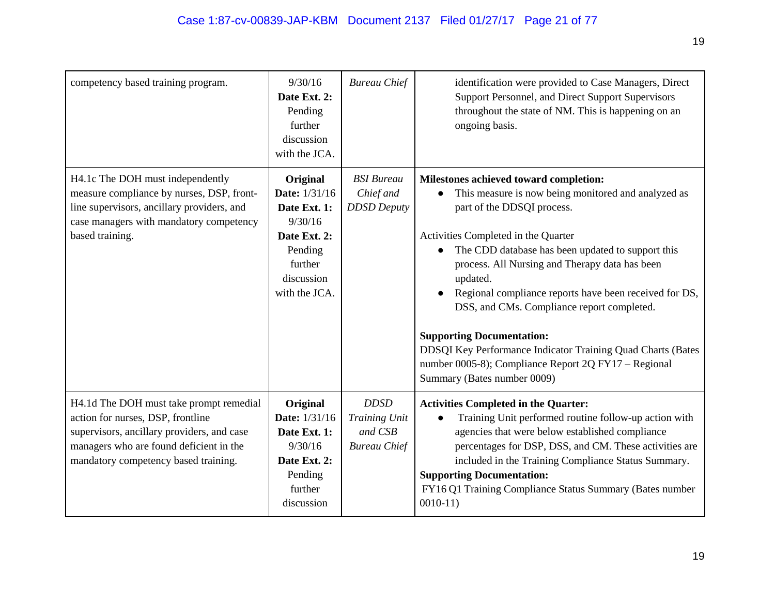| competency based training program.                                                                                                                                                                            | 9/30/16<br>Date Ext. 2:<br>Pending<br>further<br>discussion<br>with the JCA.                                              | <b>Bureau Chief</b>                                            | identification were provided to Case Managers, Direct<br>Support Personnel, and Direct Support Supervisors<br>throughout the state of NM. This is happening on an<br>ongoing basis.                                                                                                                                                                                                                                                                                                                                                                                                     |
|---------------------------------------------------------------------------------------------------------------------------------------------------------------------------------------------------------------|---------------------------------------------------------------------------------------------------------------------------|----------------------------------------------------------------|-----------------------------------------------------------------------------------------------------------------------------------------------------------------------------------------------------------------------------------------------------------------------------------------------------------------------------------------------------------------------------------------------------------------------------------------------------------------------------------------------------------------------------------------------------------------------------------------|
| H4.1c The DOH must independently<br>measure compliance by nurses, DSP, front-<br>line supervisors, ancillary providers, and<br>case managers with mandatory competency<br>based training.                     | Original<br>Date: 1/31/16<br>Date Ext. 1:<br>9/30/16<br>Date Ext. 2:<br>Pending<br>further<br>discussion<br>with the JCA. | <b>BSI</b> Bureau<br>Chief and<br><b>DDSD</b> Deputy           | Milestones achieved toward completion:<br>This measure is now being monitored and analyzed as<br>part of the DDSQI process.<br>Activities Completed in the Quarter<br>The CDD database has been updated to support this<br>process. All Nursing and Therapy data has been<br>updated.<br>Regional compliance reports have been received for DS,<br>DSS, and CMs. Compliance report completed.<br><b>Supporting Documentation:</b><br>DDSQI Key Performance Indicator Training Quad Charts (Bates<br>number 0005-8); Compliance Report 2Q FY17 - Regional<br>Summary (Bates number 0009) |
| H4.1d The DOH must take prompt remedial<br>action for nurses, DSP, frontline<br>supervisors, ancillary providers, and case<br>managers who are found deficient in the<br>mandatory competency based training. | Original<br>Date: 1/31/16<br>Date Ext. 1:<br>9/30/16<br>Date Ext. 2:<br>Pending<br>further<br>discussion                  | <b>DDSD</b><br>Training Unit<br>and CSB<br><b>Bureau Chief</b> | <b>Activities Completed in the Quarter:</b><br>Training Unit performed routine follow-up action with<br>agencies that were below established compliance<br>percentages for DSP, DSS, and CM. These activities are<br>included in the Training Compliance Status Summary.<br><b>Supporting Documentation:</b><br>FY16 Q1 Training Compliance Status Summary (Bates number<br>$0010-11$                                                                                                                                                                                                   |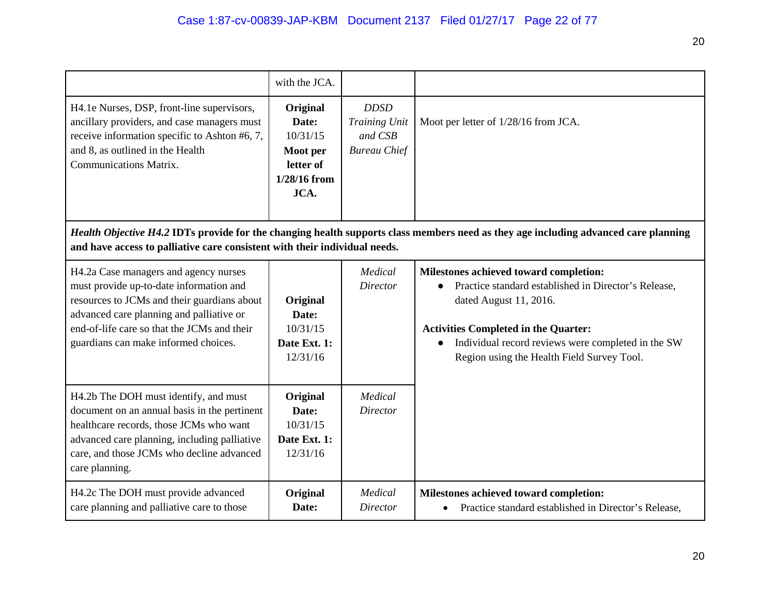|                                                                                                                                                                                                                                                                    | with the JCA.                                                                    |                                                                |                                                                                                                                                                                                                                                                                          |
|--------------------------------------------------------------------------------------------------------------------------------------------------------------------------------------------------------------------------------------------------------------------|----------------------------------------------------------------------------------|----------------------------------------------------------------|------------------------------------------------------------------------------------------------------------------------------------------------------------------------------------------------------------------------------------------------------------------------------------------|
| H4.1e Nurses, DSP, front-line supervisors,<br>ancillary providers, and case managers must<br>receive information specific to Ashton #6, 7,<br>and 8, as outlined in the Health<br><b>Communications Matrix.</b>                                                    | Original<br>Date:<br>10/31/15<br>Moot per<br>letter of<br>$1/28/16$ from<br>JCA. | <b>DDSD</b><br>Training Unit<br>and CSB<br><b>Bureau Chief</b> | Moot per letter of 1/28/16 from JCA.                                                                                                                                                                                                                                                     |
| and have access to palliative care consistent with their individual needs.                                                                                                                                                                                         |                                                                                  |                                                                | Health Objective H4.2 IDTs provide for the changing health supports class members need as they age including advanced care planning                                                                                                                                                      |
| H4.2a Case managers and agency nurses<br>must provide up-to-date information and<br>resources to JCMs and their guardians about<br>advanced care planning and palliative or<br>end-of-life care so that the JCMs and their<br>guardians can make informed choices. | Original<br>Date:<br>10/31/15<br>Date Ext. 1:<br>12/31/16                        | Medical<br><b>Director</b>                                     | Milestones achieved toward completion:<br>Practice standard established in Director's Release,<br>dated August 11, 2016.<br><b>Activities Completed in the Quarter:</b><br>Individual record reviews were completed in the SW<br>$\bullet$<br>Region using the Health Field Survey Tool. |
| H4.2b The DOH must identify, and must<br>document on an annual basis in the pertinent<br>healthcare records, those JCMs who want<br>advanced care planning, including palliative<br>care, and those JCMs who decline advanced<br>care planning.                    | Original<br>Date:<br>10/31/15<br>Date Ext. 1:<br>12/31/16                        | Medical<br><b>Director</b>                                     |                                                                                                                                                                                                                                                                                          |
| H4.2c The DOH must provide advanced<br>care planning and palliative care to those                                                                                                                                                                                  | Original<br>Date:                                                                | Medical<br><b>Director</b>                                     | Milestones achieved toward completion:<br>Practice standard established in Director's Release,<br>$\bullet$                                                                                                                                                                              |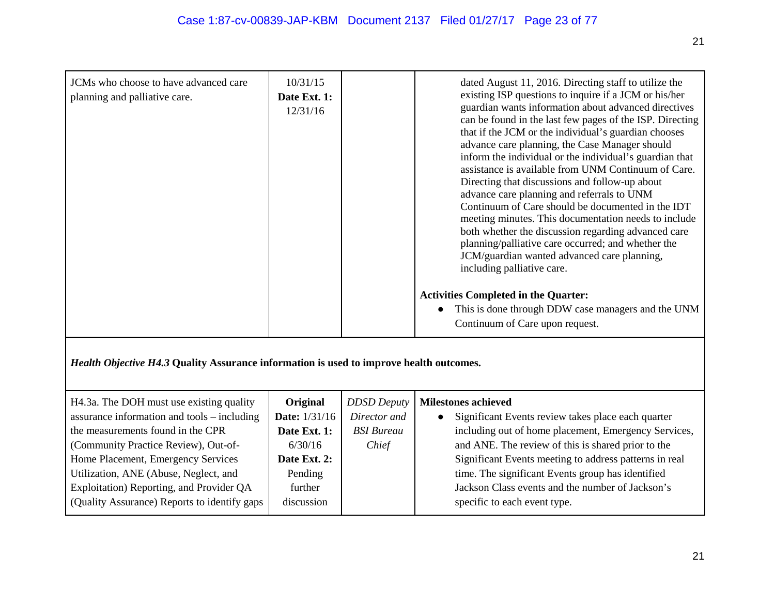| JCMs who choose to have advanced care<br>planning and palliative care. | 10/31/15<br>Date Ext. 1:<br>12/31/16 | dated August 11, 2016. Directing staff to utilize the<br>existing ISP questions to inquire if a JCM or his/her<br>guardian wants information about advanced directives<br>can be found in the last few pages of the ISP. Directing<br>that if the JCM or the individual's guardian chooses<br>advance care planning, the Case Manager should<br>inform the individual or the individual's guardian that<br>assistance is available from UNM Continuum of Care.<br>Directing that discussions and follow-up about<br>advance care planning and referrals to UNM<br>Continuum of Care should be documented in the IDT<br>meeting minutes. This documentation needs to include<br>both whether the discussion regarding advanced care<br>planning/palliative care occurred; and whether the<br>JCM/guardian wanted advanced care planning,<br>including palliative care. |
|------------------------------------------------------------------------|--------------------------------------|-----------------------------------------------------------------------------------------------------------------------------------------------------------------------------------------------------------------------------------------------------------------------------------------------------------------------------------------------------------------------------------------------------------------------------------------------------------------------------------------------------------------------------------------------------------------------------------------------------------------------------------------------------------------------------------------------------------------------------------------------------------------------------------------------------------------------------------------------------------------------|
|                                                                        |                                      | <b>Activities Completed in the Quarter:</b><br>This is done through DDW case managers and the UNM<br>Continuum of Care upon request.                                                                                                                                                                                                                                                                                                                                                                                                                                                                                                                                                                                                                                                                                                                                  |

*Health Objective H4.3* **Quality Assurance information is used to improve health outcomes.**

| H4.3a. The DOH must use existing quality           | Original             | <b>DDSD</b> Deputy | <b>Milestones achieved</b>                             |
|----------------------------------------------------|----------------------|--------------------|--------------------------------------------------------|
| assurance information and tools – including        | <b>Date:</b> 1/31/16 | Director and       | Significant Events review takes place each quarter     |
| the measurements found in the CPR                  | Date Ext. 1:         | <b>BSI</b> Bureau  | including out of home placement, Emergency Services,   |
| (Community Practice Review), Out-of-               | 6/30/16              | Chief              | and ANE. The review of this is shared prior to the     |
| Home Placement, Emergency Services                 | Date Ext. 2:         |                    | Significant Events meeting to address patterns in real |
| Utilization, ANE (Abuse, Neglect, and              | Pending              |                    | time. The significant Events group has identified      |
| Exploitation) Reporting, and Provider QA           | further              |                    | Jackson Class events and the number of Jackson's       |
| <b>Quality Assurance)</b> Reports to identify gaps | discussion           |                    | specific to each event type.                           |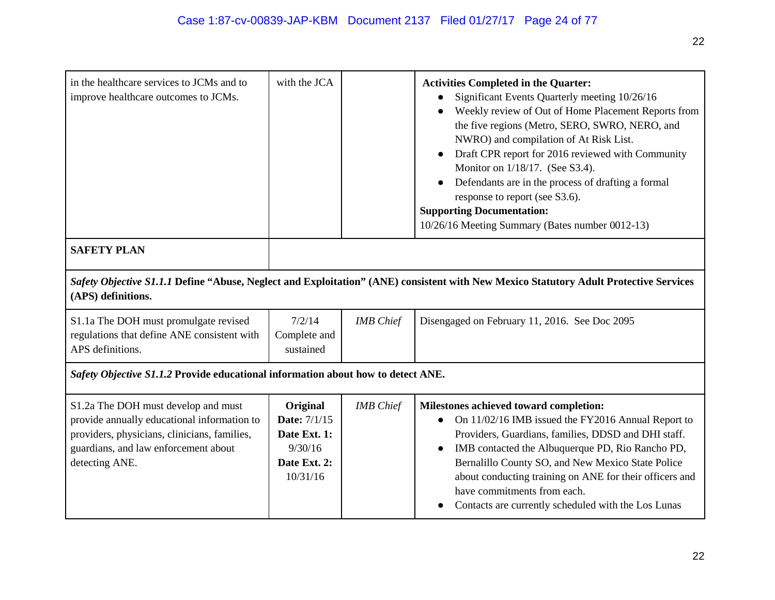| in the healthcare services to JCMs and to<br>improve healthcare outcomes to JCMs.                                                                                                            | with the JCA                                                                           |                  | <b>Activities Completed in the Quarter:</b><br>Significant Events Quarterly meeting 10/26/16<br>Weekly review of Out of Home Placement Reports from<br>the five regions (Metro, SERO, SWRO, NERO, and<br>NWRO) and compilation of At Risk List.<br>Draft CPR report for 2016 reviewed with Community<br>Monitor on 1/18/17. (See S3.4).<br>Defendants are in the process of drafting a formal<br>response to report (see S3.6).<br><b>Supporting Documentation:</b><br>10/26/16 Meeting Summary (Bates number 0012-13) |
|----------------------------------------------------------------------------------------------------------------------------------------------------------------------------------------------|----------------------------------------------------------------------------------------|------------------|------------------------------------------------------------------------------------------------------------------------------------------------------------------------------------------------------------------------------------------------------------------------------------------------------------------------------------------------------------------------------------------------------------------------------------------------------------------------------------------------------------------------|
| <b>SAFETY PLAN</b>                                                                                                                                                                           |                                                                                        |                  |                                                                                                                                                                                                                                                                                                                                                                                                                                                                                                                        |
| (APS) definitions.                                                                                                                                                                           |                                                                                        |                  | Safety Objective S1.1.1 Define "Abuse, Neglect and Exploitation" (ANE) consistent with New Mexico Statutory Adult Protective Services                                                                                                                                                                                                                                                                                                                                                                                  |
| S1.1a The DOH must promulgate revised<br>regulations that define ANE consistent with<br>APS definitions.                                                                                     | 7/2/14<br>Complete and<br>sustained                                                    | <b>IMB</b> Chief | Disengaged on February 11, 2016. See Doc 2095                                                                                                                                                                                                                                                                                                                                                                                                                                                                          |
| Safety Objective S1.1.2 Provide educational information about how to detect ANE.                                                                                                             |                                                                                        |                  |                                                                                                                                                                                                                                                                                                                                                                                                                                                                                                                        |
| S1.2a The DOH must develop and must<br>provide annually educational information to<br>providers, physicians, clinicians, families,<br>guardians, and law enforcement about<br>detecting ANE. | Original<br><b>Date:</b> 7/1/15<br>Date Ext. 1:<br>9/30/16<br>Date Ext. 2:<br>10/31/16 | <b>IMB</b> Chief | Milestones achieved toward completion:<br>On 11/02/16 IMB issued the FY2016 Annual Report to<br>Providers, Guardians, families, DDSD and DHI staff.<br>IMB contacted the Albuquerque PD, Rio Rancho PD,<br>$\bullet$<br>Bernalillo County SO, and New Mexico State Police<br>about conducting training on ANE for their officers and<br>have commitments from each.<br>Contacts are currently scheduled with the Los Lunas                                                                                             |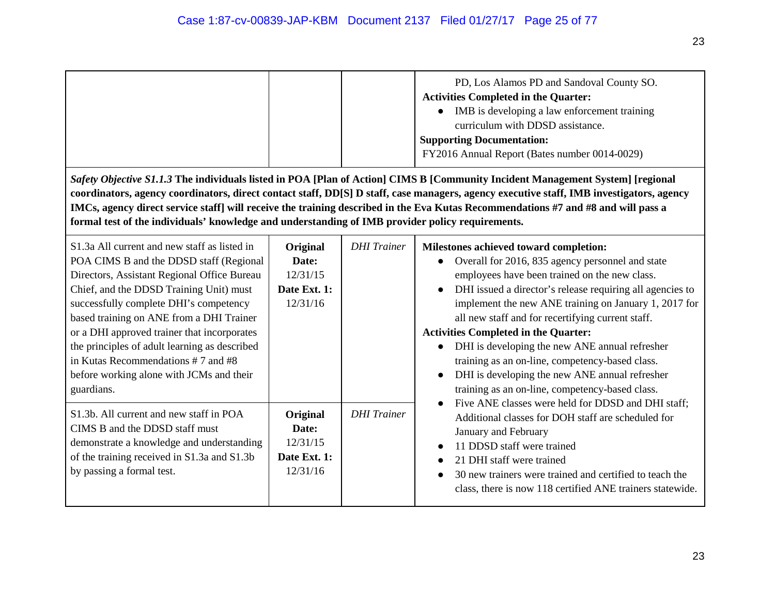|                                                                                                                                | PD, Los Alamos PD and Sandoval County SO.<br><b>Activities Completed in the Quarter:</b><br>IMB is developing a law enforcement training<br>curriculum with DDSD assistance.<br><b>Supporting Documentation:</b><br>FY2016 Annual Report (Bates number 0014-0029) |  |
|--------------------------------------------------------------------------------------------------------------------------------|-------------------------------------------------------------------------------------------------------------------------------------------------------------------------------------------------------------------------------------------------------------------|--|
| Safety Objective S1.1.3 The individuals listed in POA [Plan of Action] CIMS B [Community Incident Management System] [regional |                                                                                                                                                                                                                                                                   |  |

**coordinators, agency coordinators, direct contact staff, DD[S] D staff, case managers, agency executive staff, IMB investigators, agency IMCs, agency direct service staff] will receive the training described in the Eva Kutas Recommendations #7 and #8 and will pass a formal test of the individuals' knowledge and understanding of IMB provider policy requirements.**

| S1.3a All current and new staff as listed in<br>POA CIMS B and the DDSD staff (Regional<br>Directors, Assistant Regional Office Bureau<br>Chief, and the DDSD Training Unit) must<br>successfully complete DHI's competency<br>based training on ANE from a DHI Trainer<br>or a DHI approved trainer that incorporates<br>the principles of adult learning as described<br>in Kutas Recommendations #7 and #8<br>before working alone with JCMs and their<br>guardians. | Original<br>Date:<br>12/31/15<br>Date Ext. 1:<br>12/31/16 | <b>DHI</b> Trainer | Milestones achieved toward completion:<br>Overall for 2016, 835 agency personnel and state<br>employees have been trained on the new class.<br>DHI issued a director's release requiring all agencies to<br>$\bullet$<br>implement the new ANE training on January 1, 2017 for<br>all new staff and for recertifying current staff.<br><b>Activities Completed in the Quarter:</b><br>DHI is developing the new ANE annual refresher<br>training as an on-line, competency-based class.<br>DHI is developing the new ANE annual refresher<br>training as an on-line, competency-based class. |
|-------------------------------------------------------------------------------------------------------------------------------------------------------------------------------------------------------------------------------------------------------------------------------------------------------------------------------------------------------------------------------------------------------------------------------------------------------------------------|-----------------------------------------------------------|--------------------|----------------------------------------------------------------------------------------------------------------------------------------------------------------------------------------------------------------------------------------------------------------------------------------------------------------------------------------------------------------------------------------------------------------------------------------------------------------------------------------------------------------------------------------------------------------------------------------------|
| S1.3b. All current and new staff in POA<br>CIMS B and the DDSD staff must<br>demonstrate a knowledge and understanding<br>of the training received in S1.3a and S1.3b<br>by passing a formal test.                                                                                                                                                                                                                                                                      | Original<br>Date:<br>12/31/15<br>Date Ext. 1:<br>12/31/16 | <b>DHI</b> Trainer | Five ANE classes were held for DDSD and DHI staff;<br>Additional classes for DOH staff are scheduled for<br>January and February<br>11 DDSD staff were trained<br>21 DHI staff were trained<br>30 new trainers were trained and certified to teach the<br>class, there is now 118 certified ANE trainers statewide.                                                                                                                                                                                                                                                                          |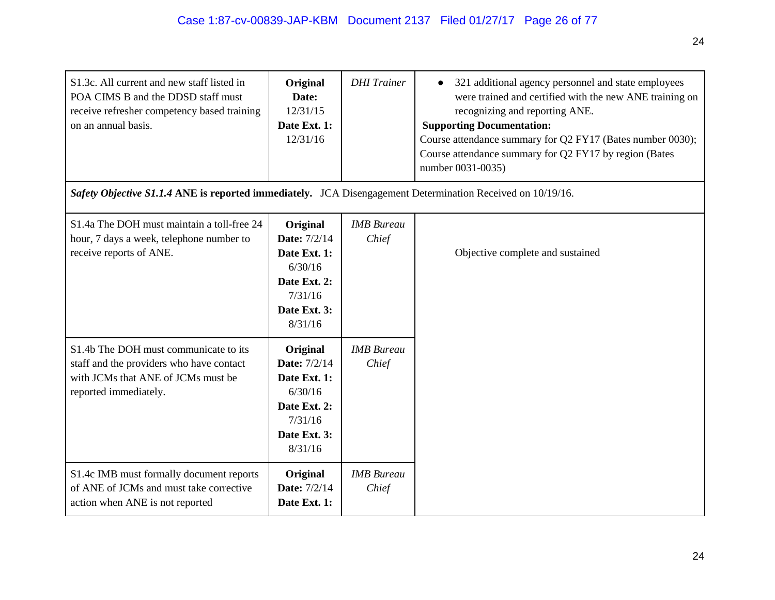| S1.3c. All current and new staff listed in<br>POA CIMS B and the DDSD staff must<br>receive refresher competency based training<br>on an annual basis.<br>Safety Objective S1.1.4 ANE is reported immediately. JCA Disengagement Determination Received on 10/19/16. | Original<br>Date:<br>12/31/15<br>Date Ext. 1:<br>12/31/16                                                        | <b>DHI</b> Trainer         | 321 additional agency personnel and state employees<br>were trained and certified with the new ANE training on<br>recognizing and reporting ANE.<br><b>Supporting Documentation:</b><br>Course attendance summary for Q2 FY17 (Bates number 0030);<br>Course attendance summary for Q2 FY17 by region (Bates<br>number 0031-0035) |
|----------------------------------------------------------------------------------------------------------------------------------------------------------------------------------------------------------------------------------------------------------------------|------------------------------------------------------------------------------------------------------------------|----------------------------|-----------------------------------------------------------------------------------------------------------------------------------------------------------------------------------------------------------------------------------------------------------------------------------------------------------------------------------|
|                                                                                                                                                                                                                                                                      |                                                                                                                  |                            |                                                                                                                                                                                                                                                                                                                                   |
| S1.4a The DOH must maintain a toll-free 24<br>hour, 7 days a week, telephone number to<br>receive reports of ANE.                                                                                                                                                    | Original<br><b>Date: 7/2/14</b><br>Date Ext. 1:<br>6/30/16<br>Date Ext. 2:<br>7/31/16<br>Date Ext. 3:<br>8/31/16 | <b>IMB</b> Bureau<br>Chief | Objective complete and sustained                                                                                                                                                                                                                                                                                                  |
| S1.4b The DOH must communicate to its<br>staff and the providers who have contact<br>with JCMs that ANE of JCMs must be<br>reported immediately.                                                                                                                     | Original<br><b>Date:</b> 7/2/14<br>Date Ext. 1:<br>6/30/16<br>Date Ext. 2:<br>7/31/16<br>Date Ext. 3:<br>8/31/16 | <b>IMB</b> Bureau<br>Chief |                                                                                                                                                                                                                                                                                                                                   |
| S1.4c IMB must formally document reports<br>of ANE of JCMs and must take corrective<br>action when ANE is not reported                                                                                                                                               | Original<br><b>Date:</b> 7/2/14<br>Date Ext. 1:                                                                  | <b>IMB</b> Bureau<br>Chief |                                                                                                                                                                                                                                                                                                                                   |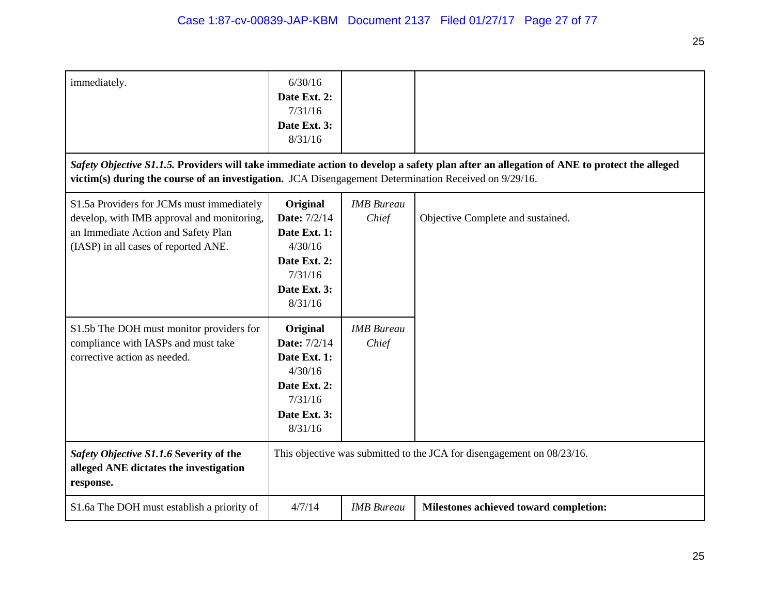| immediately.                                                                                                                                                           | 6/30/16<br>Date Ext. 2:<br>7/31/16<br>Date Ext. 3:<br>8/31/16                                                    |                            |                                                                                                                                          |
|------------------------------------------------------------------------------------------------------------------------------------------------------------------------|------------------------------------------------------------------------------------------------------------------|----------------------------|------------------------------------------------------------------------------------------------------------------------------------------|
| victim(s) during the course of an investigation. JCA Disengagement Determination Received on 9/29/16.                                                                  |                                                                                                                  |                            | Safety Objective S1.1.5. Providers will take immediate action to develop a safety plan after an allegation of ANE to protect the alleged |
| S1.5a Providers for JCMs must immediately<br>develop, with IMB approval and monitoring,<br>an Immediate Action and Safety Plan<br>(IASP) in all cases of reported ANE. | Original<br><b>Date: 7/2/14</b><br>Date Ext. 1:<br>4/30/16<br>Date Ext. 2:<br>7/31/16<br>Date Ext. 3:<br>8/31/16 | <b>IMB</b> Bureau<br>Chief | Objective Complete and sustained.                                                                                                        |
| S1.5b The DOH must monitor providers for<br>compliance with IASPs and must take<br>corrective action as needed.                                                        | Original<br><b>Date:</b> 7/2/14<br>Date Ext. 1:<br>4/30/16<br>Date Ext. 2:<br>7/31/16<br>Date Ext. 3:<br>8/31/16 | <b>IMB</b> Bureau<br>Chief |                                                                                                                                          |
| Safety Objective S1.1.6 Severity of the<br>alleged ANE dictates the investigation<br>response.                                                                         |                                                                                                                  |                            | This objective was submitted to the JCA for disengagement on 08/23/16.                                                                   |
| S1.6a The DOH must establish a priority of                                                                                                                             | 4/7/14                                                                                                           | <b>IMB</b> Bureau          | Milestones achieved toward completion:                                                                                                   |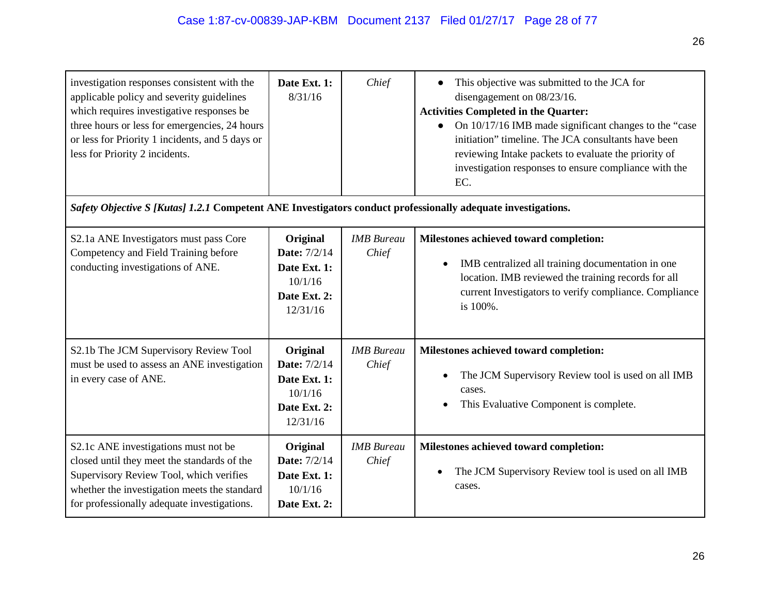| investigation responses consistent with the<br>applicable policy and severity guidelines<br>which requires investigative responses be<br>three hours or less for emergencies, 24 hours<br>or less for Priority 1 incidents, and 5 days or<br>less for Priority 2 incidents. | Date Ext. 1:<br>8/31/16                                                                | Chief                      | This objective was submitted to the JCA for<br>disengagement on 08/23/16.<br><b>Activities Completed in the Quarter:</b><br>On 10/17/16 IMB made significant changes to the "case<br>initiation" timeline. The JCA consultants have been<br>reviewing Intake packets to evaluate the priority of<br>investigation responses to ensure compliance with the<br>EC. |
|-----------------------------------------------------------------------------------------------------------------------------------------------------------------------------------------------------------------------------------------------------------------------------|----------------------------------------------------------------------------------------|----------------------------|------------------------------------------------------------------------------------------------------------------------------------------------------------------------------------------------------------------------------------------------------------------------------------------------------------------------------------------------------------------|
| Safety Objective S [Kutas] 1.2.1 Competent ANE Investigators conduct professionally adequate investigations.                                                                                                                                                                |                                                                                        |                            |                                                                                                                                                                                                                                                                                                                                                                  |
| S2.1a ANE Investigators must pass Core<br>Competency and Field Training before<br>conducting investigations of ANE.                                                                                                                                                         | Original<br><b>Date:</b> 7/2/14<br>Date Ext. 1:<br>10/1/16<br>Date Ext. 2:<br>12/31/16 | <b>IMB</b> Bureau<br>Chief | Milestones achieved toward completion:<br>IMB centralized all training documentation in one<br>$\bullet$<br>location. IMB reviewed the training records for all<br>current Investigators to verify compliance. Compliance<br>is 100%.                                                                                                                            |
| S2.1b The JCM Supervisory Review Tool<br>must be used to assess an ANE investigation<br>in every case of ANE.                                                                                                                                                               | Original<br><b>Date: 7/2/14</b><br>Date Ext. 1:<br>10/1/16<br>Date Ext. 2:<br>12/31/16 | <b>IMB</b> Bureau<br>Chief | Milestones achieved toward completion:<br>The JCM Supervisory Review tool is used on all IMB<br>cases.<br>This Evaluative Component is complete.                                                                                                                                                                                                                 |
| S2.1c ANE investigations must not be<br>closed until they meet the standards of the<br>Supervisory Review Tool, which verifies<br>whether the investigation meets the standard<br>for professionally adequate investigations.                                               | Original<br><b>Date:</b> 7/2/14<br>Date Ext. 1:<br>10/1/16<br>Date Ext. 2:             | <b>IMB</b> Bureau<br>Chief | Milestones achieved toward completion:<br>The JCM Supervisory Review tool is used on all IMB<br>cases.                                                                                                                                                                                                                                                           |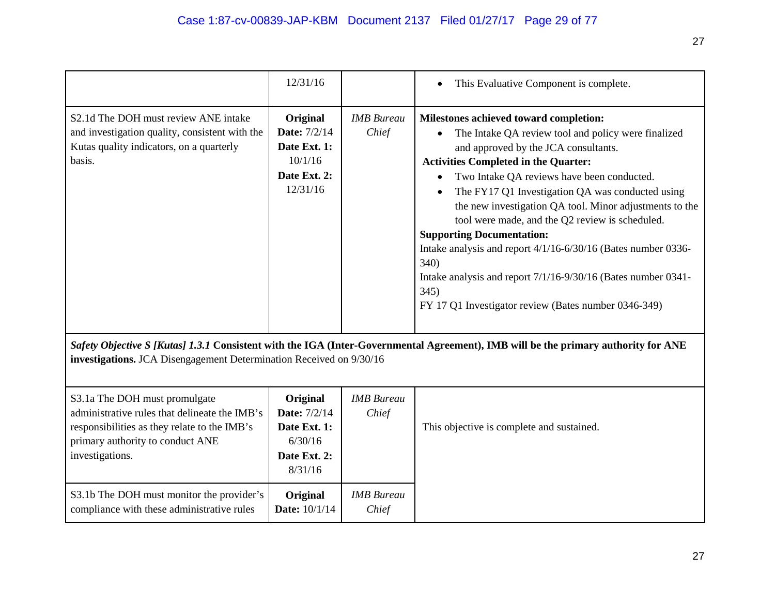|                                                                                                                                                                                       | 12/31/16                                                                               |                            | This Evaluative Component is complete.                                                                                                                                                                                                                                                                                                                                                                                                                                                                                                                                                                                                             |
|---------------------------------------------------------------------------------------------------------------------------------------------------------------------------------------|----------------------------------------------------------------------------------------|----------------------------|----------------------------------------------------------------------------------------------------------------------------------------------------------------------------------------------------------------------------------------------------------------------------------------------------------------------------------------------------------------------------------------------------------------------------------------------------------------------------------------------------------------------------------------------------------------------------------------------------------------------------------------------------|
| S2.1d The DOH must review ANE intake<br>and investigation quality, consistent with the<br>Kutas quality indicators, on a quarterly<br>basis.                                          | Original<br><b>Date:</b> 7/2/14<br>Date Ext. 1:<br>10/1/16<br>Date Ext. 2:<br>12/31/16 | <b>IMB</b> Bureau<br>Chief | Milestones achieved toward completion:<br>The Intake QA review tool and policy were finalized<br>and approved by the JCA consultants.<br><b>Activities Completed in the Quarter:</b><br>Two Intake QA reviews have been conducted.<br>The FY17 Q1 Investigation QA was conducted using<br>the new investigation QA tool. Minor adjustments to the<br>tool were made, and the Q2 review is scheduled.<br><b>Supporting Documentation:</b><br>Intake analysis and report 4/1/16-6/30/16 (Bates number 0336-<br>340)<br>Intake analysis and report 7/1/16-9/30/16 (Bates number 0341-<br>345)<br>FY 17 Q1 Investigator review (Bates number 0346-349) |
| investigations. JCA Disengagement Determination Received on 9/30/16                                                                                                                   |                                                                                        |                            | Safety Objective S [Kutas] 1.3.1 Consistent with the IGA (Inter-Governmental Agreement), IMB will be the primary authority for ANE                                                                                                                                                                                                                                                                                                                                                                                                                                                                                                                 |
| S3.1a The DOH must promulgate<br>administrative rules that delineate the IMB's<br>responsibilities as they relate to the IMB's<br>primary authority to conduct ANE<br>investigations. | Original<br><b>Date:</b> 7/2/14<br>Date Ext. 1:<br>6/30/16<br>Date Ext. 2:<br>8/31/16  | <b>IMB</b> Bureau<br>Chief | This objective is complete and sustained.                                                                                                                                                                                                                                                                                                                                                                                                                                                                                                                                                                                                          |
| S3.1b The DOH must monitor the provider's<br>compliance with these administrative rules                                                                                               | Original<br><b>Date:</b> 10/1/14                                                       | <b>IMB</b> Bureau<br>Chief |                                                                                                                                                                                                                                                                                                                                                                                                                                                                                                                                                                                                                                                    |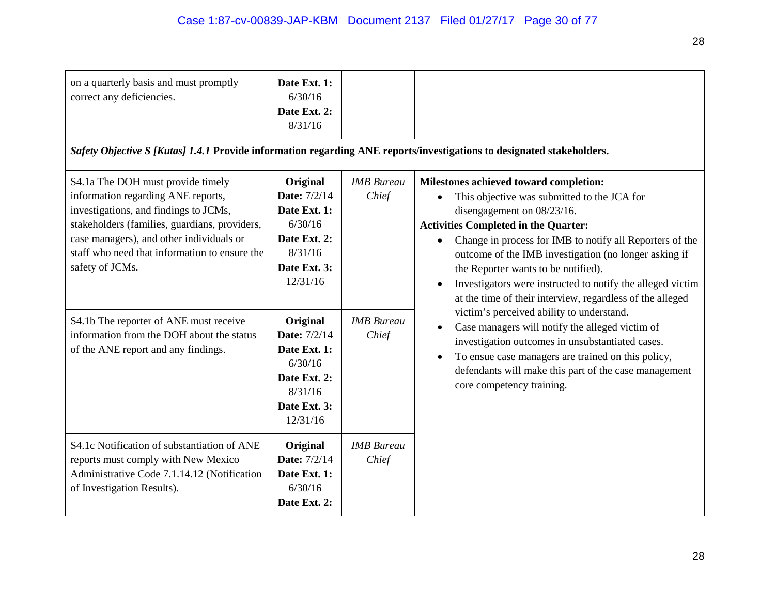| on a quarterly basis and must promptly<br>correct any deficiencies.                                                                                                                                                                                                               | Date Ext. 1:<br>6/30/16<br>Date Ext. 2:<br>8/31/16                                                                |                            |                                                                                                                                                                                                                                                                                                                                                                                                                                                                        |
|-----------------------------------------------------------------------------------------------------------------------------------------------------------------------------------------------------------------------------------------------------------------------------------|-------------------------------------------------------------------------------------------------------------------|----------------------------|------------------------------------------------------------------------------------------------------------------------------------------------------------------------------------------------------------------------------------------------------------------------------------------------------------------------------------------------------------------------------------------------------------------------------------------------------------------------|
| Safety Objective S [Kutas] 1.4.1 Provide information regarding ANE reports/investigations to designated stakeholders.                                                                                                                                                             |                                                                                                                   |                            |                                                                                                                                                                                                                                                                                                                                                                                                                                                                        |
| S4.1a The DOH must provide timely<br>information regarding ANE reports,<br>investigations, and findings to JCMs,<br>stakeholders (families, guardians, providers,<br>case managers), and other individuals or<br>staff who need that information to ensure the<br>safety of JCMs. | Original<br><b>Date:</b> 7/2/14<br>Date Ext. 1:<br>6/30/16<br>Date Ext. 2:<br>8/31/16<br>Date Ext. 3:<br>12/31/16 | <b>IMB</b> Bureau<br>Chief | Milestones achieved toward completion:<br>This objective was submitted to the JCA for<br>disengagement on 08/23/16.<br><b>Activities Completed in the Quarter:</b><br>Change in process for IMB to notify all Reporters of the<br>$\bullet$<br>outcome of the IMB investigation (no longer asking if<br>the Reporter wants to be notified).<br>Investigators were instructed to notify the alleged victim<br>at the time of their interview, regardless of the alleged |
| S4.1b The reporter of ANE must receive<br>information from the DOH about the status<br>of the ANE report and any findings.                                                                                                                                                        | Original<br><b>Date:</b> 7/2/14<br>Date Ext. 1:<br>6/30/16<br>Date Ext. 2:<br>8/31/16<br>Date Ext. 3:<br>12/31/16 | <b>IMB</b> Bureau<br>Chief | victim's perceived ability to understand.<br>Case managers will notify the alleged victim of<br>investigation outcomes in unsubstantiated cases.<br>To ensue case managers are trained on this policy,<br>defendants will make this part of the case management<br>core competency training.                                                                                                                                                                           |
| S4.1c Notification of substantiation of ANE<br>reports must comply with New Mexico<br>Administrative Code 7.1.14.12 (Notification<br>of Investigation Results).                                                                                                                   | Original<br><b>Date:</b> 7/2/14<br>Date Ext. 1:<br>6/30/16<br>Date Ext. 2:                                        | <b>IMB</b> Bureau<br>Chief |                                                                                                                                                                                                                                                                                                                                                                                                                                                                        |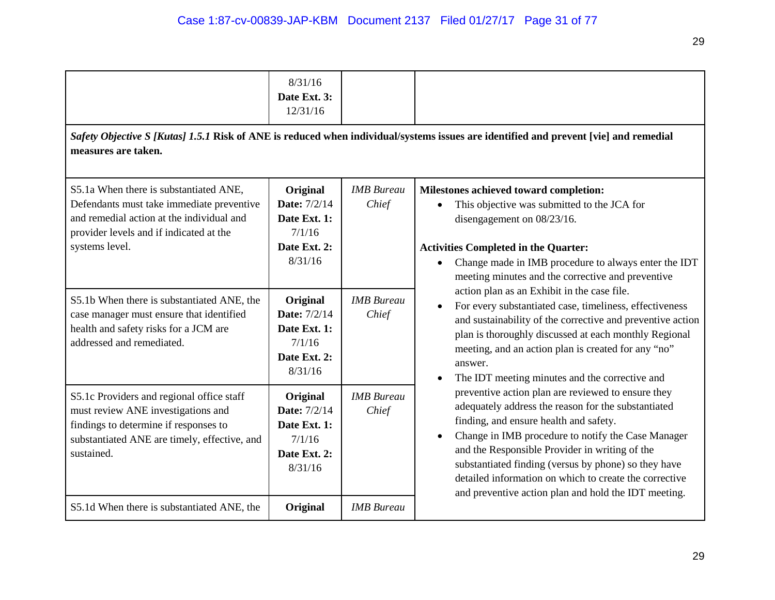|                                                                                                                                                                                               | 8/31/16<br>Date Ext. 3:<br>12/31/16                                                  |                            |                                                                                                                                                                                                                                                                                                                                                                                                                                                    |  |
|-----------------------------------------------------------------------------------------------------------------------------------------------------------------------------------------------|--------------------------------------------------------------------------------------|----------------------------|----------------------------------------------------------------------------------------------------------------------------------------------------------------------------------------------------------------------------------------------------------------------------------------------------------------------------------------------------------------------------------------------------------------------------------------------------|--|
| Safety Objective S [Kutas] 1.5.1 Risk of ANE is reduced when individual/systems issues are identified and prevent [vie] and remedial<br>measures are taken.                                   |                                                                                      |                            |                                                                                                                                                                                                                                                                                                                                                                                                                                                    |  |
| S5.1a When there is substantiated ANE,<br>Defendants must take immediate preventive<br>and remedial action at the individual and<br>provider levels and if indicated at the<br>systems level. | Original<br><b>Date: 7/2/14</b><br>Date Ext. 1:<br>7/1/16<br>Date Ext. 2:<br>8/31/16 | <b>IMB</b> Bureau<br>Chief | Milestones achieved toward completion:<br>This objective was submitted to the JCA for<br>disengagement on 08/23/16.<br><b>Activities Completed in the Quarter:</b><br>Change made in IMB procedure to always enter the IDT<br>meeting minutes and the corrective and preventive                                                                                                                                                                    |  |
| S5.1b When there is substantiated ANE, the<br>case manager must ensure that identified<br>health and safety risks for a JCM are<br>addressed and remediated.                                  | Original<br><b>Date:</b> 7/2/14<br>Date Ext. 1:<br>7/1/16<br>Date Ext. 2:<br>8/31/16 | <b>IMB</b> Bureau<br>Chief | action plan as an Exhibit in the case file.<br>For every substantiated case, timeliness, effectiveness<br>and sustainability of the corrective and preventive action<br>plan is thoroughly discussed at each monthly Regional<br>meeting, and an action plan is created for any "no"<br>answer.<br>The IDT meeting minutes and the corrective and                                                                                                  |  |
| S5.1c Providers and regional office staff<br>must review ANE investigations and<br>findings to determine if responses to<br>substantiated ANE are timely, effective, and<br>sustained.        | Original<br><b>Date:</b> 7/2/14<br>Date Ext. 1:<br>7/1/16<br>Date Ext. 2:<br>8/31/16 | <b>IMB</b> Bureau<br>Chief | preventive action plan are reviewed to ensure they<br>adequately address the reason for the substantiated<br>finding, and ensure health and safety.<br>Change in IMB procedure to notify the Case Manager<br>$\bullet$<br>and the Responsible Provider in writing of the<br>substantiated finding (versus by phone) so they have<br>detailed information on which to create the corrective<br>and preventive action plan and hold the IDT meeting. |  |
| S5.1d When there is substantiated ANE, the                                                                                                                                                    | Original                                                                             | <b>IMB</b> Bureau          |                                                                                                                                                                                                                                                                                                                                                                                                                                                    |  |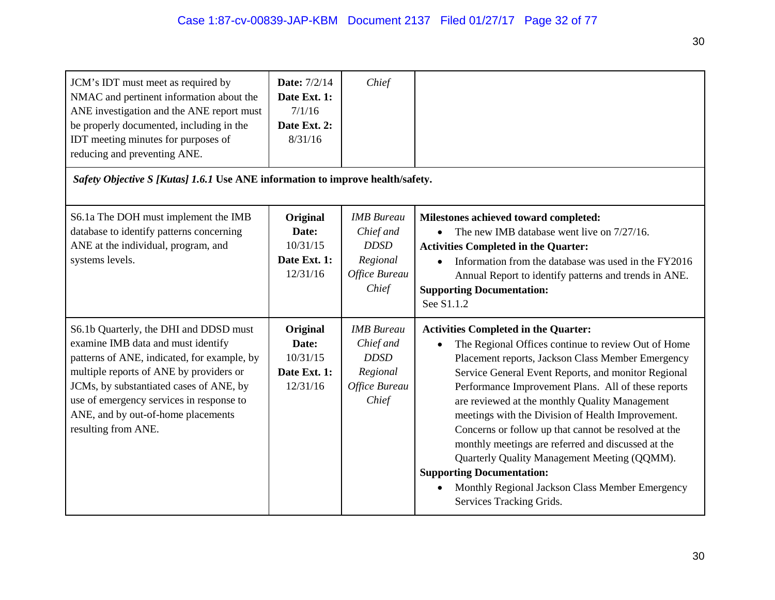| JCM's IDT must meet as required by<br>NMAC and pertinent information about the<br>ANE investigation and the ANE report must<br>be properly documented, including in the<br>IDT meeting minutes for purposes of<br>reducing and preventing ANE.<br>Safety Objective S [Kutas] 1.6.1 Use ANE information to improve health/safety. | <b>Date:</b> 7/2/14<br>Date Ext. 1:<br>7/1/16<br>Date Ext. 2:<br>8/31/16 | Chief                                                                               |                                                                                                                                                                                                                                                                                                                                                                                                                                                                                                                                                                                                                                                               |
|----------------------------------------------------------------------------------------------------------------------------------------------------------------------------------------------------------------------------------------------------------------------------------------------------------------------------------|--------------------------------------------------------------------------|-------------------------------------------------------------------------------------|---------------------------------------------------------------------------------------------------------------------------------------------------------------------------------------------------------------------------------------------------------------------------------------------------------------------------------------------------------------------------------------------------------------------------------------------------------------------------------------------------------------------------------------------------------------------------------------------------------------------------------------------------------------|
|                                                                                                                                                                                                                                                                                                                                  |                                                                          |                                                                                     |                                                                                                                                                                                                                                                                                                                                                                                                                                                                                                                                                                                                                                                               |
| S6.1a The DOH must implement the IMB<br>database to identify patterns concerning<br>ANE at the individual, program, and<br>systems levels.                                                                                                                                                                                       | Original<br>Date:<br>10/31/15<br>Date Ext. 1:<br>12/31/16                | <b>IMB</b> Bureau<br>Chief and<br><b>DDSD</b><br>Regional<br>Office Bureau<br>Chief | Milestones achieved toward completed:<br>The new IMB database went live on 7/27/16.<br><b>Activities Completed in the Quarter:</b><br>Information from the database was used in the FY2016<br>Annual Report to identify patterns and trends in ANE.<br><b>Supporting Documentation:</b><br>See S1.1.2                                                                                                                                                                                                                                                                                                                                                         |
| S6.1b Quarterly, the DHI and DDSD must<br>examine IMB data and must identify<br>patterns of ANE, indicated, for example, by<br>multiple reports of ANE by providers or<br>JCMs, by substantiated cases of ANE, by<br>use of emergency services in response to<br>ANE, and by out-of-home placements<br>resulting from ANE.       | Original<br>Date:<br>10/31/15<br>Date Ext. 1:<br>12/31/16                | <b>IMB</b> Bureau<br>Chief and<br><b>DDSD</b><br>Regional<br>Office Bureau<br>Chief | <b>Activities Completed in the Quarter:</b><br>The Regional Offices continue to review Out of Home<br>Placement reports, Jackson Class Member Emergency<br>Service General Event Reports, and monitor Regional<br>Performance Improvement Plans. All of these reports<br>are reviewed at the monthly Quality Management<br>meetings with the Division of Health Improvement.<br>Concerns or follow up that cannot be resolved at the<br>monthly meetings are referred and discussed at the<br>Quarterly Quality Management Meeting (QQMM).<br><b>Supporting Documentation:</b><br>Monthly Regional Jackson Class Member Emergency<br>Services Tracking Grids. |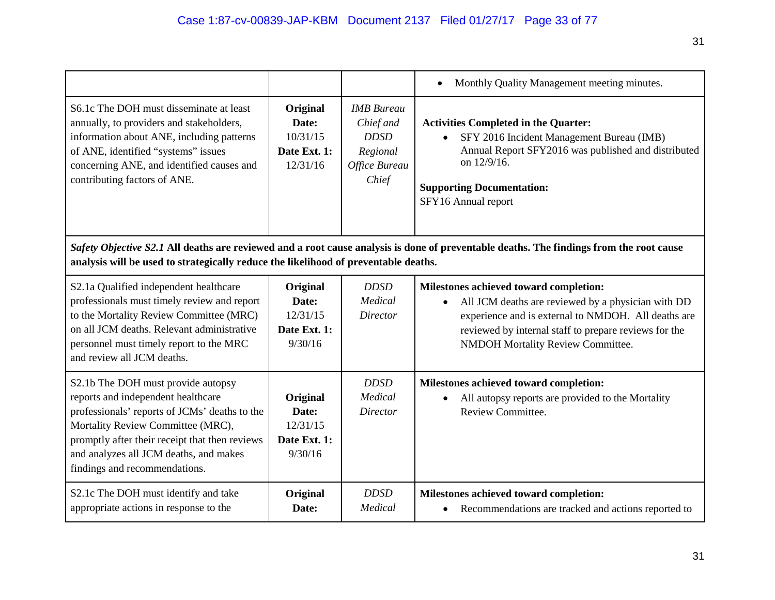|                                                                                                                                                                                                                                                                                             |                                                           |                                                                                     | Monthly Quality Management meeting minutes.<br>$\bullet$                                                                                                                                                                                          |
|---------------------------------------------------------------------------------------------------------------------------------------------------------------------------------------------------------------------------------------------------------------------------------------------|-----------------------------------------------------------|-------------------------------------------------------------------------------------|---------------------------------------------------------------------------------------------------------------------------------------------------------------------------------------------------------------------------------------------------|
| S6.1c The DOH must disseminate at least<br>annually, to providers and stakeholders,<br>information about ANE, including patterns<br>of ANE, identified "systems" issues<br>concerning ANE, and identified causes and<br>contributing factors of ANE.                                        | Original<br>Date:<br>10/31/15<br>Date Ext. 1:<br>12/31/16 | <b>IMB</b> Bureau<br>Chief and<br><b>DDSD</b><br>Regional<br>Office Bureau<br>Chief | <b>Activities Completed in the Quarter:</b><br>SFY 2016 Incident Management Bureau (IMB)<br>$\bullet$<br>Annual Report SFY2016 was published and distributed<br>on 12/9/16.<br><b>Supporting Documentation:</b><br>SFY16 Annual report            |
| analysis will be used to strategically reduce the likelihood of preventable deaths.                                                                                                                                                                                                         |                                                           |                                                                                     | Safety Objective S2.1 All deaths are reviewed and a root cause analysis is done of preventable deaths. The findings from the root cause                                                                                                           |
| S2.1a Qualified independent healthcare<br>professionals must timely review and report<br>to the Mortality Review Committee (MRC)<br>on all JCM deaths. Relevant administrative<br>personnel must timely report to the MRC<br>and review all JCM deaths.                                     | Original<br>Date:<br>12/31/15<br>Date Ext. 1:<br>9/30/16  | <b>DDSD</b><br>Medical<br><b>Director</b>                                           | Milestones achieved toward completion:<br>All JCM deaths are reviewed by a physician with DD<br>experience and is external to NMDOH. All deaths are<br>reviewed by internal staff to prepare reviews for the<br>NMDOH Mortality Review Committee. |
| S2.1b The DOH must provide autopsy<br>reports and independent healthcare<br>professionals' reports of JCMs' deaths to the<br>Mortality Review Committee (MRC),<br>promptly after their receipt that then reviews<br>and analyzes all JCM deaths, and makes<br>findings and recommendations. | Original<br>Date:<br>12/31/15<br>Date Ext. 1:<br>9/30/16  | <b>DDSD</b><br>Medical<br><b>Director</b>                                           | Milestones achieved toward completion:<br>All autopsy reports are provided to the Mortality<br>Review Committee.                                                                                                                                  |
| S2.1c The DOH must identify and take<br>appropriate actions in response to the                                                                                                                                                                                                              | Original<br>Date:                                         | <b>DDSD</b><br>Medical                                                              | Milestones achieved toward completion:<br>• Recommendations are tracked and actions reported to                                                                                                                                                   |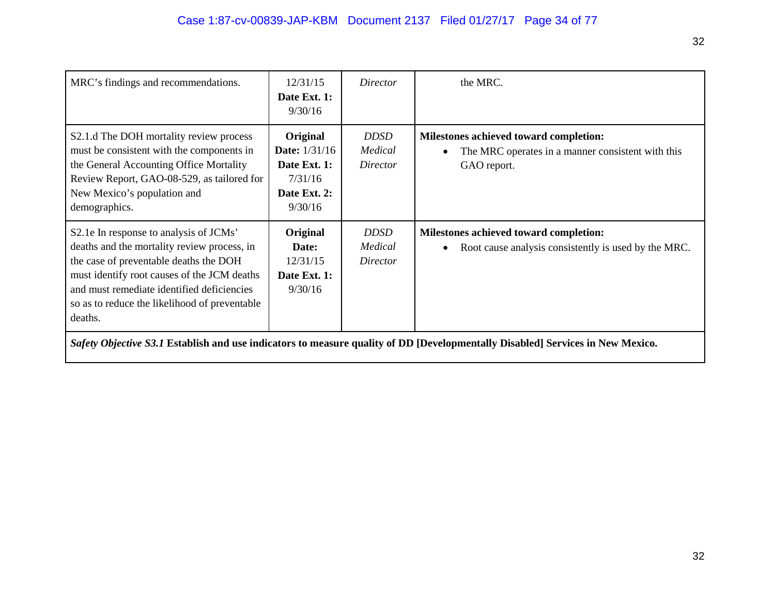| MRC's findings and recommendations.                                                                                                                                                                                                                                                      | 12/31/15<br>Date Ext. 1:<br>9/30/16                                                    | Director                           | the MRC.                                                                                                                       |
|------------------------------------------------------------------------------------------------------------------------------------------------------------------------------------------------------------------------------------------------------------------------------------------|----------------------------------------------------------------------------------------|------------------------------------|--------------------------------------------------------------------------------------------------------------------------------|
| S2.1.d The DOH mortality review process<br>must be consistent with the components in<br>the General Accounting Office Mortality<br>Review Report, GAO-08-529, as tailored for<br>New Mexico's population and<br>demographics.                                                            | Original<br><b>Date:</b> 1/31/16<br>Date Ext. 1:<br>7/31/16<br>Date Ext. 2:<br>9/30/16 | <i>DDSD</i><br>Medical<br>Director | Milestones achieved toward completion:<br>The MRC operates in a manner consistent with this<br>$\bullet$<br>GAO report.        |
| S2.1e In response to analysis of JCMs'<br>deaths and the mortality review process, in<br>the case of preventable deaths the DOH<br>must identify root causes of the JCM deaths<br>and must remediate identified deficiencies<br>so as to reduce the likelihood of preventable<br>deaths. | Original<br>Date:<br>12/31/15<br>Date Ext. 1:<br>9/30/16                               | <b>DDSD</b><br>Medical<br>Director | Milestones achieved toward completion:<br>Root cause analysis consistently is used by the MRC.<br>$\bullet$                    |
|                                                                                                                                                                                                                                                                                          |                                                                                        |                                    | Safety Objective S3.1 Establish and use indicators to measure quality of DD [Developmentally Disabled] Services in New Mexico. |

32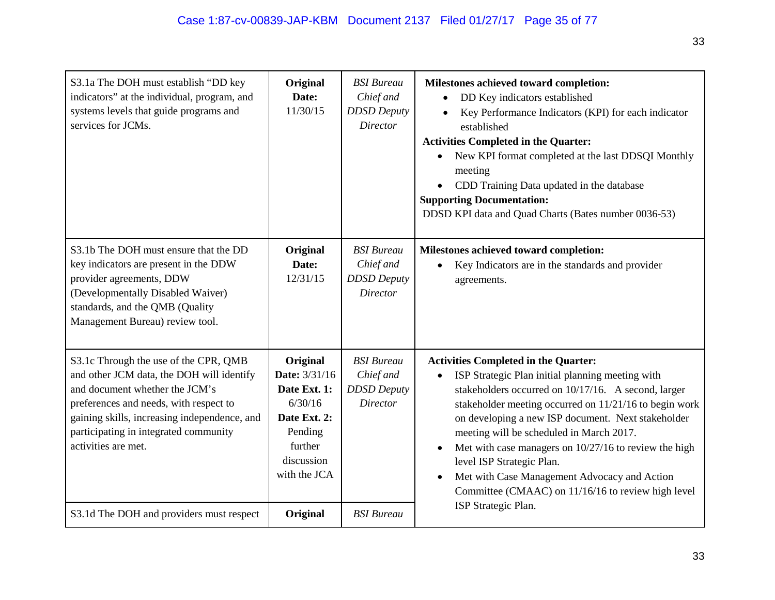| S3.1a The DOH must establish "DD key<br>indicators" at the individual, program, and<br>systems levels that guide programs and<br>services for JCMs.                                                                                                                            | Original<br>Date:<br>11/30/15                                                                                                   | <b>BSI</b> Bureau<br>Chief and<br><b>DDSD</b> Deputy<br><b>Director</b> | Milestones achieved toward completion:<br>DD Key indicators established<br>$\bullet$<br>Key Performance Indicators (KPI) for each indicator<br>$\bullet$<br>established<br><b>Activities Completed in the Quarter:</b><br>New KPI format completed at the last DDSQI Monthly<br>meeting<br>CDD Training Data updated in the database<br><b>Supporting Documentation:</b><br>DDSD KPI data and Quad Charts (Bates number 0036-53)                                                                               |
|--------------------------------------------------------------------------------------------------------------------------------------------------------------------------------------------------------------------------------------------------------------------------------|---------------------------------------------------------------------------------------------------------------------------------|-------------------------------------------------------------------------|----------------------------------------------------------------------------------------------------------------------------------------------------------------------------------------------------------------------------------------------------------------------------------------------------------------------------------------------------------------------------------------------------------------------------------------------------------------------------------------------------------------|
| S3.1b The DOH must ensure that the DD<br>key indicators are present in the DDW<br>provider agreements, DDW<br>(Developmentally Disabled Waiver)<br>standards, and the QMB (Quality<br>Management Bureau) review tool.                                                          | Original<br>Date:<br>12/31/15                                                                                                   | <b>BSI</b> Bureau<br>Chief and<br><b>DDSD</b> Deputy<br><b>Director</b> | Milestones achieved toward completion:<br>Key Indicators are in the standards and provider<br>agreements.                                                                                                                                                                                                                                                                                                                                                                                                      |
| S3.1c Through the use of the CPR, QMB<br>and other JCM data, the DOH will identify<br>and document whether the JCM's<br>preferences and needs, with respect to<br>gaining skills, increasing independence, and<br>participating in integrated community<br>activities are met. | Original<br><b>Date:</b> 3/31/16<br>Date Ext. 1:<br>6/30/16<br>Date Ext. 2:<br>Pending<br>further<br>discussion<br>with the JCA | <b>BSI</b> Bureau<br>Chief and<br><b>DDSD</b> Deputy<br><b>Director</b> | <b>Activities Completed in the Quarter:</b><br>ISP Strategic Plan initial planning meeting with<br>stakeholders occurred on 10/17/16. A second, larger<br>stakeholder meeting occurred on 11/21/16 to begin work<br>on developing a new ISP document. Next stakeholder<br>meeting will be scheduled in March 2017.<br>Met with case managers on 10/27/16 to review the high<br>level ISP Strategic Plan.<br>Met with Case Management Advocacy and Action<br>Committee (CMAAC) on 11/16/16 to review high level |
| S3.1d The DOH and providers must respect                                                                                                                                                                                                                                       | Original                                                                                                                        | <b>BSI</b> Bureau                                                       | ISP Strategic Plan.                                                                                                                                                                                                                                                                                                                                                                                                                                                                                            |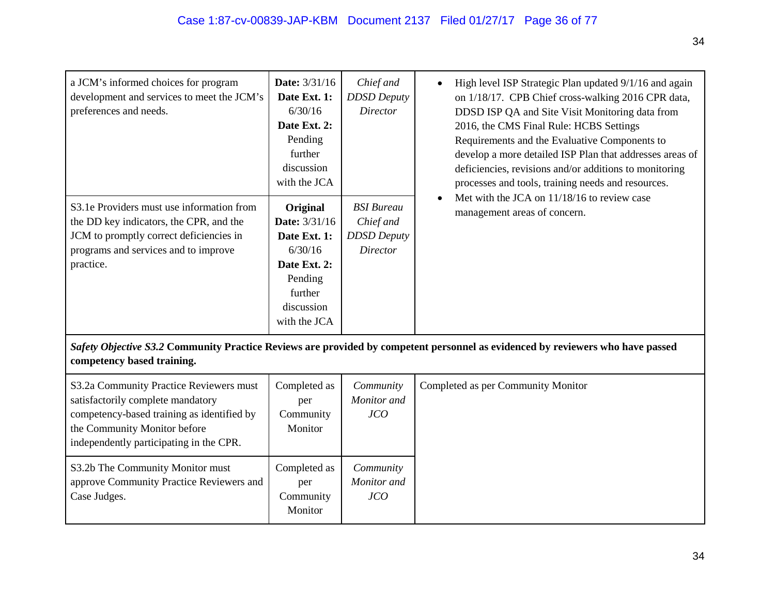| a JCM's informed choices for program<br>development and services to meet the JCM's<br>preferences and needs.                                                                                          | <b>Date:</b> 3/31/16<br>Date Ext. 1:<br>6/30/16<br>Date Ext. 2:<br>Pending<br>further<br>discussion<br>with the JCA             | Chief and<br><b>DDSD</b> Deputy<br><b>Director</b>                      | High level ISP Strategic Plan updated 9/1/16 and again<br>on 1/18/17. CPB Chief cross-walking 2016 CPR data,<br>DDSD ISP QA and Site Visit Monitoring data from<br>2016, the CMS Final Rule: HCBS Settings<br>Requirements and the Evaluative Components to<br>develop a more detailed ISP Plan that addresses areas of<br>deficiencies, revisions and/or additions to monitoring<br>processes and tools, training needs and resources.<br>Met with the JCA on 11/18/16 to review case<br>management areas of concern. |
|-------------------------------------------------------------------------------------------------------------------------------------------------------------------------------------------------------|---------------------------------------------------------------------------------------------------------------------------------|-------------------------------------------------------------------------|------------------------------------------------------------------------------------------------------------------------------------------------------------------------------------------------------------------------------------------------------------------------------------------------------------------------------------------------------------------------------------------------------------------------------------------------------------------------------------------------------------------------|
| S3.1e Providers must use information from<br>the DD key indicators, the CPR, and the<br>JCM to promptly correct deficiencies in<br>programs and services and to improve<br>practice.                  | Original<br><b>Date:</b> 3/31/16<br>Date Ext. 1:<br>6/30/16<br>Date Ext. 2:<br>Pending<br>further<br>discussion<br>with the JCA | <b>BSI</b> Bureau<br>Chief and<br><b>DDSD</b> Deputy<br><b>Director</b> |                                                                                                                                                                                                                                                                                                                                                                                                                                                                                                                        |
| competency based training.                                                                                                                                                                            |                                                                                                                                 |                                                                         | Safety Objective S3.2 Community Practice Reviews are provided by competent personnel as evidenced by reviewers who have passed                                                                                                                                                                                                                                                                                                                                                                                         |
| S3.2a Community Practice Reviewers must<br>satisfactorily complete mandatory<br>competency-based training as identified by<br>the Community Monitor before<br>independently participating in the CPR. | Completed as<br>per<br>Community<br>Monitor                                                                                     | Community<br>Monitor and<br>JCO                                         | Completed as per Community Monitor                                                                                                                                                                                                                                                                                                                                                                                                                                                                                     |
| S3.2b The Community Monitor must<br>approve Community Practice Reviewers and<br>Case Judges.                                                                                                          | Completed as<br>per<br>Community<br>Monitor                                                                                     | Community<br>Monitor and<br>JCO                                         |                                                                                                                                                                                                                                                                                                                                                                                                                                                                                                                        |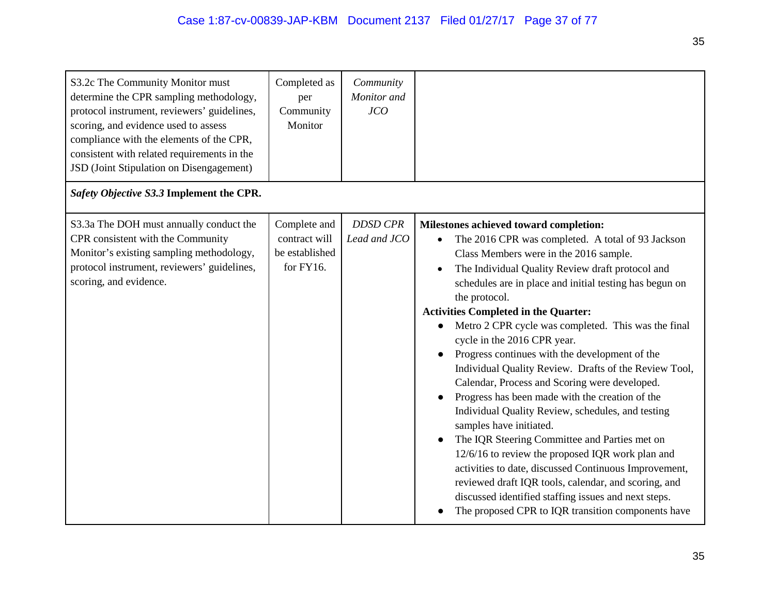| S3.2c The Community Monitor must<br>determine the CPR sampling methodology,<br>protocol instrument, reviewers' guidelines,<br>scoring, and evidence used to assess<br>compliance with the elements of the CPR,<br>consistent with related requirements in the<br>JSD (Joint Stipulation on Disengagement) | Completed as<br>per<br>Community<br>Monitor                  | Community<br>Monitor and<br>JCO |                                                                                                                                                                                                                                                                                                                                                                                                                                                                                                                                                                                                                                                                                                                                                                                                                                                                                                                                                                                                                                                            |
|-----------------------------------------------------------------------------------------------------------------------------------------------------------------------------------------------------------------------------------------------------------------------------------------------------------|--------------------------------------------------------------|---------------------------------|------------------------------------------------------------------------------------------------------------------------------------------------------------------------------------------------------------------------------------------------------------------------------------------------------------------------------------------------------------------------------------------------------------------------------------------------------------------------------------------------------------------------------------------------------------------------------------------------------------------------------------------------------------------------------------------------------------------------------------------------------------------------------------------------------------------------------------------------------------------------------------------------------------------------------------------------------------------------------------------------------------------------------------------------------------|
| Safety Objective S3.3 Implement the CPR.                                                                                                                                                                                                                                                                  |                                                              |                                 |                                                                                                                                                                                                                                                                                                                                                                                                                                                                                                                                                                                                                                                                                                                                                                                                                                                                                                                                                                                                                                                            |
| S3.3a The DOH must annually conduct the<br>CPR consistent with the Community<br>Monitor's existing sampling methodology,<br>protocol instrument, reviewers' guidelines,<br>scoring, and evidence.                                                                                                         | Complete and<br>contract will<br>be established<br>for FY16. | <b>DDSD CPR</b><br>Lead and JCO | Milestones achieved toward completion:<br>The 2016 CPR was completed. A total of 93 Jackson<br>Class Members were in the 2016 sample.<br>The Individual Quality Review draft protocol and<br>$\bullet$<br>schedules are in place and initial testing has begun on<br>the protocol.<br><b>Activities Completed in the Quarter:</b><br>Metro 2 CPR cycle was completed. This was the final<br>cycle in the 2016 CPR year.<br>Progress continues with the development of the<br>Individual Quality Review. Drafts of the Review Tool,<br>Calendar, Process and Scoring were developed.<br>Progress has been made with the creation of the<br>Individual Quality Review, schedules, and testing<br>samples have initiated.<br>The IQR Steering Committee and Parties met on<br>12/6/16 to review the proposed IQR work plan and<br>activities to date, discussed Continuous Improvement,<br>reviewed draft IQR tools, calendar, and scoring, and<br>discussed identified staffing issues and next steps.<br>The proposed CPR to IQR transition components have |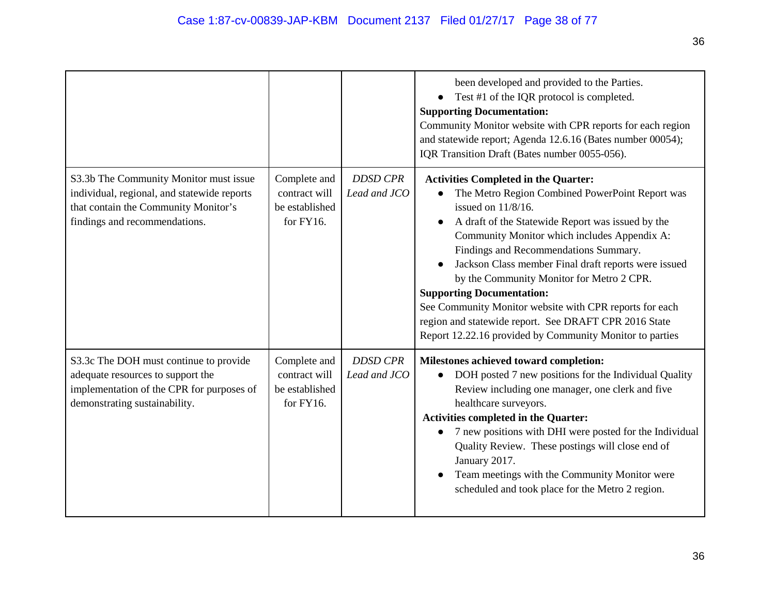|                                                                                                                                                                |                                                                 |                                 | been developed and provided to the Parties.<br>Test #1 of the IQR protocol is completed.<br><b>Supporting Documentation:</b><br>Community Monitor website with CPR reports for each region<br>and statewide report; Agenda 12.6.16 (Bates number 00054);<br>IQR Transition Draft (Bates number 0055-056).                                                                                                                                                                                                                                                                                   |
|----------------------------------------------------------------------------------------------------------------------------------------------------------------|-----------------------------------------------------------------|---------------------------------|---------------------------------------------------------------------------------------------------------------------------------------------------------------------------------------------------------------------------------------------------------------------------------------------------------------------------------------------------------------------------------------------------------------------------------------------------------------------------------------------------------------------------------------------------------------------------------------------|
| S3.3b The Community Monitor must issue<br>individual, regional, and statewide reports<br>that contain the Community Monitor's<br>findings and recommendations. | Complete and<br>contract will<br>be established<br>for $FY16$ . | <b>DDSD CPR</b><br>Lead and JCO | <b>Activities Completed in the Quarter:</b><br>The Metro Region Combined PowerPoint Report was<br>issued on 11/8/16.<br>A draft of the Statewide Report was issued by the<br>Community Monitor which includes Appendix A:<br>Findings and Recommendations Summary.<br>Jackson Class member Final draft reports were issued<br>by the Community Monitor for Metro 2 CPR.<br><b>Supporting Documentation:</b><br>See Community Monitor website with CPR reports for each<br>region and statewide report. See DRAFT CPR 2016 State<br>Report 12.22.16 provided by Community Monitor to parties |
| S3.3c The DOH must continue to provide<br>adequate resources to support the<br>implementation of the CPR for purposes of<br>demonstrating sustainability.      | Complete and<br>contract will<br>be established<br>for FY16.    | <b>DDSD CPR</b><br>Lead and JCO | Milestones achieved toward completion:<br>DOH posted 7 new positions for the Individual Quality<br>$\bullet$<br>Review including one manager, one clerk and five<br>healthcare surveyors.<br><b>Activities completed in the Quarter:</b><br>7 new positions with DHI were posted for the Individual<br>Quality Review. These postings will close end of<br>January 2017.<br>Team meetings with the Community Monitor were<br>scheduled and took place for the Metro 2 region.                                                                                                               |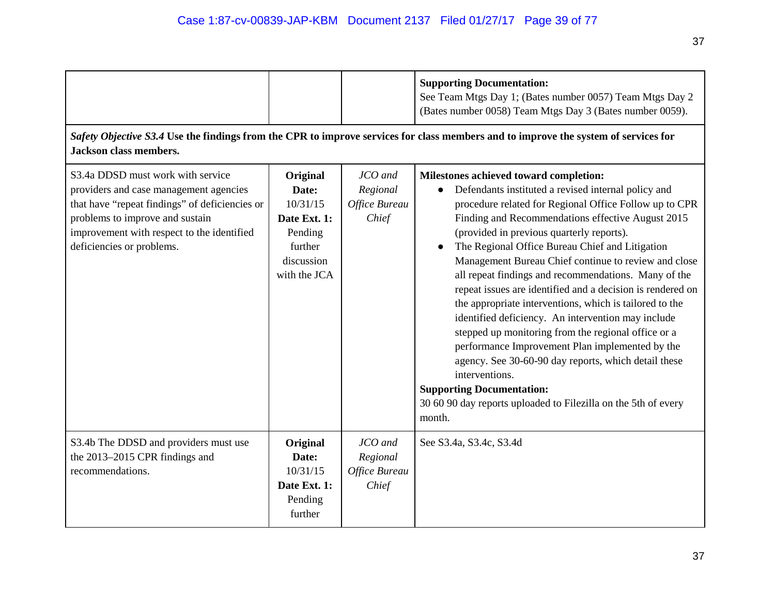|                                                                                                                                                                                                                                             |                                                                                                   |                                               | <b>Supporting Documentation:</b><br>See Team Mtgs Day 1; (Bates number 0057) Team Mtgs Day 2<br>(Bates number 0058) Team Mtgs Day 3 (Bates number 0059).<br>Safety Objective S3.4 Use the findings from the CPR to improve services for class members and to improve the system of services for                                                                                                                                                                                                                                                                                                                                                                                                                                                                                                                                                                                                                 |
|---------------------------------------------------------------------------------------------------------------------------------------------------------------------------------------------------------------------------------------------|---------------------------------------------------------------------------------------------------|-----------------------------------------------|-----------------------------------------------------------------------------------------------------------------------------------------------------------------------------------------------------------------------------------------------------------------------------------------------------------------------------------------------------------------------------------------------------------------------------------------------------------------------------------------------------------------------------------------------------------------------------------------------------------------------------------------------------------------------------------------------------------------------------------------------------------------------------------------------------------------------------------------------------------------------------------------------------------------|
| <b>Jackson class members.</b>                                                                                                                                                                                                               |                                                                                                   |                                               |                                                                                                                                                                                                                                                                                                                                                                                                                                                                                                                                                                                                                                                                                                                                                                                                                                                                                                                 |
| S3.4a DDSD must work with service<br>providers and case management agencies<br>that have "repeat findings" of deficiencies or<br>problems to improve and sustain<br>improvement with respect to the identified<br>deficiencies or problems. | Original<br>Date:<br>10/31/15<br>Date Ext. 1:<br>Pending<br>further<br>discussion<br>with the JCA | JCO and<br>Regional<br>Office Bureau<br>Chief | Milestones achieved toward completion:<br>Defendants instituted a revised internal policy and<br>procedure related for Regional Office Follow up to CPR<br>Finding and Recommendations effective August 2015<br>(provided in previous quarterly reports).<br>The Regional Office Bureau Chief and Litigation<br>Management Bureau Chief continue to review and close<br>all repeat findings and recommendations. Many of the<br>repeat issues are identified and a decision is rendered on<br>the appropriate interventions, which is tailored to the<br>identified deficiency. An intervention may include<br>stepped up monitoring from the regional office or a<br>performance Improvement Plan implemented by the<br>agency. See 30-60-90 day reports, which detail these<br>interventions.<br><b>Supporting Documentation:</b><br>30 60 90 day reports uploaded to Filezilla on the 5th of every<br>month. |
| S3.4b The DDSD and providers must use<br>the 2013-2015 CPR findings and<br>recommendations.                                                                                                                                                 | Original<br>Date:<br>10/31/15<br>Date Ext. 1:<br>Pending<br>further                               | JCO and<br>Regional<br>Office Bureau<br>Chief | See S3.4a, S3.4c, S3.4d                                                                                                                                                                                                                                                                                                                                                                                                                                                                                                                                                                                                                                                                                                                                                                                                                                                                                         |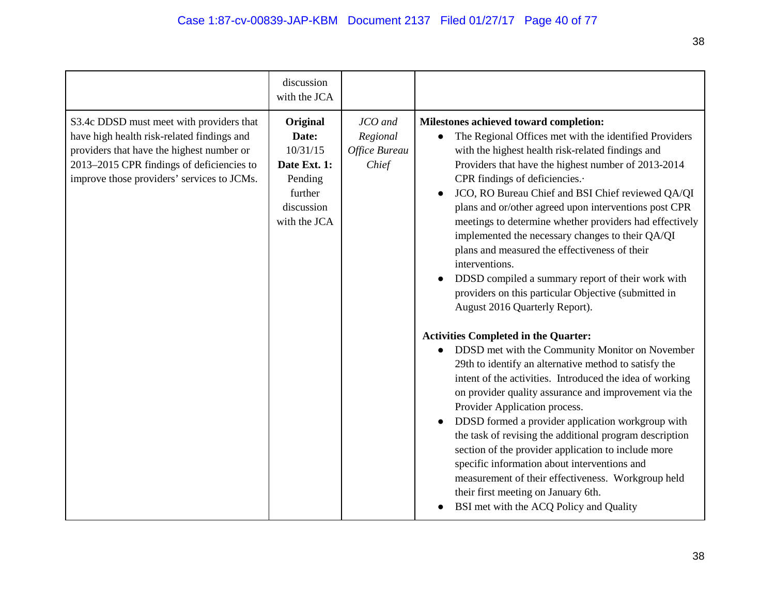|                                                                                                                                                                                                                                | discussion<br>with the JCA                                                                        |                                               |                                                                                                                                                                                                                                                                                                                                                                                                                                                                                                                                                                                                                                                                                                                                                                                                                                                                                                                                                                                                                                                                                                                                                                                                                                                                                                                                                                              |
|--------------------------------------------------------------------------------------------------------------------------------------------------------------------------------------------------------------------------------|---------------------------------------------------------------------------------------------------|-----------------------------------------------|------------------------------------------------------------------------------------------------------------------------------------------------------------------------------------------------------------------------------------------------------------------------------------------------------------------------------------------------------------------------------------------------------------------------------------------------------------------------------------------------------------------------------------------------------------------------------------------------------------------------------------------------------------------------------------------------------------------------------------------------------------------------------------------------------------------------------------------------------------------------------------------------------------------------------------------------------------------------------------------------------------------------------------------------------------------------------------------------------------------------------------------------------------------------------------------------------------------------------------------------------------------------------------------------------------------------------------------------------------------------------|
| S3.4c DDSD must meet with providers that<br>have high health risk-related findings and<br>providers that have the highest number or<br>2013-2015 CPR findings of deficiencies to<br>improve those providers' services to JCMs. | Original<br>Date:<br>10/31/15<br>Date Ext. 1:<br>Pending<br>further<br>discussion<br>with the JCA | JCO and<br>Regional<br>Office Bureau<br>Chief | Milestones achieved toward completion:<br>The Regional Offices met with the identified Providers<br>with the highest health risk-related findings and<br>Providers that have the highest number of 2013-2014<br>CPR findings of deficiencies.<br>JCO, RO Bureau Chief and BSI Chief reviewed QA/QI<br>plans and or/other agreed upon interventions post CPR<br>meetings to determine whether providers had effectively<br>implemented the necessary changes to their QA/QI<br>plans and measured the effectiveness of their<br>interventions.<br>DDSD compiled a summary report of their work with<br>providers on this particular Objective (submitted in<br>August 2016 Quarterly Report).<br><b>Activities Completed in the Quarter:</b><br>DDSD met with the Community Monitor on November<br>29th to identify an alternative method to satisfy the<br>intent of the activities. Introduced the idea of working<br>on provider quality assurance and improvement via the<br>Provider Application process.<br>DDSD formed a provider application workgroup with<br>the task of revising the additional program description<br>section of the provider application to include more<br>specific information about interventions and<br>measurement of their effectiveness. Workgroup held<br>their first meeting on January 6th.<br>BSI met with the ACQ Policy and Quality |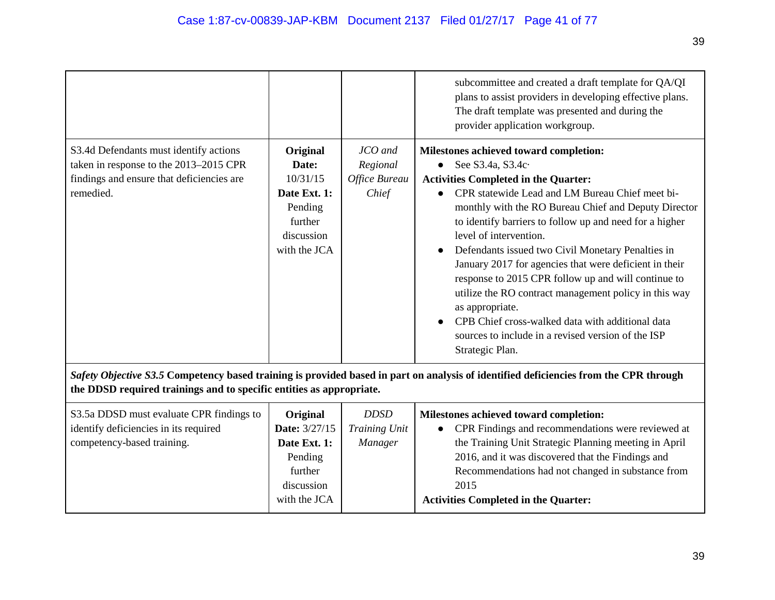|                                                                                                                                            |                                                                                                   |                                               | subcommittee and created a draft template for QA/QI<br>plans to assist providers in developing effective plans.<br>The draft template was presented and during the<br>provider application workgroup.                                                                                                                                                                                                                                                                                                                                                                                                                                                                                     |
|--------------------------------------------------------------------------------------------------------------------------------------------|---------------------------------------------------------------------------------------------------|-----------------------------------------------|-------------------------------------------------------------------------------------------------------------------------------------------------------------------------------------------------------------------------------------------------------------------------------------------------------------------------------------------------------------------------------------------------------------------------------------------------------------------------------------------------------------------------------------------------------------------------------------------------------------------------------------------------------------------------------------------|
| S3.4d Defendants must identify actions<br>taken in response to the 2013–2015 CPR<br>findings and ensure that deficiencies are<br>remedied. | Original<br>Date:<br>10/31/15<br>Date Ext. 1:<br>Pending<br>further<br>discussion<br>with the JCA | JCO and<br>Regional<br>Office Bureau<br>Chief | Milestones achieved toward completion:<br>See S3.4a, S3.4c.<br><b>Activities Completed in the Quarter:</b><br>CPR statewide Lead and LM Bureau Chief meet bi-<br>monthly with the RO Bureau Chief and Deputy Director<br>to identify barriers to follow up and need for a higher<br>level of intervention.<br>Defendants issued two Civil Monetary Penalties in<br>January 2017 for agencies that were deficient in their<br>response to 2015 CPR follow up and will continue to<br>utilize the RO contract management policy in this way<br>as appropriate.<br>CPB Chief cross-walked data with additional data<br>sources to include in a revised version of the ISP<br>Strategic Plan. |

*Safety Objective S3.5* **Competency based training is provided based in part on analysis of identified deficiencies from the CPR through the DDSD required trainings and to specific entities as appropriate.**

| S3.5a DDSD must evaluate CPR findings to | Original             | <i>DDSD</i>    | Milestones achieved toward completion:                |
|------------------------------------------|----------------------|----------------|-------------------------------------------------------|
| identify deficiencies in its required    | <b>Date:</b> 3/27/15 | Training Unit  | • CPR Findings and recommendations were reviewed at   |
| competency-based training.               | Date Ext. 1:         | <i>Manager</i> | the Training Unit Strategic Planning meeting in April |
|                                          | Pending              |                | 2016, and it was discovered that the Findings and     |
|                                          | further              |                | Recommendations had not changed in substance from     |
|                                          | discussion           |                | 2015                                                  |
|                                          | with the JCA         |                | <b>Activities Completed in the Quarter:</b>           |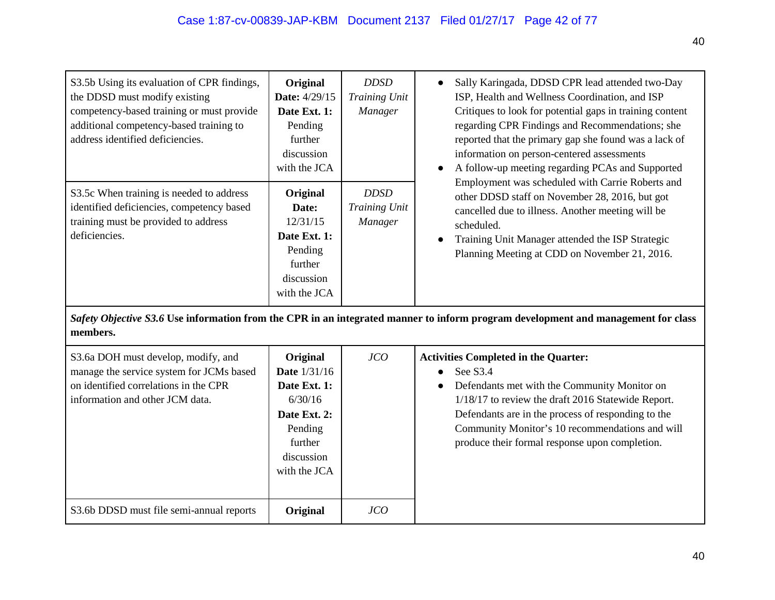| S3.5b Using its evaluation of CPR findings,<br>the DDSD must modify existing<br>competency-based training or must provide<br>additional competency-based training to<br>address identified deficiencies. | Original<br><b>Date:</b> 4/29/15<br>Date Ext. 1:<br>Pending<br>further<br>discussion<br>with the JCA | <i>DDSD</i><br>Training Unit<br>Manager | Sally Karingada, DDSD CPR lead attended two-Day<br>ISP, Health and Wellness Coordination, and ISP<br>Critiques to look for potential gaps in training content<br>regarding CPR Findings and Recommendations; she<br>reported that the primary gap she found was a lack of<br>information on person-centered assessments<br>A follow-up meeting regarding PCAs and Supported |
|----------------------------------------------------------------------------------------------------------------------------------------------------------------------------------------------------------|------------------------------------------------------------------------------------------------------|-----------------------------------------|-----------------------------------------------------------------------------------------------------------------------------------------------------------------------------------------------------------------------------------------------------------------------------------------------------------------------------------------------------------------------------|
| S3.5c When training is needed to address<br>identified deficiencies, competency based<br>training must be provided to address<br>deficiencies.                                                           | Original<br>Date:<br>12/31/15<br>Date Ext. 1:<br>Pending<br>further<br>discussion<br>with the JCA    | <i>DDSD</i><br>Training Unit<br>Manager | Employment was scheduled with Carrie Roberts and<br>other DDSD staff on November 28, 2016, but got<br>cancelled due to illness. Another meeting will be<br>scheduled.<br>Training Unit Manager attended the ISP Strategic<br>Planning Meeting at CDD on November 21, 2016.                                                                                                  |

*Safety Objective S3.6* **Use information from the CPR in an integrated manner to inform program development and management for class members.**

| S3.6a DOH must develop, modify, and<br>manage the service system for JCMs based<br>on identified correlations in the CPR<br>information and other JCM data. | Original<br><b>Date</b> 1/31/16<br>Date Ext. 1:<br>6/30/16<br>Date Ext. 2:<br>Pending<br>further<br>discussion<br>with the JCA | JCO | <b>Activities Completed in the Quarter:</b><br>See S <sub>3.4</sub><br>Defendants met with the Community Monitor on<br>1/18/17 to review the draft 2016 Statewide Report.<br>Defendants are in the process of responding to the<br>Community Monitor's 10 recommendations and will<br>produce their formal response upon completion. |
|-------------------------------------------------------------------------------------------------------------------------------------------------------------|--------------------------------------------------------------------------------------------------------------------------------|-----|--------------------------------------------------------------------------------------------------------------------------------------------------------------------------------------------------------------------------------------------------------------------------------------------------------------------------------------|
| S3.6b DDSD must file semi-annual reports                                                                                                                    | Original                                                                                                                       | JCO |                                                                                                                                                                                                                                                                                                                                      |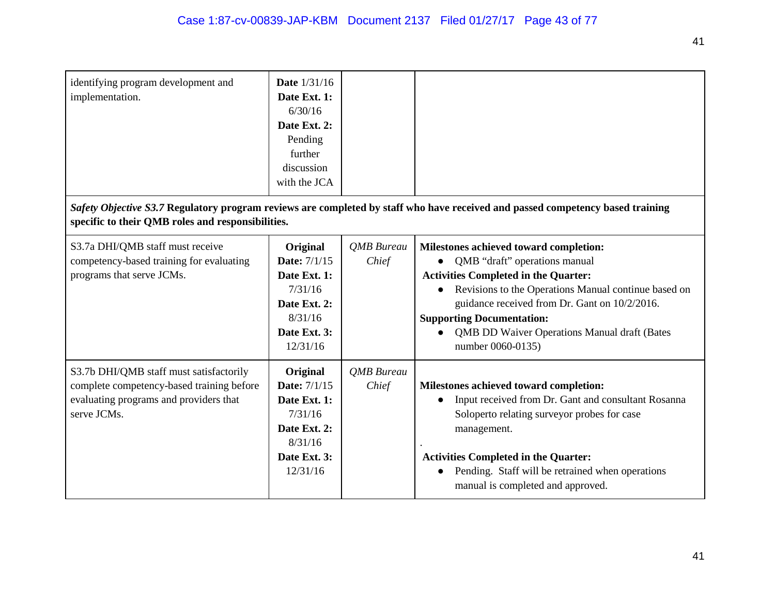| identifying program development and<br>implementation.                                                                                        | <b>Date</b> 1/31/16<br>Date Ext. 1:<br>6/30/16<br>Date Ext. 2:<br>Pending<br>further<br>discussion<br>with the JCA |                            |                                                                                                                                                                                                                                                                                                                                                   |
|-----------------------------------------------------------------------------------------------------------------------------------------------|--------------------------------------------------------------------------------------------------------------------|----------------------------|---------------------------------------------------------------------------------------------------------------------------------------------------------------------------------------------------------------------------------------------------------------------------------------------------------------------------------------------------|
| specific to their QMB roles and responsibilities.                                                                                             |                                                                                                                    |                            | Safety Objective S3.7 Regulatory program reviews are completed by staff who have received and passed competency based training                                                                                                                                                                                                                    |
| S3.7a DHI/QMB staff must receive<br>competency-based training for evaluating<br>programs that serve JCMs.                                     | Original<br><b>Date: 7/1/15</b><br>Date Ext. 1:<br>7/31/16<br>Date Ext. 2:<br>8/31/16<br>Date Ext. 3:<br>12/31/16  | <b>QMB</b> Bureau<br>Chief | Milestones achieved toward completion:<br>• QMB "draft" operations manual<br><b>Activities Completed in the Quarter:</b><br>Revisions to the Operations Manual continue based on<br>guidance received from Dr. Gant on 10/2/2016.<br><b>Supporting Documentation:</b><br><b>QMB DD Waiver Operations Manual draft (Bates</b><br>number 0060-0135) |
| S3.7b DHI/QMB staff must satisfactorily<br>complete competency-based training before<br>evaluating programs and providers that<br>serve JCMs. | Original<br><b>Date: 7/1/15</b><br>Date Ext. 1:<br>7/31/16<br>Date Ext. 2:<br>8/31/16<br>Date Ext. 3:<br>12/31/16  | QMB Bureau<br>Chief        | Milestones achieved toward completion:<br>Input received from Dr. Gant and consultant Rosanna<br>Soloperto relating surveyor probes for case<br>management.<br><b>Activities Completed in the Quarter:</b><br>Pending. Staff will be retrained when operations<br>manual is completed and approved.                                               |

41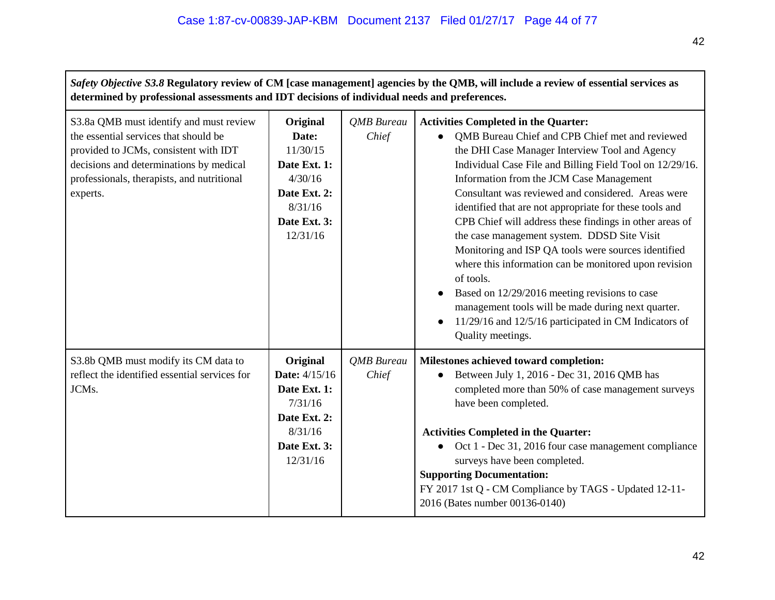| Safety Objective S3.8 Regulatory review of CM [case management] agencies by the QMB, will include a review of essential services as<br>determined by professional assessments and IDT decisions of individual needs and preferences. |                                                                                                                 |                            |                                                                                                                                                                                                                                                                                                                                                                                                                                                                                                                                                                                                                                                                                                                                                                                                       |  |
|--------------------------------------------------------------------------------------------------------------------------------------------------------------------------------------------------------------------------------------|-----------------------------------------------------------------------------------------------------------------|----------------------------|-------------------------------------------------------------------------------------------------------------------------------------------------------------------------------------------------------------------------------------------------------------------------------------------------------------------------------------------------------------------------------------------------------------------------------------------------------------------------------------------------------------------------------------------------------------------------------------------------------------------------------------------------------------------------------------------------------------------------------------------------------------------------------------------------------|--|
| S3.8a QMB must identify and must review<br>the essential services that should be<br>provided to JCMs, consistent with IDT<br>decisions and determinations by medical<br>professionals, therapists, and nutritional<br>experts.       | Original<br>Date:<br>11/30/15<br>Date Ext. 1:<br>4/30/16<br>Date Ext. 2:<br>8/31/16<br>Date Ext. 3:<br>12/31/16 | <b>QMB</b> Bureau<br>Chief | <b>Activities Completed in the Quarter:</b><br>QMB Bureau Chief and CPB Chief met and reviewed<br>the DHI Case Manager Interview Tool and Agency<br>Individual Case File and Billing Field Tool on 12/29/16.<br>Information from the JCM Case Management<br>Consultant was reviewed and considered. Areas were<br>identified that are not appropriate for these tools and<br>CPB Chief will address these findings in other areas of<br>the case management system. DDSD Site Visit<br>Monitoring and ISP QA tools were sources identified<br>where this information can be monitored upon revision<br>of tools.<br>Based on 12/29/2016 meeting revisions to case<br>management tools will be made during next quarter.<br>11/29/16 and 12/5/16 participated in CM Indicators of<br>Quality meetings. |  |
| S3.8b QMB must modify its CM data to<br>reflect the identified essential services for<br>JCMs.                                                                                                                                       | Original<br>Date: 4/15/16<br>Date Ext. 1:<br>7/31/16<br>Date Ext. 2:<br>8/31/16<br>Date Ext. 3:<br>12/31/16     | <b>QMB</b> Bureau<br>Chief | Milestones achieved toward completion:<br>Between July 1, 2016 - Dec 31, 2016 QMB has<br>completed more than 50% of case management surveys<br>have been completed.<br><b>Activities Completed in the Quarter:</b><br>Oct 1 - Dec 31, 2016 four case management compliance<br>surveys have been completed.<br><b>Supporting Documentation:</b><br>FY 2017 1st Q - CM Compliance by TAGS - Updated 12-11-<br>2016 (Bates number 00136-0140)                                                                                                                                                                                                                                                                                                                                                            |  |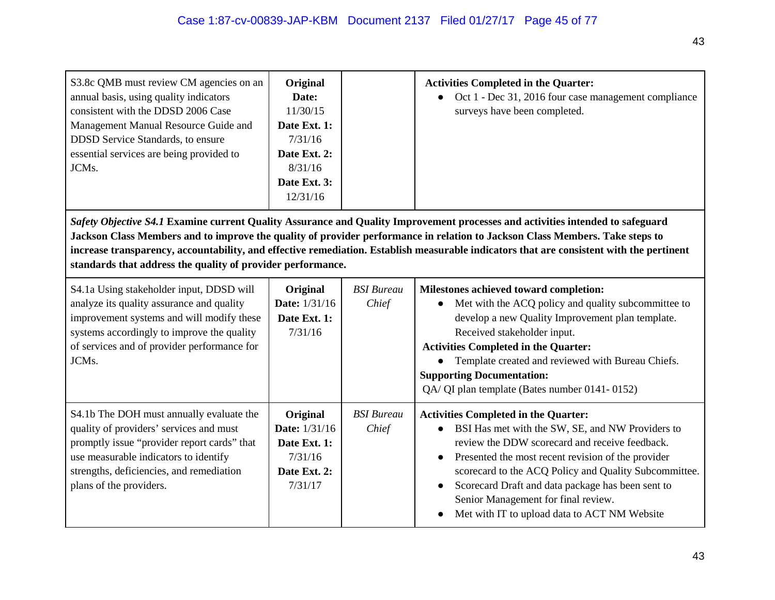| S3.8c QMB must review CM agencies on an<br>annual basis, using quality indicators<br>consistent with the DDSD 2006 Case<br>Management Manual Resource Guide and<br><b>DDSD</b> Service Standards, to ensure<br>essential services are being provided to<br>JCMs.                                                                                                                                                                                                          | Original<br>Date:<br>11/30/15<br>Date Ext. 1:<br>7/31/16<br>Date Ext. 2:<br>8/31/16<br>Date Ext. 3:<br>12/31/16 |                            | <b>Activities Completed in the Quarter:</b><br>Oct 1 - Dec 31, 2016 four case management compliance<br>$\bullet$<br>surveys have been completed.                                                                                                                                                                                                                                                                                       |  |  |
|---------------------------------------------------------------------------------------------------------------------------------------------------------------------------------------------------------------------------------------------------------------------------------------------------------------------------------------------------------------------------------------------------------------------------------------------------------------------------|-----------------------------------------------------------------------------------------------------------------|----------------------------|----------------------------------------------------------------------------------------------------------------------------------------------------------------------------------------------------------------------------------------------------------------------------------------------------------------------------------------------------------------------------------------------------------------------------------------|--|--|
| Safety Objective S4.1 Examine current Quality Assurance and Quality Improvement processes and activities intended to safeguard<br>Jackson Class Members and to improve the quality of provider performance in relation to Jackson Class Members. Take steps to<br>increase transparency, accountability, and effective remediation. Establish measurable indicators that are consistent with the pertinent<br>standards that address the quality of provider performance. |                                                                                                                 |                            |                                                                                                                                                                                                                                                                                                                                                                                                                                        |  |  |
| S4.1a Using stakeholder input, DDSD will<br>analyze its quality assurance and quality<br>improvement systems and will modify these<br>systems accordingly to improve the quality<br>of services and of provider performance for<br>JCMs.                                                                                                                                                                                                                                  | Original<br><b>Date:</b> 1/31/16<br>Date Ext. 1:<br>7/31/16                                                     | <b>BSI</b> Bureau<br>Chief | Milestones achieved toward completion:<br>Met with the ACQ policy and quality subcommittee to<br>develop a new Quality Improvement plan template.<br>Received stakeholder input.<br><b>Activities Completed in the Quarter:</b><br>Template created and reviewed with Bureau Chiefs.<br><b>Supporting Documentation:</b><br>QA/ QI plan template (Bates number 0141-0152)                                                              |  |  |
| S4.1b The DOH must annually evaluate the<br>quality of providers' services and must<br>promptly issue "provider report cards" that<br>use measurable indicators to identify<br>strengths, deficiencies, and remediation<br>plans of the providers.                                                                                                                                                                                                                        | Original<br>Date: 1/31/16<br>Date Ext. 1:<br>7/31/16<br>Date Ext. 2:<br>7/31/17                                 | <b>BSI</b> Bureau<br>Chief | <b>Activities Completed in the Quarter:</b><br>BSI Has met with the SW, SE, and NW Providers to<br>review the DDW scorecard and receive feedback.<br>Presented the most recent revision of the provider<br>$\bullet$<br>scorecard to the ACQ Policy and Quality Subcommittee.<br>Scorecard Draft and data package has been sent to<br>$\bullet$<br>Senior Management for final review.<br>Met with IT to upload data to ACT NM Website |  |  |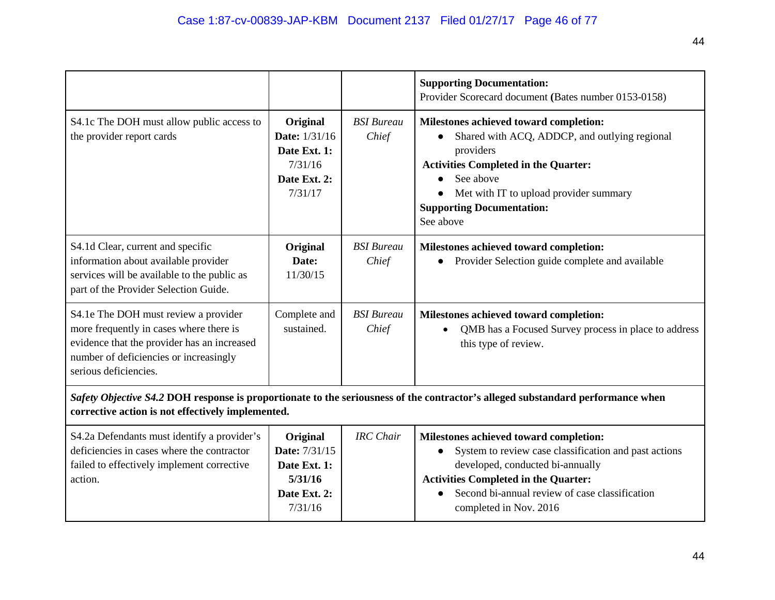|                                                                                                                                                                                                   |                                                                                        |                            | <b>Supporting Documentation:</b>                                                                                                                                                                                                                               |  |
|---------------------------------------------------------------------------------------------------------------------------------------------------------------------------------------------------|----------------------------------------------------------------------------------------|----------------------------|----------------------------------------------------------------------------------------------------------------------------------------------------------------------------------------------------------------------------------------------------------------|--|
|                                                                                                                                                                                                   |                                                                                        |                            | Provider Scorecard document (Bates number 0153-0158)                                                                                                                                                                                                           |  |
| S4.1c The DOH must allow public access to<br>the provider report cards                                                                                                                            | Original<br><b>Date:</b> 1/31/16<br>Date Ext. 1:<br>7/31/16<br>Date Ext. 2:<br>7/31/17 | <b>BSI</b> Bureau<br>Chief | Milestones achieved toward completion:<br>Shared with ACQ, ADDCP, and outlying regional<br>providers<br><b>Activities Completed in the Quarter:</b><br>See above<br>Met with IT to upload provider summary<br><b>Supporting Documentation:</b><br>See above    |  |
| S4.1d Clear, current and specific<br>information about available provider<br>services will be available to the public as<br>part of the Provider Selection Guide.                                 | Original<br>Date:<br>11/30/15                                                          | <b>BSI</b> Bureau<br>Chief | Milestones achieved toward completion:<br>Provider Selection guide complete and available                                                                                                                                                                      |  |
| S4.1e The DOH must review a provider<br>more frequently in cases where there is<br>evidence that the provider has an increased<br>number of deficiencies or increasingly<br>serious deficiencies. | Complete and<br>sustained.                                                             | <b>BSI</b> Bureau<br>Chief | Milestones achieved toward completion:<br>QMB has a Focused Survey process in place to address<br>$\bullet$<br>this type of review.                                                                                                                            |  |
| Safety Objective S4.2 DOH response is proportionate to the seriousness of the contractor's alleged substandard performance when<br>corrective action is not effectively implemented.              |                                                                                        |                            |                                                                                                                                                                                                                                                                |  |
| S4.2a Defendants must identify a provider's<br>deficiencies in cases where the contractor<br>failed to effectively implement corrective<br>action.                                                | Original<br>Date: 7/31/15<br>Date Ext. 1:<br>5/31/16<br>Date Ext. 2:<br>7/31/16        | <b>IRC</b> Chair           | Milestones achieved toward completion:<br>System to review case classification and past actions<br>developed, conducted bi-annually<br><b>Activities Completed in the Quarter:</b><br>Second bi-annual review of case classification<br>completed in Nov. 2016 |  |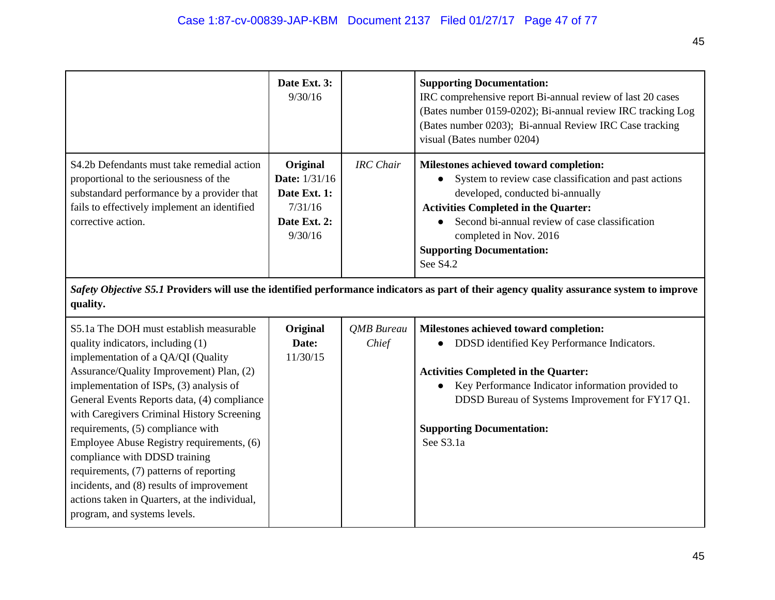|                                                                                                                                                                                                          | Date Ext. 3:<br>9/30/16                                                                |                  | <b>Supporting Documentation:</b><br>IRC comprehensive report Bi-annual review of last 20 cases<br>(Bates number 0159-0202); Bi-annual review IRC tracking Log<br>(Bates number 0203); Bi-annual Review IRC Case tracking<br>visual (Bates number 0204)                                                           |
|----------------------------------------------------------------------------------------------------------------------------------------------------------------------------------------------------------|----------------------------------------------------------------------------------------|------------------|------------------------------------------------------------------------------------------------------------------------------------------------------------------------------------------------------------------------------------------------------------------------------------------------------------------|
| S4.2b Defendants must take remedial action<br>proportional to the seriousness of the<br>substandard performance by a provider that<br>fails to effectively implement an identified<br>corrective action. | Original<br><b>Date:</b> 1/31/16<br>Date Ext. 1:<br>7/31/16<br>Date Ext. 2:<br>9/30/16 | <b>IRC</b> Chair | Milestones achieved toward completion:<br>• System to review case classification and past actions<br>developed, conducted bi-annually<br><b>Activities Completed in the Quarter:</b><br>Second bi-annual review of case classification<br>completed in Nov. 2016<br><b>Supporting Documentation:</b><br>See S4.2 |

*Safety Objective S5.1* **Providers will use the identified performance indicators as part of their agency quality assurance system to improve quality.**

| S5.1a The DOH must establish measurable<br>quality indicators, including (1)<br>implementation of a QA/QI (Quality<br>Assurance/Quality Improvement) Plan, (2)<br>implementation of ISPs, (3) analysis of<br>General Events Reports data, (4) compliance | Original<br>Date:<br>11/30/15 | QMB Bureau<br>Chief | Milestones achieved toward completion:<br>DDSD identified Key Performance Indicators.<br><b>Activities Completed in the Quarter:</b><br>Key Performance Indicator information provided to<br>$\bullet$<br>DDSD Bureau of Systems Improvement for FY17 Q1. |
|----------------------------------------------------------------------------------------------------------------------------------------------------------------------------------------------------------------------------------------------------------|-------------------------------|---------------------|-----------------------------------------------------------------------------------------------------------------------------------------------------------------------------------------------------------------------------------------------------------|
| with Caregivers Criminal History Screening<br>requirements, (5) compliance with                                                                                                                                                                          |                               |                     | <b>Supporting Documentation:</b>                                                                                                                                                                                                                          |
| Employee Abuse Registry requirements, (6)<br>compliance with DDSD training<br>requirements, (7) patterns of reporting<br>incidents, and (8) results of improvement<br>actions taken in Quarters, at the individual,<br>program, and systems levels.      |                               |                     | See S3.1a                                                                                                                                                                                                                                                 |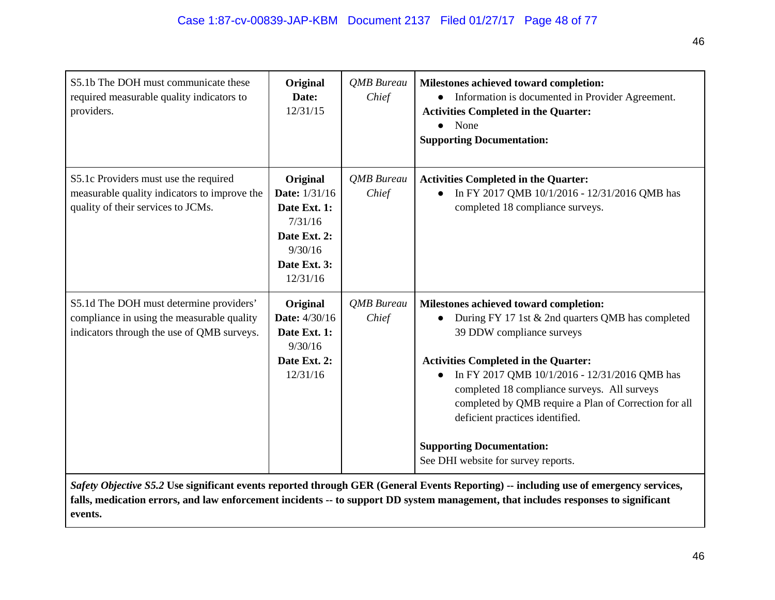| S5.1b The DOH must communicate these<br>required measurable quality indicators to<br>providers.                                     | Original<br>Date:<br>12/31/15                                                                               | <b>OMB</b> Bureau<br>Chief | Milestones achieved toward completion:<br>Information is documented in Provider Agreement.<br><b>Activities Completed in the Quarter:</b><br>None<br>$\bullet$<br><b>Supporting Documentation:</b>                                                                                                                                                                                                                                                           |
|-------------------------------------------------------------------------------------------------------------------------------------|-------------------------------------------------------------------------------------------------------------|----------------------------|--------------------------------------------------------------------------------------------------------------------------------------------------------------------------------------------------------------------------------------------------------------------------------------------------------------------------------------------------------------------------------------------------------------------------------------------------------------|
| S5.1c Providers must use the required<br>measurable quality indicators to improve the<br>quality of their services to JCMs.         | Original<br>Date: 1/31/16<br>Date Ext. 1:<br>7/31/16<br>Date Ext. 2:<br>9/30/16<br>Date Ext. 3:<br>12/31/16 | <b>OMB</b> Bureau<br>Chief | <b>Activities Completed in the Quarter:</b><br>In FY 2017 QMB 10/1/2016 - 12/31/2016 QMB has<br>completed 18 compliance surveys.                                                                                                                                                                                                                                                                                                                             |
| S5.1d The DOH must determine providers'<br>compliance in using the measurable quality<br>indicators through the use of QMB surveys. | Original<br>Date: 4/30/16<br>Date Ext. 1:<br>9/30/16<br>Date Ext. 2:<br>12/31/16                            | QMB Bureau<br>Chief        | Milestones achieved toward completion:<br>During FY 17 1st & 2nd quarters QMB has completed<br>39 DDW compliance surveys<br><b>Activities Completed in the Quarter:</b><br>In FY 2017 QMB 10/1/2016 - 12/31/2016 QMB has<br>$\bullet$<br>completed 18 compliance surveys. All surveys<br>completed by QMB require a Plan of Correction for all<br>deficient practices identified.<br><b>Supporting Documentation:</b><br>See DHI website for survey reports. |

*Safety Objective S5.2* **Use significant events reported through GER (General Events Reporting) -- including use of emergency services, falls, medication errors, and law enforcement incidents -- to support DD system management, that includes responses to significant events.**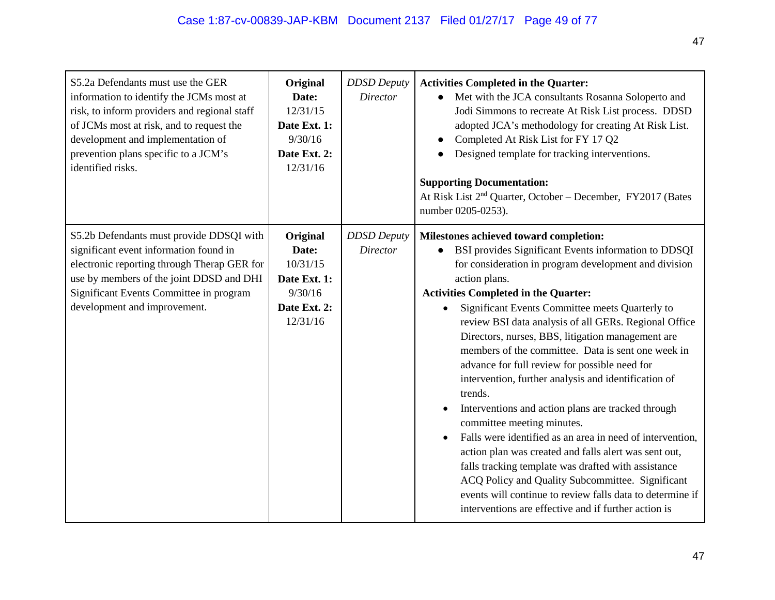| S5.2a Defendants must use the GER<br>information to identify the JCMs most at<br>risk, to inform providers and regional staff<br>of JCMs most at risk, and to request the<br>development and implementation of<br>prevention plans specific to a JCM's<br>identified risks. | Original<br>Date:<br>12/31/15<br>Date Ext. 1:<br>9/30/16<br>Date Ext. 2:<br>12/31/16 | <b>DDSD</b> Deputy<br><b>Director</b> | <b>Activities Completed in the Quarter:</b><br>Met with the JCA consultants Rosanna Soloperto and<br>$\bullet$<br>Jodi Simmons to recreate At Risk List process. DDSD<br>adopted JCA's methodology for creating At Risk List.<br>Completed At Risk List for FY 17 Q2<br>Designed template for tracking interventions.<br><b>Supporting Documentation:</b><br>At Risk List 2 <sup>nd</sup> Quarter, October - December, FY2017 (Bates<br>number 0205-0253).                                                                                                                                                                                                                                                                                                                                                                                                                                                                                                                                                                             |
|-----------------------------------------------------------------------------------------------------------------------------------------------------------------------------------------------------------------------------------------------------------------------------|--------------------------------------------------------------------------------------|---------------------------------------|----------------------------------------------------------------------------------------------------------------------------------------------------------------------------------------------------------------------------------------------------------------------------------------------------------------------------------------------------------------------------------------------------------------------------------------------------------------------------------------------------------------------------------------------------------------------------------------------------------------------------------------------------------------------------------------------------------------------------------------------------------------------------------------------------------------------------------------------------------------------------------------------------------------------------------------------------------------------------------------------------------------------------------------|
| S5.2b Defendants must provide DDSQI with<br>significant event information found in<br>electronic reporting through Therap GER for<br>use by members of the joint DDSD and DHI<br>Significant Events Committee in program<br>development and improvement.                    | Original<br>Date:<br>10/31/15<br>Date Ext. 1:<br>9/30/16<br>Date Ext. 2:<br>12/31/16 | <b>DDSD</b> Deputy<br><b>Director</b> | Milestones achieved toward completion:<br>BSI provides Significant Events information to DDSQI<br>for consideration in program development and division<br>action plans.<br><b>Activities Completed in the Quarter:</b><br>Significant Events Committee meets Quarterly to<br>$\bullet$<br>review BSI data analysis of all GERs. Regional Office<br>Directors, nurses, BBS, litigation management are<br>members of the committee. Data is sent one week in<br>advance for full review for possible need for<br>intervention, further analysis and identification of<br>trends.<br>Interventions and action plans are tracked through<br>committee meeting minutes.<br>Falls were identified as an area in need of intervention,<br>$\bullet$<br>action plan was created and falls alert was sent out,<br>falls tracking template was drafted with assistance<br>ACQ Policy and Quality Subcommittee. Significant<br>events will continue to review falls data to determine if<br>interventions are effective and if further action is |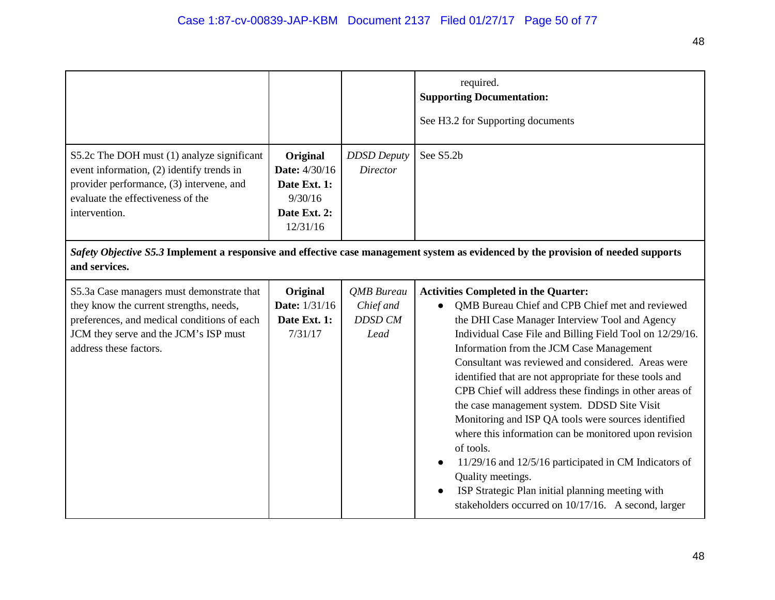|                                                                                                                                                                                                        |                                                                                  |                                                          | required.<br><b>Supporting Documentation:</b><br>See H3.2 for Supporting documents                                                                                                                                                                                                                                                                                                                                                                                                                                                                                                                                                                                                                                                                                                                        |
|--------------------------------------------------------------------------------------------------------------------------------------------------------------------------------------------------------|----------------------------------------------------------------------------------|----------------------------------------------------------|-----------------------------------------------------------------------------------------------------------------------------------------------------------------------------------------------------------------------------------------------------------------------------------------------------------------------------------------------------------------------------------------------------------------------------------------------------------------------------------------------------------------------------------------------------------------------------------------------------------------------------------------------------------------------------------------------------------------------------------------------------------------------------------------------------------|
| S5.2c The DOH must (1) analyze significant<br>event information, (2) identify trends in<br>provider performance, (3) intervene, and<br>evaluate the effectiveness of the<br>intervention.              | Original<br>Date: 4/30/16<br>Date Ext. 1:<br>9/30/16<br>Date Ext. 2:<br>12/31/16 | <b>DDSD</b> Deputy<br><b>Director</b>                    | See S5.2b                                                                                                                                                                                                                                                                                                                                                                                                                                                                                                                                                                                                                                                                                                                                                                                                 |
| and services.                                                                                                                                                                                          |                                                                                  |                                                          | Safety Objective S5.3 Implement a responsive and effective case management system as evidenced by the provision of needed supports                                                                                                                                                                                                                                                                                                                                                                                                                                                                                                                                                                                                                                                                        |
| S5.3a Case managers must demonstrate that<br>they know the current strengths, needs,<br>preferences, and medical conditions of each<br>JCM they serve and the JCM's ISP must<br>address these factors. | <b>Original</b><br>Date: 1/31/16<br>Date Ext. 1:<br>7/31/17                      | <b>QMB</b> Bureau<br>Chief and<br><b>DDSD CM</b><br>Lead | <b>Activities Completed in the Quarter:</b><br>QMB Bureau Chief and CPB Chief met and reviewed<br>the DHI Case Manager Interview Tool and Agency<br>Individual Case File and Billing Field Tool on 12/29/16.<br>Information from the JCM Case Management<br>Consultant was reviewed and considered. Areas were<br>identified that are not appropriate for these tools and<br>CPB Chief will address these findings in other areas of<br>the case management system. DDSD Site Visit<br>Monitoring and ISP QA tools were sources identified<br>where this information can be monitored upon revision<br>of tools.<br>11/29/16 and 12/5/16 participated in CM Indicators of<br>Quality meetings.<br>ISP Strategic Plan initial planning meeting with<br>stakeholders occurred on 10/17/16. A second, larger |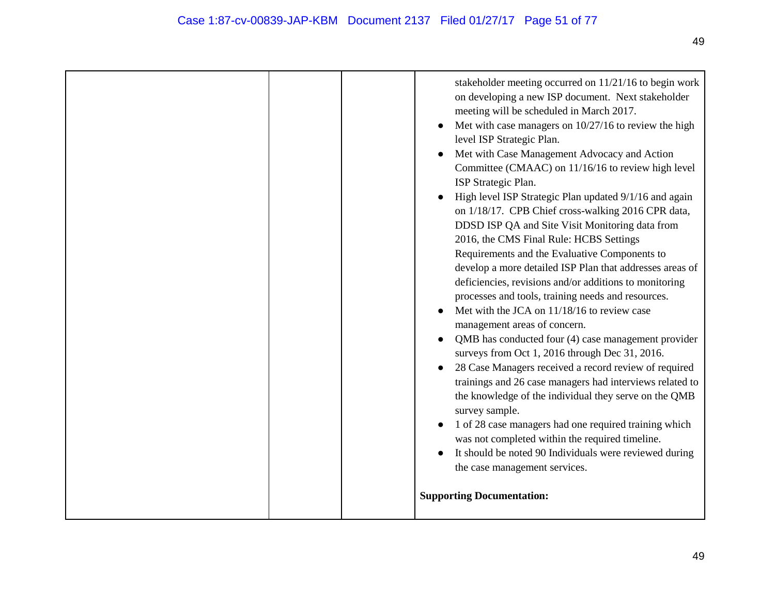| the case management services.<br><b>Supporting Documentation:</b> |  | meeting will be scheduled in March 2017.<br>Met with case managers on $10/27/16$ to review the high<br>level ISP Strategic Plan.<br>Met with Case Management Advocacy and Action<br>Committee (CMAAC) on 11/16/16 to review high level<br>ISP Strategic Plan.<br>High level ISP Strategic Plan updated 9/1/16 and again<br>on 1/18/17. CPB Chief cross-walking 2016 CPR data,<br>DDSD ISP QA and Site Visit Monitoring data from<br>2016, the CMS Final Rule: HCBS Settings<br>Requirements and the Evaluative Components to<br>develop a more detailed ISP Plan that addresses areas of<br>deficiencies, revisions and/or additions to monitoring<br>processes and tools, training needs and resources.<br>Met with the JCA on 11/18/16 to review case<br>management areas of concern.<br>QMB has conducted four (4) case management provider<br>surveys from Oct 1, 2016 through Dec 31, 2016.<br>28 Case Managers received a record review of required<br>trainings and 26 case managers had interviews related to<br>the knowledge of the individual they serve on the QMB<br>survey sample.<br>1 of 28 case managers had one required training which<br>was not completed within the required timeline.<br>It should be noted 90 Individuals were reviewed during |
|-------------------------------------------------------------------|--|------------------------------------------------------------------------------------------------------------------------------------------------------------------------------------------------------------------------------------------------------------------------------------------------------------------------------------------------------------------------------------------------------------------------------------------------------------------------------------------------------------------------------------------------------------------------------------------------------------------------------------------------------------------------------------------------------------------------------------------------------------------------------------------------------------------------------------------------------------------------------------------------------------------------------------------------------------------------------------------------------------------------------------------------------------------------------------------------------------------------------------------------------------------------------------------------------------------------------------------------------------------------|
|-------------------------------------------------------------------|--|------------------------------------------------------------------------------------------------------------------------------------------------------------------------------------------------------------------------------------------------------------------------------------------------------------------------------------------------------------------------------------------------------------------------------------------------------------------------------------------------------------------------------------------------------------------------------------------------------------------------------------------------------------------------------------------------------------------------------------------------------------------------------------------------------------------------------------------------------------------------------------------------------------------------------------------------------------------------------------------------------------------------------------------------------------------------------------------------------------------------------------------------------------------------------------------------------------------------------------------------------------------------|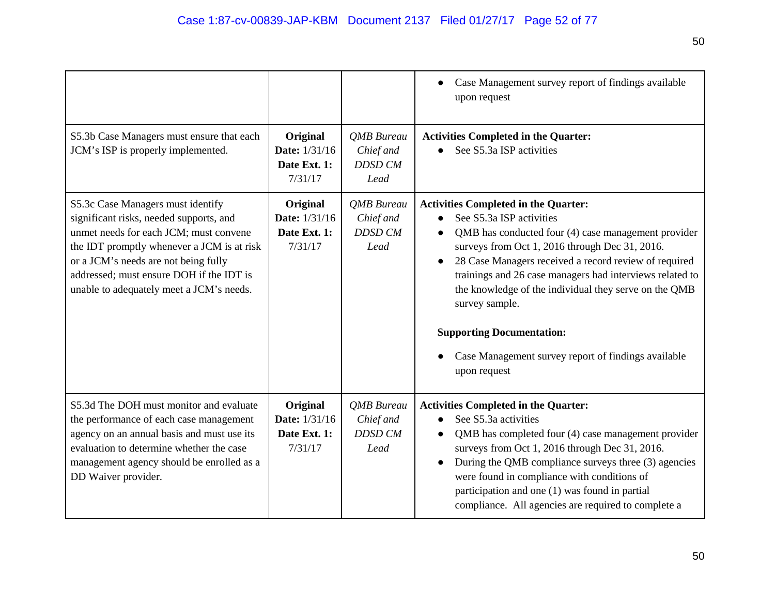|                                                                                                                                                                                                                                                                                                      |                                                             |                                                          | Case Management survey report of findings available<br>upon request                                                                                                                                                                                                                                                                                                                                                                                                                         |
|------------------------------------------------------------------------------------------------------------------------------------------------------------------------------------------------------------------------------------------------------------------------------------------------------|-------------------------------------------------------------|----------------------------------------------------------|---------------------------------------------------------------------------------------------------------------------------------------------------------------------------------------------------------------------------------------------------------------------------------------------------------------------------------------------------------------------------------------------------------------------------------------------------------------------------------------------|
| S5.3b Case Managers must ensure that each<br>JCM's ISP is properly implemented.                                                                                                                                                                                                                      | Original<br><b>Date:</b> 1/31/16<br>Date Ext. 1:<br>7/31/17 | <b>QMB</b> Bureau<br>Chief and<br><b>DDSD CM</b><br>Lead | <b>Activities Completed in the Quarter:</b><br>See S5.3a ISP activities                                                                                                                                                                                                                                                                                                                                                                                                                     |
| S5.3c Case Managers must identify<br>significant risks, needed supports, and<br>unmet needs for each JCM; must convene<br>the IDT promptly whenever a JCM is at risk<br>or a JCM's needs are not being fully<br>addressed; must ensure DOH if the IDT is<br>unable to adequately meet a JCM's needs. | Original<br><b>Date:</b> 1/31/16<br>Date Ext. 1:<br>7/31/17 | <b>QMB</b> Bureau<br>Chief and<br><b>DDSD CM</b><br>Lead | <b>Activities Completed in the Quarter:</b><br>See S5.3a ISP activities<br>QMB has conducted four (4) case management provider<br>surveys from Oct 1, 2016 through Dec 31, 2016.<br>28 Case Managers received a record review of required<br>trainings and 26 case managers had interviews related to<br>the knowledge of the individual they serve on the QMB<br>survey sample.<br><b>Supporting Documentation:</b><br>Case Management survey report of findings available<br>upon request |
| S5.3d The DOH must monitor and evaluate<br>the performance of each case management<br>agency on an annual basis and must use its<br>evaluation to determine whether the case<br>management agency should be enrolled as a<br>DD Waiver provider.                                                     | Original<br><b>Date:</b> 1/31/16<br>Date Ext. 1:<br>7/31/17 | <b>OMB</b> Bureau<br>Chief and<br><b>DDSD CM</b><br>Lead | <b>Activities Completed in the Quarter:</b><br>See S5.3a activities<br>QMB has completed four (4) case management provider<br>surveys from Oct 1, 2016 through Dec 31, 2016.<br>During the QMB compliance surveys three (3) agencies<br>$\bullet$<br>were found in compliance with conditions of<br>participation and one (1) was found in partial<br>compliance. All agencies are required to complete a                                                                                   |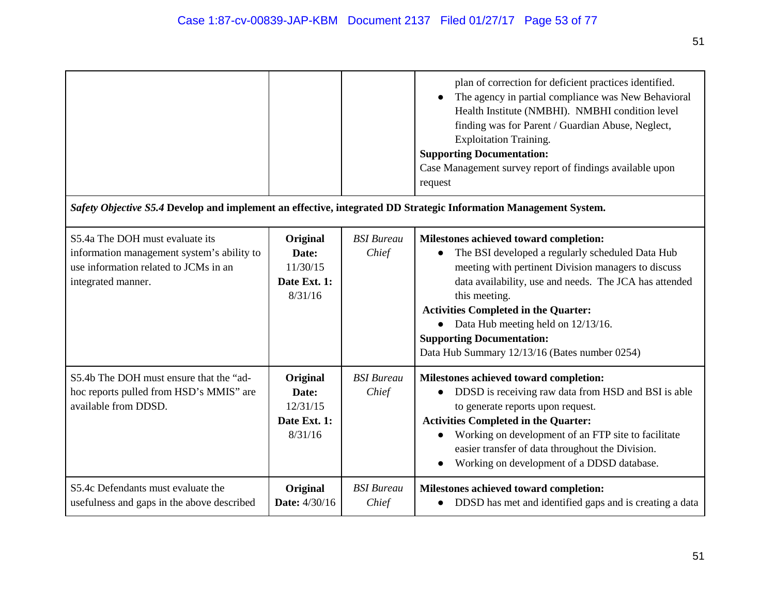| Safety Objective S5.4 Develop and implement an effective, integrated DD Strategic Information Management System.                             |                                                          |                            | plan of correction for deficient practices identified.<br>The agency in partial compliance was New Behavioral<br>Health Institute (NMBHI). NMBHI condition level<br>finding was for Parent / Guardian Abuse, Neglect,<br><b>Exploitation Training.</b><br><b>Supporting Documentation:</b><br>Case Management survey report of findings available upon<br>request                                        |
|----------------------------------------------------------------------------------------------------------------------------------------------|----------------------------------------------------------|----------------------------|----------------------------------------------------------------------------------------------------------------------------------------------------------------------------------------------------------------------------------------------------------------------------------------------------------------------------------------------------------------------------------------------------------|
| S5.4a The DOH must evaluate its<br>information management system's ability to<br>use information related to JCMs in an<br>integrated manner. | Original<br>Date:<br>11/30/15<br>Date Ext. 1:<br>8/31/16 | <b>BSI</b> Bureau<br>Chief | Milestones achieved toward completion:<br>The BSI developed a regularly scheduled Data Hub<br>meeting with pertinent Division managers to discuss<br>data availability, use and needs. The JCA has attended<br>this meeting.<br><b>Activities Completed in the Quarter:</b><br>• Data Hub meeting held on 12/13/16.<br><b>Supporting Documentation:</b><br>Data Hub Summary 12/13/16 (Bates number 0254) |
| S5.4b The DOH must ensure that the "ad-<br>hoc reports pulled from HSD's MMIS" are<br>available from DDSD.                                   | Original<br>Date:<br>12/31/15<br>Date Ext. 1:<br>8/31/16 | <b>BSI</b> Bureau<br>Chief | Milestones achieved toward completion:<br>DDSD is receiving raw data from HSD and BSI is able<br>to generate reports upon request.<br><b>Activities Completed in the Quarter:</b><br>Working on development of an FTP site to facilitate<br>easier transfer of data throughout the Division.<br>Working on development of a DDSD database.                                                               |
| S5.4c Defendants must evaluate the<br>usefulness and gaps in the above described                                                             | Original<br>Date: 4/30/16                                | <b>BSI</b> Bureau<br>Chief | Milestones achieved toward completion:<br>DDSD has met and identified gaps and is creating a data<br>$\bullet$                                                                                                                                                                                                                                                                                           |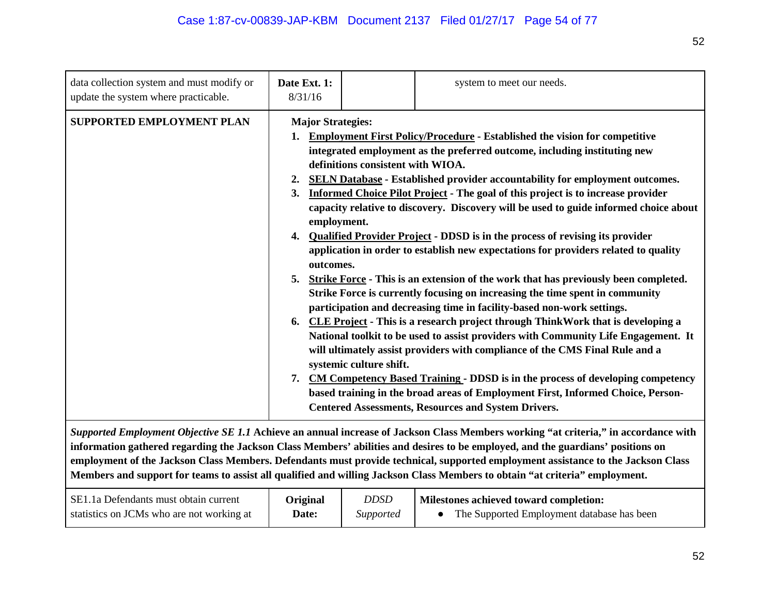| data collection system and must modify or<br>update the system where practicable. | Date Ext. 1:<br>8/31/16                                                                        |                                                              | system to meet our needs.                                                                                                                                                                                                                                                                                                                                                                                                                                                                                                                                                                                                                                                                                                                                                                                                                                                                                                                                                                                                                                                                                                                                                                                                                                                                                                                                            |
|-----------------------------------------------------------------------------------|------------------------------------------------------------------------------------------------|--------------------------------------------------------------|----------------------------------------------------------------------------------------------------------------------------------------------------------------------------------------------------------------------------------------------------------------------------------------------------------------------------------------------------------------------------------------------------------------------------------------------------------------------------------------------------------------------------------------------------------------------------------------------------------------------------------------------------------------------------------------------------------------------------------------------------------------------------------------------------------------------------------------------------------------------------------------------------------------------------------------------------------------------------------------------------------------------------------------------------------------------------------------------------------------------------------------------------------------------------------------------------------------------------------------------------------------------------------------------------------------------------------------------------------------------|
| <b>SUPPORTED EMPLOYMENT PLAN</b>                                                  | <b>Major Strategies:</b><br>1.<br>2.<br>3.<br>employment.<br>4.<br>outcomes.<br>5.<br>6.<br>7. | definitions consistent with WIOA.<br>systemic culture shift. | <b>Employment First Policy/Procedure - Established the vision for competitive</b><br>integrated employment as the preferred outcome, including instituting new<br><b>SELN Database - Established provider accountability for employment outcomes.</b><br><b>Informed Choice Pilot Project - The goal of this project is to increase provider</b><br>capacity relative to discovery. Discovery will be used to guide informed choice about<br>Qualified Provider Project - DDSD is in the process of revising its provider<br>application in order to establish new expectations for providers related to quality<br>Strike Force - This is an extension of the work that has previously been completed.<br>Strike Force is currently focusing on increasing the time spent in community<br>participation and decreasing time in facility-based non-work settings.<br>CLE Project - This is a research project through ThinkWork that is developing a<br>National toolkit to be used to assist providers with Community Life Engagement. It<br>will ultimately assist providers with compliance of the CMS Final Rule and a<br><b>CM Competency Based Training - DDSD is in the process of developing competency</b><br>based training in the broad areas of Employment First, Informed Choice, Person-<br><b>Centered Assessments, Resources and System Drivers.</b> |
|                                                                                   |                                                                                                |                                                              |                                                                                                                                                                                                                                                                                                                                                                                                                                                                                                                                                                                                                                                                                                                                                                                                                                                                                                                                                                                                                                                                                                                                                                                                                                                                                                                                                                      |

*Supported Employment Objective SE 1.1* **Achieve an annual increase of Jackson Class Members working "at criteria," in accordance with information gathered regarding the Jackson Class Members' abilities and desires to be employed, and the guardians' positions on employment of the Jackson Class Members. Defendants must provide technical, supported employment assistance to the Jackson Class Members and support for teams to assist all qualified and willing Jackson Class Members to obtain "at criteria" employment.**

| SE1.1a Defendants must obtain current     | <b>Original</b> | DDSE             | Milestones achieved toward completion:     |
|-------------------------------------------|-----------------|------------------|--------------------------------------------|
| statistics on JCMs who are not working at | Date:           | <i>Supported</i> | The Supported Employment database has been |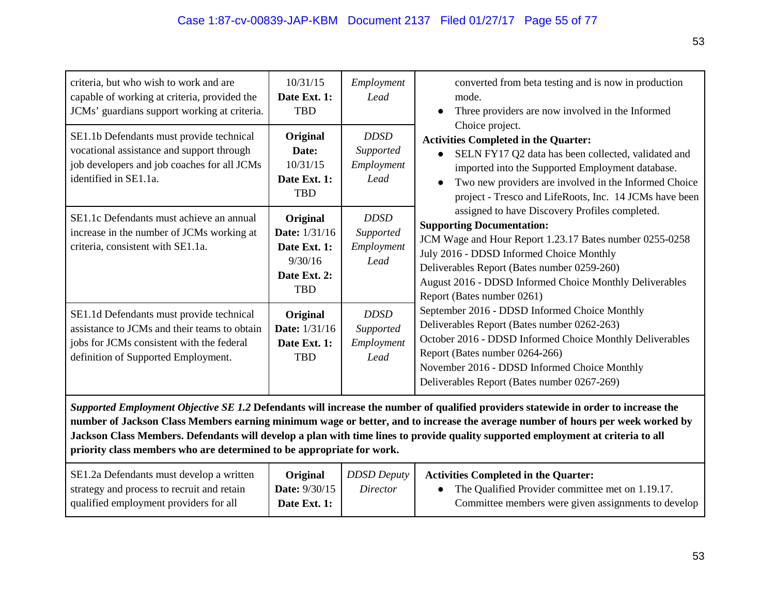| criteria, but who wish to work and are<br>capable of working at criteria, provided the<br>JCMs' guardians support working at criteria.                                       | 10/31/15<br>Date Ext. 1:<br><b>TBD</b>                                             | Employment<br>Lead                             | converted from beta testing and is now in production<br>mode.<br>Three providers are now involved in the Informed<br>$\bullet$<br>Choice project.                                                                                                                                                                                 |  |
|------------------------------------------------------------------------------------------------------------------------------------------------------------------------------|------------------------------------------------------------------------------------|------------------------------------------------|-----------------------------------------------------------------------------------------------------------------------------------------------------------------------------------------------------------------------------------------------------------------------------------------------------------------------------------|--|
| SE1.1b Defendants must provide technical<br>vocational assistance and support through<br>job developers and job coaches for all JCMs<br>identified in SE1.1a.                | Original<br>Date:<br>10/31/15<br>Date Ext. 1:<br><b>TBD</b>                        | <b>DDSD</b><br>Supported<br>Employment<br>Lead | <b>Activities Completed in the Quarter:</b><br>SELN FY17 Q2 data has been collected, validated and<br>imported into the Supported Employment database.<br>Two new providers are involved in the Informed Choice<br>project - Tresco and LifeRoots, Inc. 14 JCMs have been                                                         |  |
| SE1.1c Defendants must achieve an annual<br>increase in the number of JCMs working at<br>criteria, consistent with SE1.1a.                                                   | Original<br>Date: 1/31/16<br>Date Ext. 1:<br>9/30/16<br>Date Ext. 2:<br><b>TBD</b> | <b>DDSD</b><br>Supported<br>Employment<br>Lead | assigned to have Discovery Profiles completed.<br><b>Supporting Documentation:</b><br>JCM Wage and Hour Report 1.23.17 Bates number 0255-0258<br>July 2016 - DDSD Informed Choice Monthly<br>Deliverables Report (Bates number 0259-260)<br>August 2016 - DDSD Informed Choice Monthly Deliverables<br>Report (Bates number 0261) |  |
| SE1.1d Defendants must provide technical<br>assistance to JCMs and their teams to obtain<br>jobs for JCMs consistent with the federal<br>definition of Supported Employment. | Original<br><b>Date:</b> 1/31/16<br>Date Ext. 1:<br><b>TBD</b>                     | <b>DDSD</b><br>Supported<br>Employment<br>Lead | September 2016 - DDSD Informed Choice Monthly<br>Deliverables Report (Bates number 0262-263)<br>October 2016 - DDSD Informed Choice Monthly Deliverables<br>Report (Bates number 0264-266)<br>November 2016 - DDSD Informed Choice Monthly<br>Deliverables Report (Bates number 0267-269)                                         |  |
| Supported Employment Objective SE 1.2 Defendents will increase the number of qualified providers statewide in order to increase the                                          |                                                                                    |                                                |                                                                                                                                                                                                                                                                                                                                   |  |

*Supported Employment Objective SE 1.2* **Defendants will increase the number of qualified providers statewide in order to increase the number of Jackson Class Members earning minimum wage or better, and to increase the average number of hours per week worked by Jackson Class Members. Defendants will develop a plan with time lines to provide quality supported employment at criteria to all priority class members who are determined to be appropriate for work.**

| SE1.2a Defendants must develop a written   | Original             | <b>DDSD Deputy</b> | <b>Activities Completed in the Quarter:</b>           |
|--------------------------------------------|----------------------|--------------------|-------------------------------------------------------|
| strategy and process to recruit and retain | <b>Date:</b> 9/30/15 | Director           | • The Qualified Provider committee met on $1.19.17$ . |
| qualified employment providers for all     | Date Ext. 1:         |                    | Committee members were given assignments to develop   |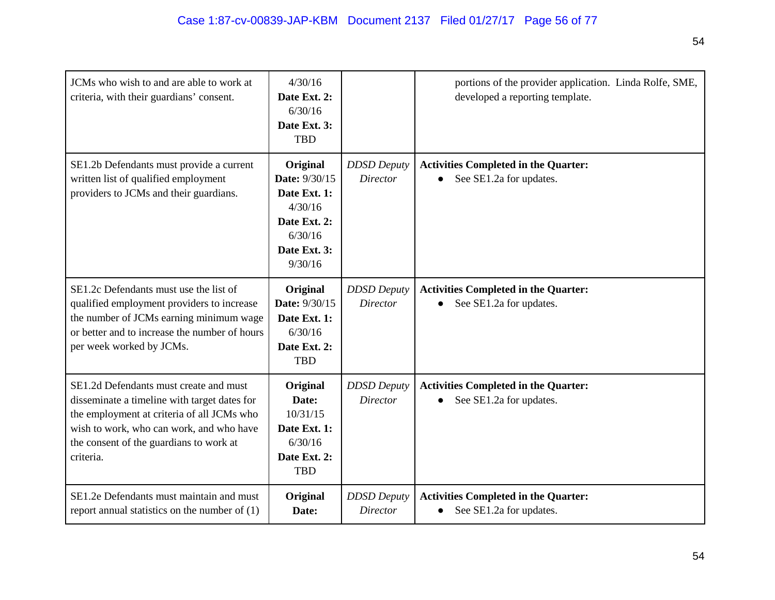| JCMs who wish to and are able to work at<br>criteria, with their guardians' consent.                                                                                                                                                     | 4/30/16<br>Date Ext. 2:<br>6/30/16<br>Date Ext. 3:<br><b>TBD</b>                                           |                                       | portions of the provider application. Linda Rolfe, SME,<br>developed a reporting template. |
|------------------------------------------------------------------------------------------------------------------------------------------------------------------------------------------------------------------------------------------|------------------------------------------------------------------------------------------------------------|---------------------------------------|--------------------------------------------------------------------------------------------|
| SE1.2b Defendants must provide a current<br>written list of qualified employment<br>providers to JCMs and their guardians.                                                                                                               | Original<br>Date: 9/30/15<br>Date Ext. 1:<br>4/30/16<br>Date Ext. 2:<br>6/30/16<br>Date Ext. 3:<br>9/30/16 | <b>DDSD</b> Deputy<br><b>Director</b> | <b>Activities Completed in the Quarter:</b><br>See SE1.2a for updates.                     |
| SE1.2c Defendants must use the list of<br>qualified employment providers to increase<br>the number of JCMs earning minimum wage<br>or better and to increase the number of hours<br>per week worked by JCMs.                             | Original<br>Date: 9/30/15<br>Date Ext. 1:<br>6/30/16<br>Date Ext. 2:<br><b>TBD</b>                         | <b>DDSD</b> Deputy<br><b>Director</b> | <b>Activities Completed in the Quarter:</b><br>See SE1.2a for updates.<br>$\bullet$        |
| SE1.2d Defendants must create and must<br>disseminate a timeline with target dates for<br>the employment at criteria of all JCMs who<br>wish to work, who can work, and who have<br>the consent of the guardians to work at<br>criteria. | Original<br>Date:<br>10/31/15<br>Date Ext. 1:<br>6/30/16<br>Date Ext. 2:<br><b>TBD</b>                     | <b>DDSD</b> Deputy<br><b>Director</b> | <b>Activities Completed in the Quarter:</b><br>See SE1.2a for updates.                     |
| SE1.2e Defendants must maintain and must<br>report annual statistics on the number of $(1)$                                                                                                                                              | Original<br>Date:                                                                                          | <b>DDSD</b> Deputy<br>Director        | <b>Activities Completed in the Quarter:</b><br>See SE1.2a for updates.<br>$\bullet$        |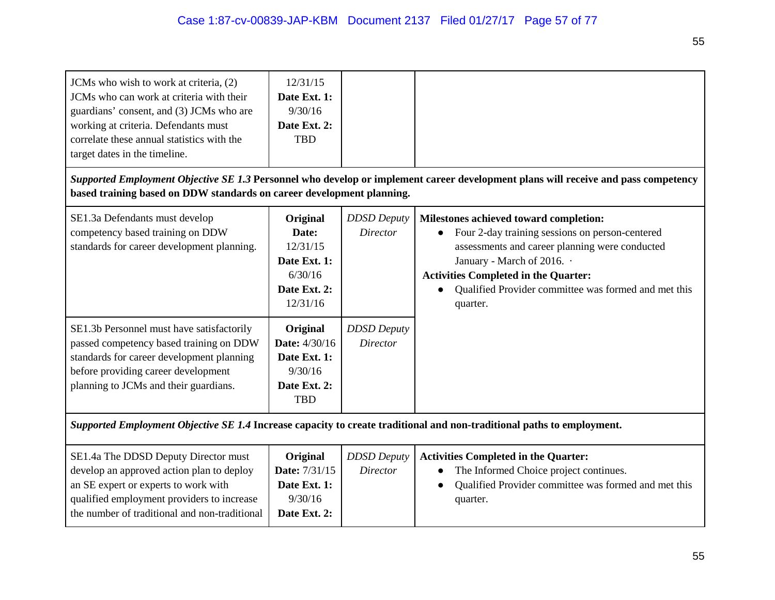| JCMs who wish to work at criteria, (2)<br>JCMs who can work at criteria with their<br>guardians' consent, and (3) JCMs who are<br>working at criteria. Defendants must<br>correlate these annual statistics with the<br>target dates in the timeline. | 12/31/15<br>Date Ext. 1:<br>9/30/16<br>Date Ext. 2:<br><b>TBD</b>                                |                                                             |                                                                                                                                                                                                                                                                                              |  |
|-------------------------------------------------------------------------------------------------------------------------------------------------------------------------------------------------------------------------------------------------------|--------------------------------------------------------------------------------------------------|-------------------------------------------------------------|----------------------------------------------------------------------------------------------------------------------------------------------------------------------------------------------------------------------------------------------------------------------------------------------|--|
| based training based on DDW standards on career development planning.                                                                                                                                                                                 |                                                                                                  |                                                             | Supported Employment Objective SE 1.3 Personnel who develop or implement career development plans will receive and pass competency                                                                                                                                                           |  |
| SE1.3a Defendants must develop<br>competency based training on DDW<br>standards for career development planning.<br>SE1.3b Personnel must have satisfactorily                                                                                         | Original<br>Date:<br>12/31/15<br>Date Ext. 1:<br>6/30/16<br>Date Ext. 2:<br>12/31/16<br>Original | <b>DDSD</b> Deputy<br><b>Director</b><br><b>DDSD</b> Deputy | Milestones achieved toward completion:<br>Four 2-day training sessions on person-centered<br>assessments and career planning were conducted<br>January - March of 2016. .<br><b>Activities Completed in the Quarter:</b><br>Qualified Provider committee was formed and met this<br>quarter. |  |
| passed competency based training on DDW<br>standards for career development planning<br>before providing career development<br>planning to JCMs and their guardians.                                                                                  | <b>Date:</b> 4/30/16<br>Date Ext. 1:<br>9/30/16<br>Date Ext. 2:<br><b>TBD</b>                    | <b>Director</b>                                             |                                                                                                                                                                                                                                                                                              |  |
| Supported Employment Objective SE 1.4 Increase capacity to create traditional and non-traditional paths to employment.                                                                                                                                |                                                                                                  |                                                             |                                                                                                                                                                                                                                                                                              |  |
| SE1.4a The DDSD Deputy Director must<br>develop an approved action plan to deploy<br>an SE expert or experts to work with<br>qualified employment providers to increase<br>the number of traditional and non-traditional                              | Original<br>Date: 7/31/15<br>Date Ext. 1:<br>9/30/16<br>Date Ext. 2:                             | <b>DDSD</b> Deputy<br><b>Director</b>                       | <b>Activities Completed in the Quarter:</b><br>The Informed Choice project continues.<br>Qualified Provider committee was formed and met this<br>quarter.                                                                                                                                    |  |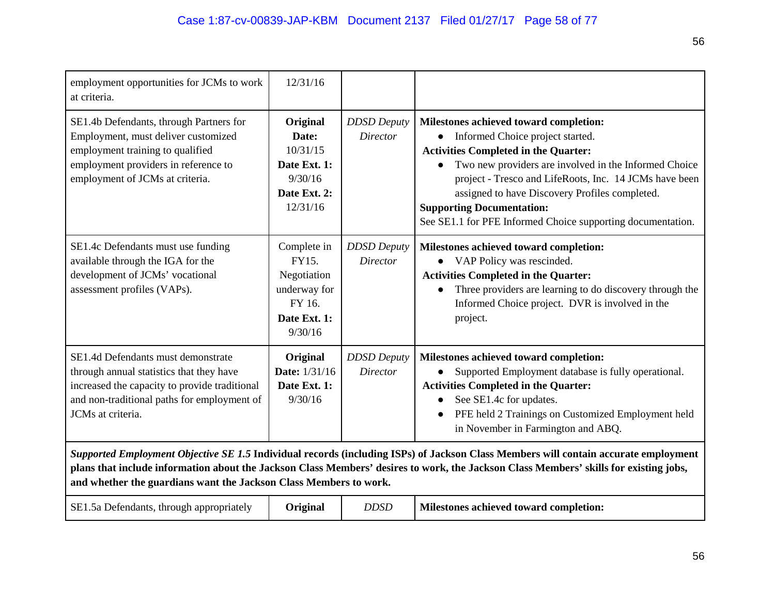| employment opportunities for JCMs to work<br>at criteria.                                                                                                                                                                                                                                                                                         | 12/31/16                                                                                 |                                       |                                                                                                                                                                                                                                                                                                                                                                                                                |  |
|---------------------------------------------------------------------------------------------------------------------------------------------------------------------------------------------------------------------------------------------------------------------------------------------------------------------------------------------------|------------------------------------------------------------------------------------------|---------------------------------------|----------------------------------------------------------------------------------------------------------------------------------------------------------------------------------------------------------------------------------------------------------------------------------------------------------------------------------------------------------------------------------------------------------------|--|
| SE1.4b Defendants, through Partners for<br>Employment, must deliver customized<br>employment training to qualified<br>employment providers in reference to<br>employment of JCMs at criteria.                                                                                                                                                     | Original<br>Date:<br>10/31/15<br>Date Ext. 1:<br>9/30/16<br>Date Ext. 2:<br>12/31/16     | <b>DDSD</b> Deputy<br><b>Director</b> | Milestones achieved toward completion:<br>Informed Choice project started.<br>$\bullet$<br><b>Activities Completed in the Quarter:</b><br>Two new providers are involved in the Informed Choice<br>project - Tresco and LifeRoots, Inc. 14 JCMs have been<br>assigned to have Discovery Profiles completed.<br><b>Supporting Documentation:</b><br>See SE1.1 for PFE Informed Choice supporting documentation. |  |
| SE1.4c Defendants must use funding<br>available through the IGA for the<br>development of JCMs' vocational<br>assessment profiles (VAPs).                                                                                                                                                                                                         | Complete in<br>FY15.<br>Negotiation<br>underway for<br>FY 16.<br>Date Ext. 1:<br>9/30/16 | <b>DDSD</b> Deputy<br>Director        | Milestones achieved toward completion:<br>VAP Policy was rescinded.<br><b>Activities Completed in the Quarter:</b><br>Three providers are learning to do discovery through the<br>Informed Choice project. DVR is involved in the<br>project.                                                                                                                                                                  |  |
| SE1.4d Defendants must demonstrate<br>through annual statistics that they have<br>increased the capacity to provide traditional<br>and non-traditional paths for employment of<br>JCMs at criteria.                                                                                                                                               | Original<br>Date: 1/31/16<br>Date Ext. 1:<br>9/30/16                                     | <b>DDSD</b> Deputy<br><b>Director</b> | Milestones achieved toward completion:<br>Supported Employment database is fully operational.<br><b>Activities Completed in the Quarter:</b><br>See SE1.4c for updates.<br>PFE held 2 Trainings on Customized Employment held<br>in November in Farmington and ABQ.                                                                                                                                            |  |
| Supported Employment Objective SE 1.5 Individual records (including ISPs) of Jackson Class Members will contain accurate employment<br>plans that include information about the Jackson Class Members' desires to work, the Jackson Class Members' skills for existing jobs,<br>and whether the guardians want the Jackson Class Members to work. |                                                                                          |                                       |                                                                                                                                                                                                                                                                                                                                                                                                                |  |
| SE1.5a Defendants, through appropriately                                                                                                                                                                                                                                                                                                          | Original                                                                                 | <b>DDSD</b>                           | Milestones achieved toward completion:                                                                                                                                                                                                                                                                                                                                                                         |  |

56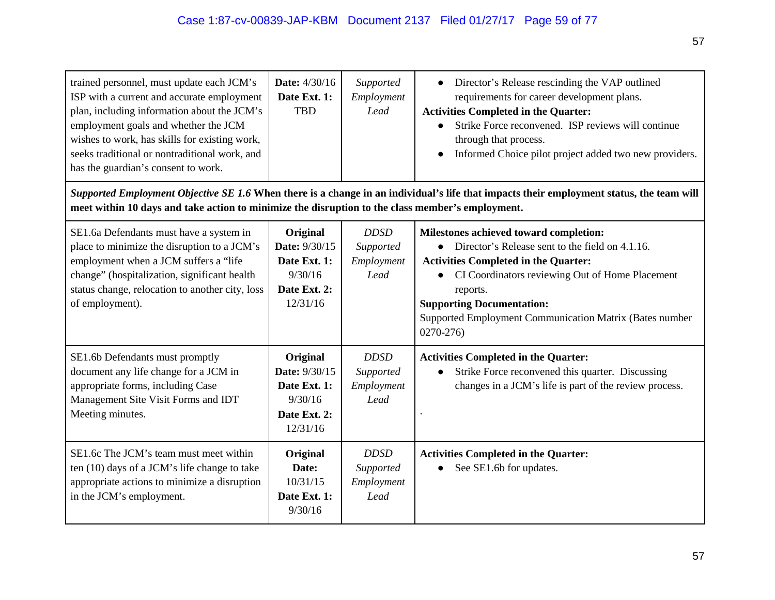| trained personnel, must update each JCM's<br>ISP with a current and accurate employment<br>plan, including information about the JCM's<br>employment goals and whether the JCM<br>wishes to work, has skills for existing work,<br>seeks traditional or nontraditional work, and<br>has the guardian's consent to work. | Date: 4/30/16<br>Date Ext. 1:<br><b>TBD</b>                                      | Supported<br>Employment<br>Lead                | Director's Release rescinding the VAP outlined<br>requirements for career development plans.<br><b>Activities Completed in the Quarter:</b><br>Strike Force reconvened. ISP reviews will continue<br>through that process.<br>Informed Choice pilot project added two new providers.                                     |
|-------------------------------------------------------------------------------------------------------------------------------------------------------------------------------------------------------------------------------------------------------------------------------------------------------------------------|----------------------------------------------------------------------------------|------------------------------------------------|--------------------------------------------------------------------------------------------------------------------------------------------------------------------------------------------------------------------------------------------------------------------------------------------------------------------------|
| meet within 10 days and take action to minimize the disruption to the class member's employment.                                                                                                                                                                                                                        |                                                                                  |                                                | Supported Employment Objective SE 1.6 When there is a change in an individual's life that impacts their employment status, the team will                                                                                                                                                                                 |
| SE1.6a Defendants must have a system in<br>place to minimize the disruption to a JCM's<br>employment when a JCM suffers a "life<br>change" (hospitalization, significant health<br>status change, relocation to another city, loss<br>of employment).                                                                   | Original<br>Date: 9/30/15<br>Date Ext. 1:<br>9/30/16<br>Date Ext. 2:<br>12/31/16 | <b>DDSD</b><br>Supported<br>Employment<br>Lead | Milestones achieved toward completion:<br>• Director's Release sent to the field on 4.1.16.<br><b>Activities Completed in the Quarter:</b><br>CI Coordinators reviewing Out of Home Placement<br>reports.<br><b>Supporting Documentation:</b><br>Supported Employment Communication Matrix (Bates number<br>$0270 - 276$ |
| SE1.6b Defendants must promptly<br>document any life change for a JCM in<br>appropriate forms, including Case<br>Management Site Visit Forms and IDT<br>Meeting minutes.                                                                                                                                                | Original<br>Date: 9/30/15<br>Date Ext. 1:<br>9/30/16<br>Date Ext. 2:<br>12/31/16 | <b>DDSD</b><br>Supported<br>Employment<br>Lead | <b>Activities Completed in the Quarter:</b><br>Strike Force reconvened this quarter. Discussing<br>changes in a JCM's life is part of the review process.                                                                                                                                                                |
| SE1.6c The JCM's team must meet within<br>ten (10) days of a JCM's life change to take<br>appropriate actions to minimize a disruption<br>in the JCM's employment.                                                                                                                                                      | Original<br>Date:<br>10/31/15<br>Date Ext. 1:<br>9/30/16                         | <b>DDSD</b><br>Supported<br>Employment<br>Lead | <b>Activities Completed in the Quarter:</b><br>See SE1.6b for updates.                                                                                                                                                                                                                                                   |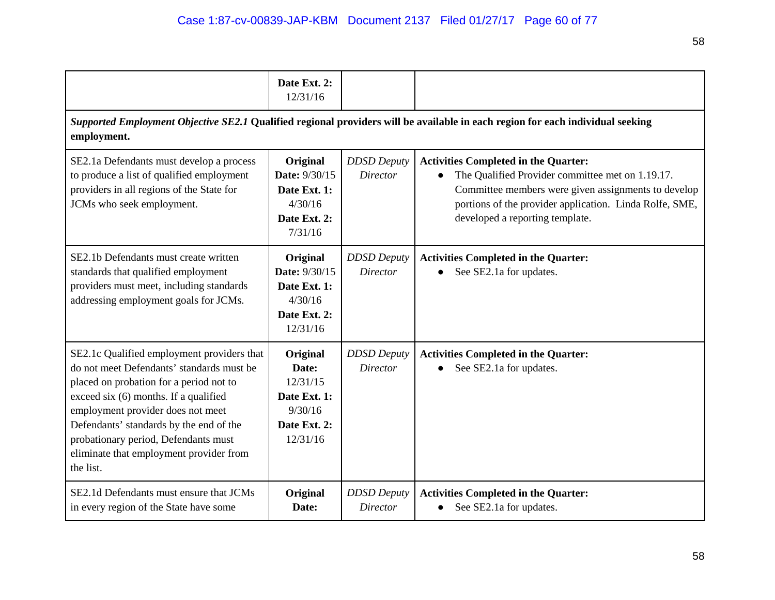|                                                                                                                                                                                                                                                                                                                                                             | Date Ext. 2:<br>12/31/16                                                             |                                       |                                                                                                                                                                                                                                                      |  |  |
|-------------------------------------------------------------------------------------------------------------------------------------------------------------------------------------------------------------------------------------------------------------------------------------------------------------------------------------------------------------|--------------------------------------------------------------------------------------|---------------------------------------|------------------------------------------------------------------------------------------------------------------------------------------------------------------------------------------------------------------------------------------------------|--|--|
| Supported Employment Objective SE2.1 Qualified regional providers will be available in each region for each individual seeking<br>employment.                                                                                                                                                                                                               |                                                                                      |                                       |                                                                                                                                                                                                                                                      |  |  |
| SE2.1a Defendants must develop a process<br>to produce a list of qualified employment<br>providers in all regions of the State for<br>JCMs who seek employment.                                                                                                                                                                                             | Original<br>Date: 9/30/15<br>Date Ext. 1:<br>4/30/16<br>Date Ext. 2:<br>7/31/16      | <b>DDSD</b> Deputy<br><b>Director</b> | <b>Activities Completed in the Quarter:</b><br>The Qualified Provider committee met on 1.19.17.<br>Committee members were given assignments to develop<br>portions of the provider application. Linda Rolfe, SME,<br>developed a reporting template. |  |  |
| SE2.1b Defendants must create written<br>standards that qualified employment<br>providers must meet, including standards<br>addressing employment goals for JCMs.                                                                                                                                                                                           | Original<br>Date: 9/30/15<br>Date Ext. 1:<br>4/30/16<br>Date Ext. 2:<br>12/31/16     | <b>DDSD</b> Deputy<br><i>Director</i> | <b>Activities Completed in the Quarter:</b><br>See SE2.1a for updates.                                                                                                                                                                               |  |  |
| SE2.1c Qualified employment providers that<br>do not meet Defendants' standards must be<br>placed on probation for a period not to<br>exceed six (6) months. If a qualified<br>employment provider does not meet<br>Defendants' standards by the end of the<br>probationary period, Defendants must<br>eliminate that employment provider from<br>the list. | Original<br>Date:<br>12/31/15<br>Date Ext. 1:<br>9/30/16<br>Date Ext. 2:<br>12/31/16 | <b>DDSD</b> Deputy<br><b>Director</b> | <b>Activities Completed in the Quarter:</b><br>See SE2.1a for updates.                                                                                                                                                                               |  |  |
| SE2.1d Defendants must ensure that JCMs<br>in every region of the State have some                                                                                                                                                                                                                                                                           | Original<br>Date:                                                                    | <b>DDSD</b> Deputy<br><b>Director</b> | <b>Activities Completed in the Quarter:</b><br>See SE2.1a for updates.<br>$\bullet$                                                                                                                                                                  |  |  |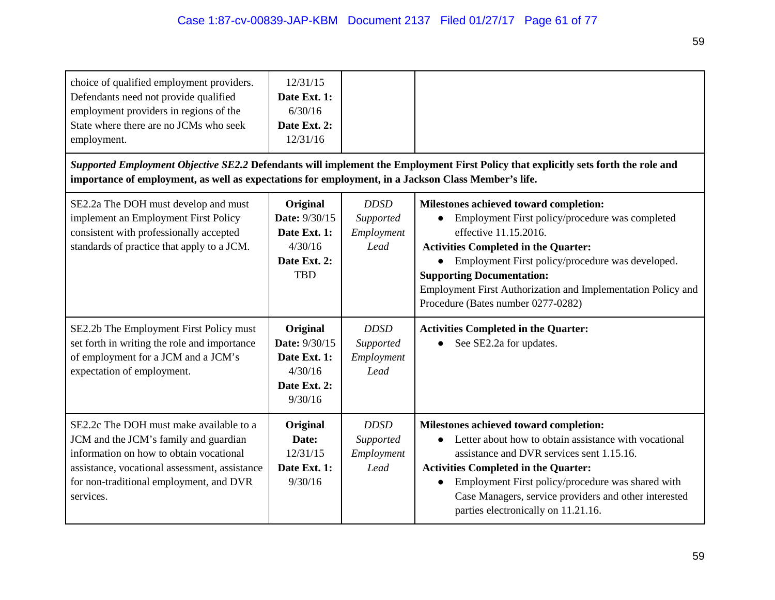| choice of qualified employment providers.<br>Defendants need not provide qualified<br>employment providers in regions of the<br>State where there are no JCMs who seek<br>employment.<br>importance of employment, as well as expectations for employment, in a Jackson Class Member's life. | 12/31/15<br>Date Ext. 1:<br>6/30/16<br>Date Ext. 2:<br>12/31/16                    |                                                | Supported Employment Objective SE2.2 Defendants will implement the Employment First Policy that explicitly sets forth the role and                                                                                                                                                                                                                              |
|----------------------------------------------------------------------------------------------------------------------------------------------------------------------------------------------------------------------------------------------------------------------------------------------|------------------------------------------------------------------------------------|------------------------------------------------|-----------------------------------------------------------------------------------------------------------------------------------------------------------------------------------------------------------------------------------------------------------------------------------------------------------------------------------------------------------------|
| SE2.2a The DOH must develop and must<br>implement an Employment First Policy<br>consistent with professionally accepted<br>standards of practice that apply to a JCM.                                                                                                                        | Original<br>Date: 9/30/15<br>Date Ext. 1:<br>4/30/16<br>Date Ext. 2:<br><b>TBD</b> | <b>DDSD</b><br>Supported<br>Employment<br>Lead | Milestones achieved toward completion:<br>Employment First policy/procedure was completed<br>effective 11.15.2016.<br><b>Activities Completed in the Quarter:</b><br>Employment First policy/procedure was developed.<br><b>Supporting Documentation:</b><br>Employment First Authorization and Implementation Policy and<br>Procedure (Bates number 0277-0282) |
| SE2.2b The Employment First Policy must<br>set forth in writing the role and importance<br>of employment for a JCM and a JCM's<br>expectation of employment.                                                                                                                                 | Original<br>Date: 9/30/15<br>Date Ext. 1:<br>4/30/16<br>Date Ext. 2:<br>9/30/16    | <b>DDSD</b><br>Supported<br>Employment<br>Lead | <b>Activities Completed in the Quarter:</b><br>See SE2.2a for updates.                                                                                                                                                                                                                                                                                          |
| SE2.2c The DOH must make available to a<br>JCM and the JCM's family and guardian<br>information on how to obtain vocational<br>assistance, vocational assessment, assistance<br>for non-traditional employment, and DVR<br>services.                                                         | Original<br>Date:<br>12/31/15<br>Date Ext. 1:<br>9/30/16                           | <b>DDSD</b><br>Supported<br>Employment<br>Lead | Milestones achieved toward completion:<br>Letter about how to obtain assistance with vocational<br>assistance and DVR services sent 1.15.16.<br><b>Activities Completed in the Quarter:</b><br>Employment First policy/procedure was shared with<br>Case Managers, service providers and other interested<br>parties electronically on 11.21.16.                |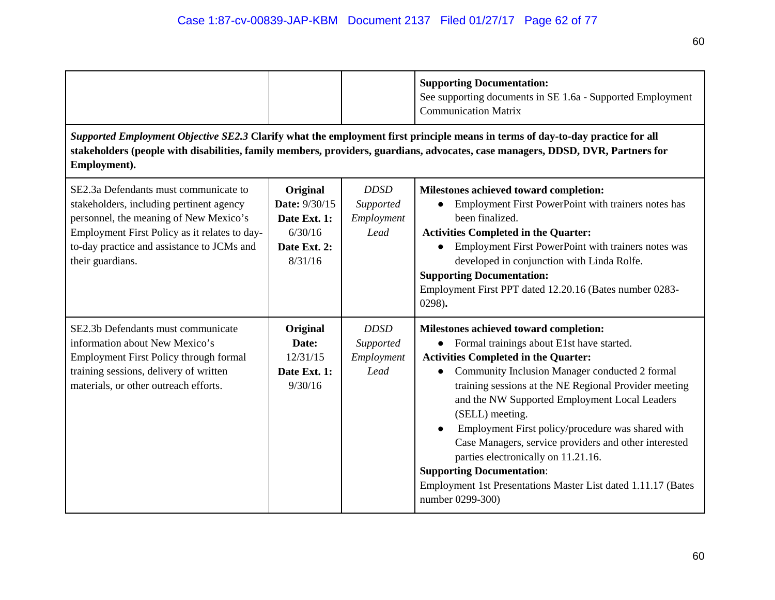|                                                                                                                                                                                                                                                                                   |                                                                                 |                                                | <b>Supporting Documentation:</b><br>See supporting documents in SE 1.6a - Supported Employment<br><b>Communication Matrix</b>                                                                                                                                                                                                                                                                                                                                                                                                                                                                                  |  |
|-----------------------------------------------------------------------------------------------------------------------------------------------------------------------------------------------------------------------------------------------------------------------------------|---------------------------------------------------------------------------------|------------------------------------------------|----------------------------------------------------------------------------------------------------------------------------------------------------------------------------------------------------------------------------------------------------------------------------------------------------------------------------------------------------------------------------------------------------------------------------------------------------------------------------------------------------------------------------------------------------------------------------------------------------------------|--|
| Supported Employment Objective SE2.3 Clarify what the employment first principle means in terms of day-to-day practice for all<br>stakeholders (people with disabilities, family members, providers, guardians, advocates, case managers, DDSD, DVR, Partners for<br>Employment). |                                                                                 |                                                |                                                                                                                                                                                                                                                                                                                                                                                                                                                                                                                                                                                                                |  |
| SE2.3a Defendants must communicate to<br>stakeholders, including pertinent agency<br>personnel, the meaning of New Mexico's<br>Employment First Policy as it relates to day-<br>to-day practice and assistance to JCMs and<br>their guardians.                                    | Original<br>Date: 9/30/15<br>Date Ext. 1:<br>6/30/16<br>Date Ext. 2:<br>8/31/16 | <b>DDSD</b><br>Supported<br>Employment<br>Lead | Milestones achieved toward completion:<br>Employment First PowerPoint with trainers notes has<br>$\bullet$<br>been finalized.<br><b>Activities Completed in the Quarter:</b><br>Employment First PowerPoint with trainers notes was<br>developed in conjunction with Linda Rolfe.<br><b>Supporting Documentation:</b><br>Employment First PPT dated 12.20.16 (Bates number 0283-<br>0298).                                                                                                                                                                                                                     |  |
| SE2.3b Defendants must communicate<br>information about New Mexico's<br>Employment First Policy through formal<br>training sessions, delivery of written<br>materials, or other outreach efforts.                                                                                 | Original<br>Date:<br>12/31/15<br>Date Ext. 1:<br>9/30/16                        | <b>DDSD</b><br>Supported<br>Employment<br>Lead | Milestones achieved toward completion:<br>• Formal trainings about E1st have started.<br><b>Activities Completed in the Quarter:</b><br>Community Inclusion Manager conducted 2 formal<br>$\bullet$<br>training sessions at the NE Regional Provider meeting<br>and the NW Supported Employment Local Leaders<br>(SELL) meeting.<br>Employment First policy/procedure was shared with<br>Case Managers, service providers and other interested<br>parties electronically on 11.21.16.<br><b>Supporting Documentation:</b><br>Employment 1st Presentations Master List dated 1.11.17 (Bates<br>number 0299-300) |  |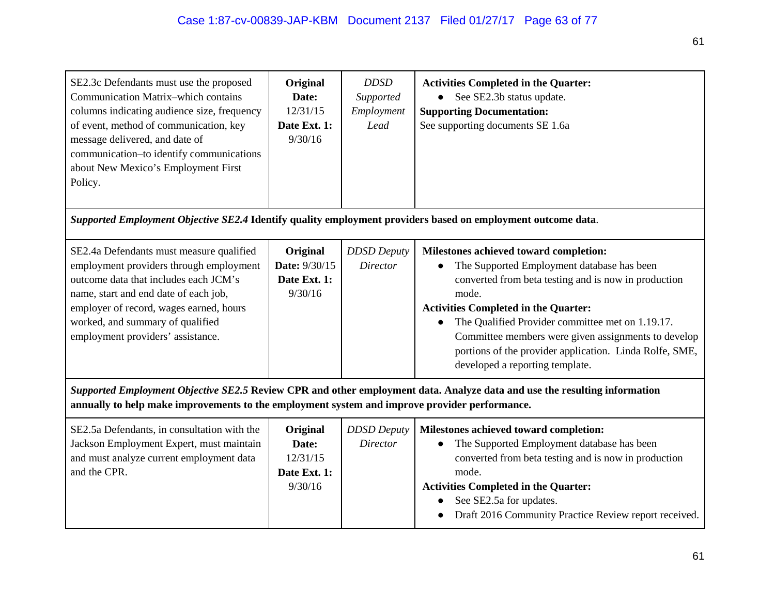| SE2.3c Defendants must use the proposed<br>Communication Matrix-which contains<br>columns indicating audience size, frequency<br>of event, method of communication, key<br>message delivered, and date of<br>communication-to identify communications<br>about New Mexico's Employment First<br>Policy. | Original<br>Date:<br>12/31/15<br>Date Ext. 1:<br>9/30/16 | <b>DDSD</b><br>Supported<br>Employment<br>Lead | <b>Activities Completed in the Quarter:</b><br>See SE2.3b status update.<br><b>Supporting Documentation:</b><br>See supporting documents SE 1.6a                                                                                                                                                                                                                                                              |  |
|---------------------------------------------------------------------------------------------------------------------------------------------------------------------------------------------------------------------------------------------------------------------------------------------------------|----------------------------------------------------------|------------------------------------------------|---------------------------------------------------------------------------------------------------------------------------------------------------------------------------------------------------------------------------------------------------------------------------------------------------------------------------------------------------------------------------------------------------------------|--|
| Supported Employment Objective SE2.4 Identify quality employment providers based on employment outcome data.                                                                                                                                                                                            |                                                          |                                                |                                                                                                                                                                                                                                                                                                                                                                                                               |  |
| SE2.4a Defendants must measure qualified<br>employment providers through employment<br>outcome data that includes each JCM's<br>name, start and end date of each job,<br>employer of record, wages earned, hours<br>worked, and summary of qualified<br>employment providers' assistance.               | Original<br>Date: 9/30/15<br>Date Ext. 1:<br>9/30/16     | <b>DDSD</b> Deputy<br><b>Director</b>          | Milestones achieved toward completion:<br>The Supported Employment database has been<br>converted from beta testing and is now in production<br>mode.<br><b>Activities Completed in the Quarter:</b><br>The Qualified Provider committee met on 1.19.17.<br>Committee members were given assignments to develop<br>portions of the provider application. Linda Rolfe, SME,<br>developed a reporting template. |  |
| Supported Employment Objective SE2.5 Review CPR and other employment data. Analyze data and use the resulting information<br>annually to help make improvements to the employment system and improve provider performance.                                                                              |                                                          |                                                |                                                                                                                                                                                                                                                                                                                                                                                                               |  |
| SE2.5a Defendants, in consultation with the<br>Jackson Employment Expert, must maintain<br>and must analyze current employment data<br>and the CPR.                                                                                                                                                     | Original<br>Date:<br>12/31/15<br>Date Ext. 1:<br>9/30/16 | <b>DDSD</b> Deputy<br><b>Director</b>          | Milestones achieved toward completion:<br>The Supported Employment database has been<br>converted from beta testing and is now in production<br>mode.<br><b>Activities Completed in the Quarter:</b><br>See SE2.5a for updates.<br>$\bullet$                                                                                                                                                                  |  |

● Draft 2016 Community Practice Review report received.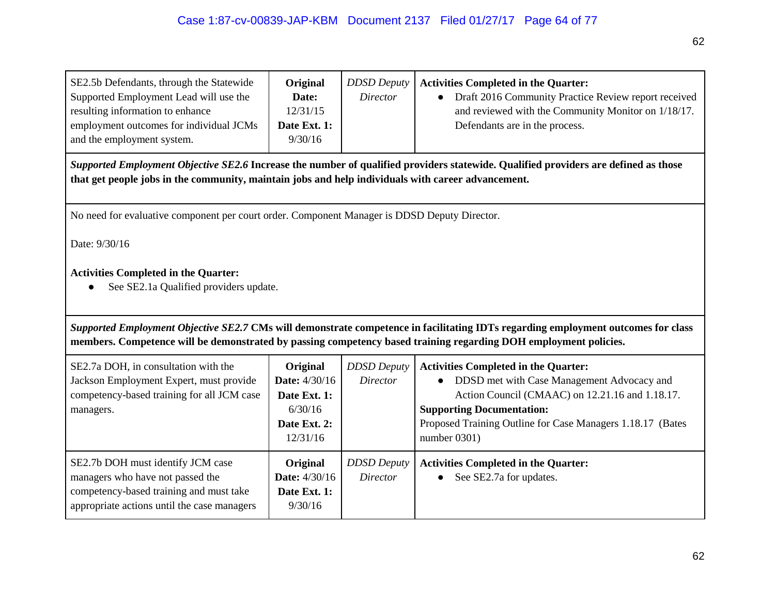| SE2.5b Defendants, through the Statewide | Original     |          | <b>DDSD Deputy</b>   <b>Activities Completed in the Quarter:</b> |
|------------------------------------------|--------------|----------|------------------------------------------------------------------|
| Supported Employment Lead will use the   | Date:        | Director | • Draft 2016 Community Practice Review report received           |
| resulting information to enhance         | 12/31/15     |          | and reviewed with the Community Monitor on 1/18/17.              |
| employment outcomes for individual JCMs  | Date Ext. 1: |          | Defendants are in the process.                                   |
| and the employment system.               | 9/30/16      |          |                                                                  |

*Supported Employment Objective SE2.6* **Increase the number of qualified providers statewide. Qualified providers are defined as those that get people jobs in the community, maintain jobs and help individuals with career advancement.**

No need for evaluative component per court order. Component Manager is DDSD Deputy Director.

Date: 9/30/16

## **Activities Completed in the Quarter:**

● See SE2.1a Qualified providers update.

*Supported Employment Objective SE2.7* **CMs will demonstrate competence in facilitating IDTs regarding employment outcomes for class members. Competence will be demonstrated by passing competency based training regarding DOH employment policies.**

| SE2.7a DOH, in consultation with the<br>Jackson Employment Expert, must provide<br>competency-based training for all JCM case<br>managers.                      | <b>Original</b><br><b>Date:</b> 4/30/16<br>Date Ext. 1:<br>6/30/16<br>Date Ext. 2:<br>12/31/16 | <b>DDSD</b> Deputy<br><i>Director</i> | <b>Activities Completed in the Quarter:</b><br>DDSD met with Case Management Advocacy and<br>Action Council (CMAAC) on 12.21.16 and 1.18.17.<br><b>Supporting Documentation:</b><br>Proposed Training Outline for Case Managers 1.18.17 (Bates<br>number $0301$ ) |
|-----------------------------------------------------------------------------------------------------------------------------------------------------------------|------------------------------------------------------------------------------------------------|---------------------------------------|-------------------------------------------------------------------------------------------------------------------------------------------------------------------------------------------------------------------------------------------------------------------|
| SE2.7b DOH must identify JCM case<br>managers who have not passed the<br>competency-based training and must take<br>appropriate actions until the case managers | Original<br><b>Date:</b> 4/30/16<br>Date Ext. 1:<br>9/30/16                                    | <b>DDSD</b> Deputy<br>Director        | <b>Activities Completed in the Quarter:</b><br>See SE2.7a for updates.                                                                                                                                                                                            |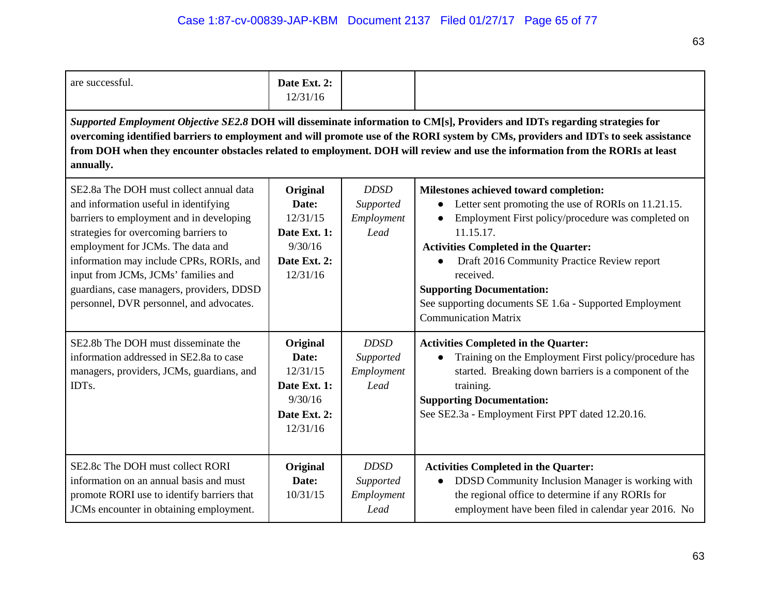| are successful.                                                                                                                                                                                                                                                                                                                                                                                                 | Date Ext. 2:<br>12/31/16                                                             |                                                |                                                                                                                                                                                                                                                                                                                                                                                                           |  |  |
|-----------------------------------------------------------------------------------------------------------------------------------------------------------------------------------------------------------------------------------------------------------------------------------------------------------------------------------------------------------------------------------------------------------------|--------------------------------------------------------------------------------------|------------------------------------------------|-----------------------------------------------------------------------------------------------------------------------------------------------------------------------------------------------------------------------------------------------------------------------------------------------------------------------------------------------------------------------------------------------------------|--|--|
| Supported Employment Objective SE2.8 DOH will disseminate information to CM[s], Providers and IDTs regarding strategies for<br>overcoming identified barriers to employment and will promote use of the RORI system by CMs, providers and IDTs to seek assistance<br>from DOH when they encounter obstacles related to employment. DOH will review and use the information from the RORIs at least<br>annually. |                                                                                      |                                                |                                                                                                                                                                                                                                                                                                                                                                                                           |  |  |
| SE2.8a The DOH must collect annual data<br>and information useful in identifying<br>barriers to employment and in developing<br>strategies for overcoming barriers to<br>employment for JCMs. The data and<br>information may include CPRs, RORIs, and<br>input from JCMs, JCMs' families and<br>guardians, case managers, providers, DDSD<br>personnel, DVR personnel, and advocates.                          | Original<br>Date:<br>12/31/15<br>Date Ext. 1:<br>9/30/16<br>Date Ext. 2:<br>12/31/16 | <b>DDSD</b><br>Supported<br>Employment<br>Lead | Milestones achieved toward completion:<br>Letter sent promoting the use of RORIs on 11.21.15.<br>Employment First policy/procedure was completed on<br>11.15.17.<br><b>Activities Completed in the Quarter:</b><br>Draft 2016 Community Practice Review report<br>received.<br><b>Supporting Documentation:</b><br>See supporting documents SE 1.6a - Supported Employment<br><b>Communication Matrix</b> |  |  |
| SE2.8b The DOH must disseminate the<br>information addressed in SE2.8a to case<br>managers, providers, JCMs, guardians, and<br>IDT <sub>s</sub> .                                                                                                                                                                                                                                                               | Original<br>Date:<br>12/31/15<br>Date Ext. 1:<br>9/30/16<br>Date Ext. 2:<br>12/31/16 | <b>DDSD</b><br>Supported<br>Employment<br>Lead | <b>Activities Completed in the Quarter:</b><br>Training on the Employment First policy/procedure has<br>started. Breaking down barriers is a component of the<br>training.<br><b>Supporting Documentation:</b><br>See SE2.3a - Employment First PPT dated 12.20.16.                                                                                                                                       |  |  |
| SE2.8c The DOH must collect RORI<br>information on an annual basis and must<br>promote RORI use to identify barriers that<br>JCMs encounter in obtaining employment.                                                                                                                                                                                                                                            | Original<br>Date:<br>10/31/15                                                        | <b>DDSD</b><br>Supported<br>Employment<br>Lead | <b>Activities Completed in the Quarter:</b><br>DDSD Community Inclusion Manager is working with<br>$\bullet$<br>the regional office to determine if any RORIs for<br>employment have been filed in calendar year 2016. No                                                                                                                                                                                 |  |  |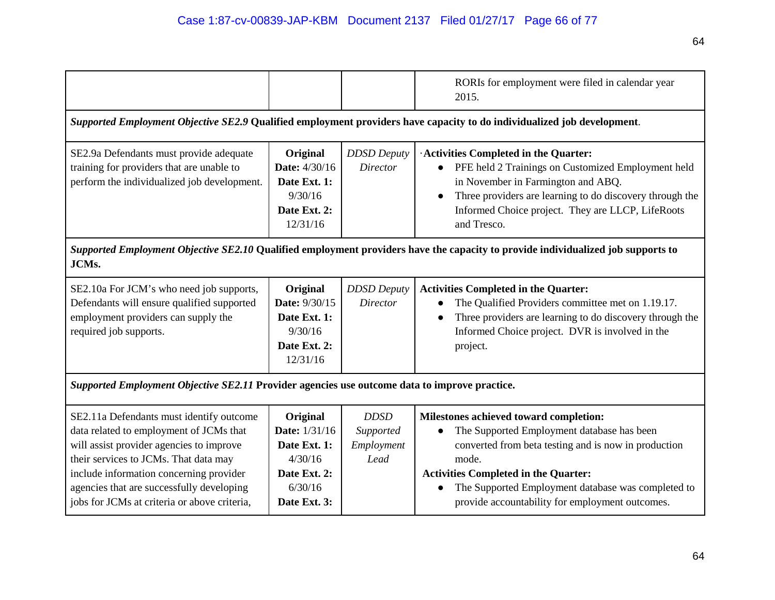|                                                                                                                                                                                                                                                                                                                  |                                                                                                 |                                                | RORIs for employment were filed in calendar year<br>2015.                                                                                                                                                                                                                                                     |  |  |
|------------------------------------------------------------------------------------------------------------------------------------------------------------------------------------------------------------------------------------------------------------------------------------------------------------------|-------------------------------------------------------------------------------------------------|------------------------------------------------|---------------------------------------------------------------------------------------------------------------------------------------------------------------------------------------------------------------------------------------------------------------------------------------------------------------|--|--|
| Supported Employment Objective SE2.9 Qualified employment providers have capacity to do individualized job development.                                                                                                                                                                                          |                                                                                                 |                                                |                                                                                                                                                                                                                                                                                                               |  |  |
| SE2.9a Defendants must provide adequate<br>training for providers that are unable to<br>perform the individualized job development.                                                                                                                                                                              | Original<br><b>Date:</b> 4/30/16<br>Date Ext. 1:<br>9/30/16<br>Date Ext. 2:<br>12/31/16         | <b>DDSD</b> Deputy<br><b>Director</b>          | · Activities Completed in the Quarter:<br>PFE held 2 Trainings on Customized Employment held<br>in November in Farmington and ABQ.<br>Three providers are learning to do discovery through the<br>Informed Choice project. They are LLCP, LifeRoots<br>and Tresco.                                            |  |  |
| Supported Employment Objective SE2.10 Qualified employment providers have the capacity to provide individualized job supports to<br>JCMs.                                                                                                                                                                        |                                                                                                 |                                                |                                                                                                                                                                                                                                                                                                               |  |  |
| SE2.10a For JCM's who need job supports,<br>Defendants will ensure qualified supported<br>employment providers can supply the<br>required job supports.                                                                                                                                                          | Original<br>Date: 9/30/15<br>Date Ext. 1:<br>9/30/16<br>Date Ext. 2:<br>12/31/16                | <b>DDSD</b> Deputy<br><b>Director</b>          | <b>Activities Completed in the Quarter:</b><br>The Qualified Providers committee met on 1.19.17.<br>Three providers are learning to do discovery through the<br>Informed Choice project. DVR is involved in the<br>project.                                                                                   |  |  |
| Supported Employment Objective SE2.11 Provider agencies use outcome data to improve practice.                                                                                                                                                                                                                    |                                                                                                 |                                                |                                                                                                                                                                                                                                                                                                               |  |  |
| SE2.11a Defendants must identify outcome<br>data related to employment of JCMs that<br>will assist provider agencies to improve<br>their services to JCMs. That data may<br>include information concerning provider<br>agencies that are successfully developing<br>jobs for JCMs at criteria or above criteria, | Original<br>Date: 1/31/16<br>Date Ext. 1:<br>4/30/16<br>Date Ext. 2:<br>6/30/16<br>Date Ext. 3: | <b>DDSD</b><br>Supported<br>Employment<br>Lead | Milestones achieved toward completion:<br>The Supported Employment database has been<br>converted from beta testing and is now in production<br>mode.<br><b>Activities Completed in the Quarter:</b><br>The Supported Employment database was completed to<br>provide accountability for employment outcomes. |  |  |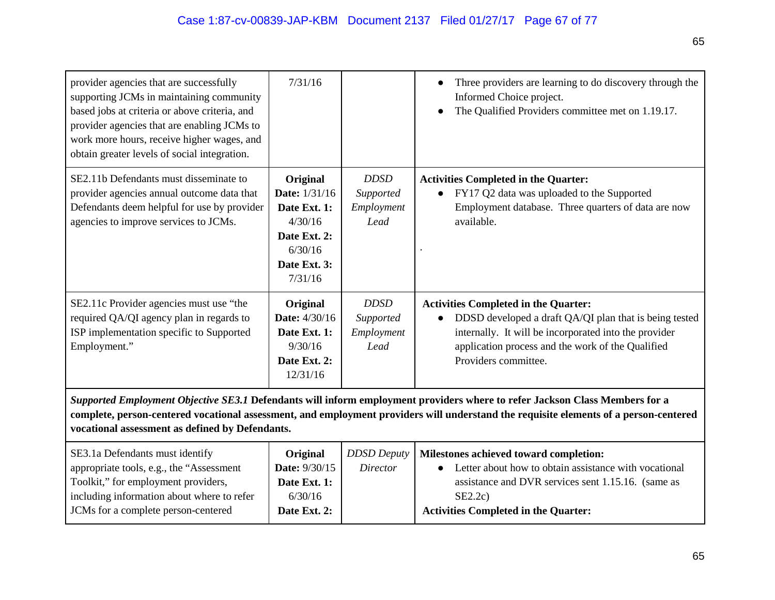| provider agencies that are successfully<br>supporting JCMs in maintaining community<br>based jobs at criteria or above criteria, and<br>provider agencies that are enabling JCMs to<br>work more hours, receive higher wages, and<br>obtain greater levels of social integration.                                       | 7/31/16                                                                                                           |                                                | Three providers are learning to do discovery through the<br>Informed Choice project.<br>The Qualified Providers committee met on 1.19.17.                                                                                                   |  |
|-------------------------------------------------------------------------------------------------------------------------------------------------------------------------------------------------------------------------------------------------------------------------------------------------------------------------|-------------------------------------------------------------------------------------------------------------------|------------------------------------------------|---------------------------------------------------------------------------------------------------------------------------------------------------------------------------------------------------------------------------------------------|--|
| SE2.11b Defendants must disseminate to<br>provider agencies annual outcome data that<br>Defendants deem helpful for use by provider<br>agencies to improve services to JCMs.                                                                                                                                            | Original<br><b>Date:</b> 1/31/16<br>Date Ext. 1:<br>4/30/16<br>Date Ext. 2:<br>6/30/16<br>Date Ext. 3:<br>7/31/16 | <b>DDSD</b><br>Supported<br>Employment<br>Lead | <b>Activities Completed in the Quarter:</b><br>FY17 Q2 data was uploaded to the Supported<br>Employment database. Three quarters of data are now<br>available.                                                                              |  |
| SE2.11c Provider agencies must use "the<br>required QA/QI agency plan in regards to<br>ISP implementation specific to Supported<br>Employment."                                                                                                                                                                         | Original<br><b>Date:</b> 4/30/16<br>Date Ext. 1:<br>9/30/16<br>Date Ext. 2:<br>12/31/16                           | <b>DDSD</b><br>Supported<br>Employment<br>Lead | <b>Activities Completed in the Quarter:</b><br>DDSD developed a draft QA/QI plan that is being tested<br>internally. It will be incorporated into the provider<br>application process and the work of the Qualified<br>Providers committee. |  |
| Supported Employment Objective SE3.1 Defendants will inform employment providers where to refer Jackson Class Members for a<br>complete, person-centered vocational assessment, and employment providers will understand the requisite elements of a person-centered<br>vocational assessment as defined by Defendants. |                                                                                                                   |                                                |                                                                                                                                                                                                                                             |  |
|                                                                                                                                                                                                                                                                                                                         |                                                                                                                   |                                                |                                                                                                                                                                                                                                             |  |

| SE3.1a Defendants must identify            | Original             |          | <b>DDSD Deputy</b>   Milestones achieved toward completion: |
|--------------------------------------------|----------------------|----------|-------------------------------------------------------------|
| appropriate tools, e.g., the "Assessment"  | <b>Date:</b> 9/30/15 | Director | Letter about how to obtain assistance with vocational       |
| Toolkit," for employment providers,        | Date Ext. 1:         |          | assistance and DVR services sent 1.15.16. (same as          |
| including information about where to refer | 6/30/16              |          | SE2.2c                                                      |
| JCMs for a complete person-centered        | Date Ext. 2:         |          | <b>Activities Completed in the Quarter:</b>                 |
|                                            |                      |          |                                                             |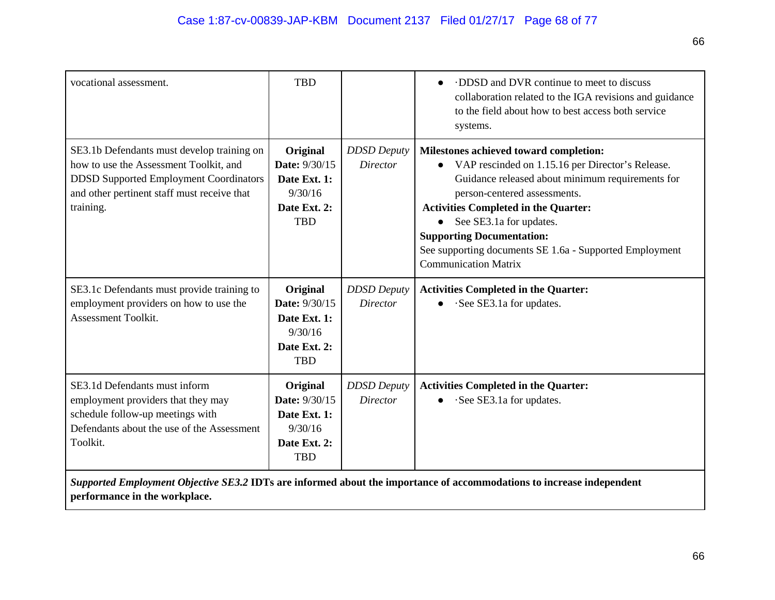| vocational assessment.                                                                                                                                                                            | <b>TBD</b>                                                                         |                                       | DDSD and DVR continue to meet to discuss<br>$\bullet$<br>collaboration related to the IGA revisions and guidance<br>to the field about how to best access both service<br>systems.                                                                                                                                                                                                     |
|---------------------------------------------------------------------------------------------------------------------------------------------------------------------------------------------------|------------------------------------------------------------------------------------|---------------------------------------|----------------------------------------------------------------------------------------------------------------------------------------------------------------------------------------------------------------------------------------------------------------------------------------------------------------------------------------------------------------------------------------|
| SE3.1b Defendants must develop training on<br>how to use the Assessment Toolkit, and<br><b>DDSD Supported Employment Coordinators</b><br>and other pertinent staff must receive that<br>training. | Original<br>Date: 9/30/15<br>Date Ext. 1:<br>9/30/16<br>Date Ext. 2:<br><b>TBD</b> | <b>DDSD</b> Deputy<br><b>Director</b> | Milestones achieved toward completion:<br>VAP rescinded on 1.15.16 per Director's Release.<br>Guidance released about minimum requirements for<br>person-centered assessments.<br><b>Activities Completed in the Quarter:</b><br>See SE3.1a for updates.<br><b>Supporting Documentation:</b><br>See supporting documents SE 1.6a - Supported Employment<br><b>Communication Matrix</b> |
| SE3.1c Defendants must provide training to<br>employment providers on how to use the<br><b>Assessment Toolkit.</b>                                                                                | Original<br>Date: 9/30/15<br>Date Ext. 1:<br>9/30/16<br>Date Ext. 2:<br><b>TBD</b> | <b>DDSD</b> Deputy<br><i>Director</i> | <b>Activities Completed in the Quarter:</b><br>·See SE3.1a for updates.                                                                                                                                                                                                                                                                                                                |
| SE3.1d Defendants must inform<br>employment providers that they may<br>schedule follow-up meetings with<br>Defendants about the use of the Assessment<br>Toolkit.                                 | Original<br>Date: 9/30/15<br>Date Ext. 1:<br>9/30/16<br>Date Ext. 2:<br><b>TBD</b> | <b>DDSD Deputy</b><br><b>Director</b> | <b>Activities Completed in the Quarter:</b><br>·See SE3.1a for updates.                                                                                                                                                                                                                                                                                                                |

*Supported Employment Objective SE3.2* **IDTs are informed about the importance of accommodations to increase independent performance in the workplace.**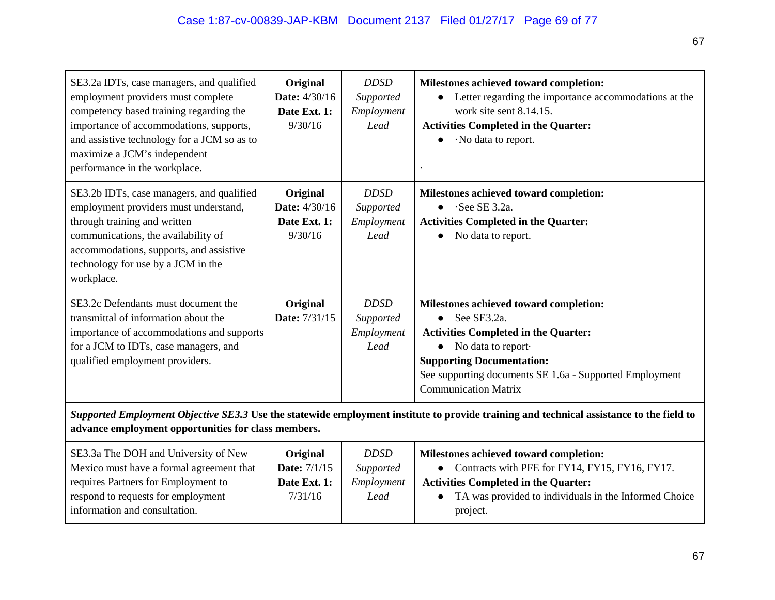| SE3.2a IDTs, case managers, and qualified<br>employment providers must complete<br>competency based training regarding the<br>importance of accommodations, supports,<br>and assistive technology for a JCM so as to<br>maximize a JCM's independent<br>performance in the workplace. | Original<br><b>Date:</b> 4/30/16<br>Date Ext. 1:<br>9/30/16 | <b>DDSD</b><br>Supported<br>Employment<br>Lead | Milestones achieved toward completion:<br>Letter regarding the importance accommodations at the<br>work site sent 8.14.15.<br><b>Activities Completed in the Quarter:</b><br>·No data to report.                                                                      |
|---------------------------------------------------------------------------------------------------------------------------------------------------------------------------------------------------------------------------------------------------------------------------------------|-------------------------------------------------------------|------------------------------------------------|-----------------------------------------------------------------------------------------------------------------------------------------------------------------------------------------------------------------------------------------------------------------------|
| SE3.2b IDTs, case managers, and qualified<br>employment providers must understand,<br>through training and written<br>communications, the availability of<br>accommodations, supports, and assistive<br>technology for use by a JCM in the<br>workplace.                              | Original<br><b>Date:</b> 4/30/16<br>Date Ext. 1:<br>9/30/16 | <b>DDSD</b><br>Supported<br>Employment<br>Lead | Milestones achieved toward completion:<br>$\bullet$ See SE 3.2a.<br><b>Activities Completed in the Quarter:</b><br>No data to report.                                                                                                                                 |
| SE3.2c Defendants must document the<br>transmittal of information about the<br>importance of accommodations and supports<br>for a JCM to IDTs, case managers, and<br>qualified employment providers.                                                                                  | Original<br><b>Date:</b> 7/31/15                            | <b>DDSD</b><br>Supported<br>Employment<br>Lead | Milestones achieved toward completion:<br>See SE3.2a.<br>$\bullet$<br><b>Activities Completed in the Quarter:</b><br>No data to report-<br><b>Supporting Documentation:</b><br>See supporting documents SE 1.6a - Supported Employment<br><b>Communication Matrix</b> |
| Supported Employment Objective SE3.3 Use the statewide employment institute to provide training and technical assistance to the field to                                                                                                                                              |                                                             |                                                |                                                                                                                                                                                                                                                                       |

## **advance employment opportunities for class members.**

| SE3.3a The DOH and University of New     | Original            | <b>DDSD</b> | <b>Milestones achieved toward completion:</b>           |
|------------------------------------------|---------------------|-------------|---------------------------------------------------------|
| Mexico must have a formal agreement that | <b>Date:</b> 7/1/15 | Supported   | • Contracts with PFE for FY14, FY15, FY16, FY17.        |
| requires Partners for Employment to      | Date Ext. 1:        | Employment  | <b>Activities Completed in the Quarter:</b>             |
| respond to requests for employment       | 7/31/16             | Lead        | • TA was provided to individuals in the Informed Choice |
| information and consultation.            |                     |             | project.                                                |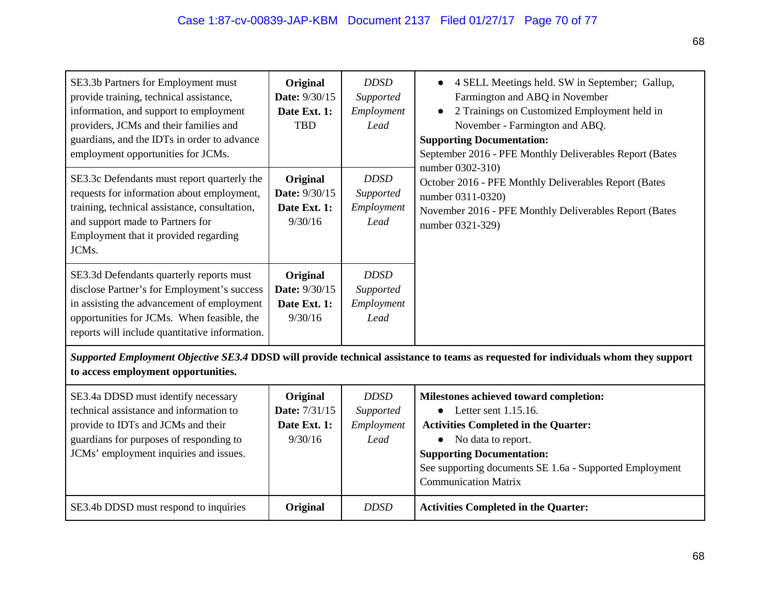| SE3.3b Partners for Employment must<br>provide training, technical assistance,<br>information, and support to employment<br>providers, JCMs and their families and<br>guardians, and the IDTs in order to advance<br>employment opportunities for JCMs. | Original<br>Date: 9/30/15<br>Date Ext. 1:<br><b>TBD</b> | <b>DDSD</b><br>Supported<br>Employment<br>Lead | 4 SELL Meetings held. SW in September; Gallup,<br>Farmington and ABQ in November<br>2 Trainings on Customized Employment held in<br>$\bullet$<br>November - Farmington and ABQ.<br><b>Supporting Documentation:</b><br>September 2016 - PFE Monthly Deliverables Report (Bates<br>number 0302-310) |  |
|---------------------------------------------------------------------------------------------------------------------------------------------------------------------------------------------------------------------------------------------------------|---------------------------------------------------------|------------------------------------------------|----------------------------------------------------------------------------------------------------------------------------------------------------------------------------------------------------------------------------------------------------------------------------------------------------|--|
| SE3.3c Defendants must report quarterly the<br>requests for information about employment,<br>training, technical assistance, consultation,<br>and support made to Partners for<br>Employment that it provided regarding<br>JCMs.                        | Original<br>Date: 9/30/15<br>Date Ext. 1:<br>9/30/16    | <b>DDSD</b><br>Supported<br>Employment<br>Lead | October 2016 - PFE Monthly Deliverables Report (Bates<br>number 0311-0320)<br>November 2016 - PFE Monthly Deliverables Report (Bates<br>number 0321-329)                                                                                                                                           |  |
| SE3.3d Defendants quarterly reports must<br>disclose Partner's for Employment's success<br>in assisting the advancement of employment<br>opportunities for JCMs. When feasible, the<br>reports will include quantitative information.                   | Original<br>Date: 9/30/15<br>Date Ext. 1:<br>9/30/16    | <b>DDSD</b><br>Supported<br>Employment<br>Lead |                                                                                                                                                                                                                                                                                                    |  |
| Supported Employment Objective SE3.4 DDSD will provide technical assistance to teams as requested for individuals whom they support<br>to access employment opportunities.                                                                              |                                                         |                                                |                                                                                                                                                                                                                                                                                                    |  |
| SE3.4a DDSD must identify necessary<br>technical assistance and information to<br>provide to IDTs and JCMs and their<br>guardians for purposes of responding to<br>JCMs' employment inquiries and issues.                                               | Original<br>Date: 7/31/15<br>Date Ext. 1:<br>9/30/16    | <b>DDSD</b><br>Supported<br>Employment<br>Lead | Milestones achieved toward completion:<br>Letter sent 1.15.16.<br><b>Activities Completed in the Quarter:</b><br>No data to report.<br><b>Supporting Documentation:</b><br>See supporting documents SE 1.6a - Supported Employment<br><b>Communication Matrix</b>                                  |  |
| SE3.4b DDSD must respond to inquiries                                                                                                                                                                                                                   | Original                                                | <b>DDSD</b>                                    | <b>Activities Completed in the Quarter:</b>                                                                                                                                                                                                                                                        |  |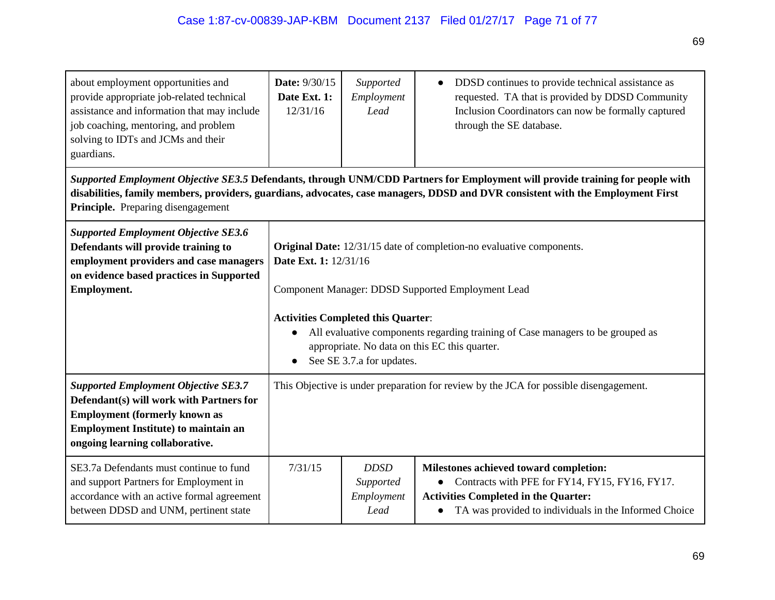| about employment opportunities and<br>provide appropriate job-related technical<br>assistance and information that may include<br>job coaching, mentoring, and problem<br>solving to IDTs and JCMs and their<br>guardians.                                                                              | <b>Date: 9/30/15</b><br>Date Ext. 1:<br>12/31/16                                                                                                                                                                                                                                                                                                                             | Supported<br>Employment<br>Lead                | DDSD continues to provide technical assistance as<br>requested. TA that is provided by DDSD Community<br>Inclusion Coordinators can now be formally captured<br>through the SE database.         |  |
|---------------------------------------------------------------------------------------------------------------------------------------------------------------------------------------------------------------------------------------------------------------------------------------------------------|------------------------------------------------------------------------------------------------------------------------------------------------------------------------------------------------------------------------------------------------------------------------------------------------------------------------------------------------------------------------------|------------------------------------------------|--------------------------------------------------------------------------------------------------------------------------------------------------------------------------------------------------|--|
| Supported Employment Objective SE3.5 Defendants, through UNM/CDD Partners for Employment will provide training for people with<br>disabilities, family members, providers, guardians, advocates, case managers, DDSD and DVR consistent with the Employment First<br>Principle. Preparing disengagement |                                                                                                                                                                                                                                                                                                                                                                              |                                                |                                                                                                                                                                                                  |  |
| <b>Supported Employment Objective SE3.6</b><br>Defendants will provide training to<br>employment providers and case managers<br>on evidence based practices in Supported<br>Employment.                                                                                                                 | Original Date: 12/31/15 date of completion-no evaluative components.<br>Date Ext. 1: 12/31/16<br>Component Manager: DDSD Supported Employment Lead<br><b>Activities Completed this Quarter:</b><br>All evaluative components regarding training of Case managers to be grouped as<br>$\bullet$<br>appropriate. No data on this EC this quarter.<br>See SE 3.7.a for updates. |                                                |                                                                                                                                                                                                  |  |
| <b>Supported Employment Objective SE3.7</b><br>Defendant(s) will work with Partners for<br><b>Employment (formerly known as</b><br><b>Employment Institute) to maintain an</b><br>ongoing learning collaborative.                                                                                       | This Objective is under preparation for review by the JCA for possible disengagement.                                                                                                                                                                                                                                                                                        |                                                |                                                                                                                                                                                                  |  |
| SE3.7a Defendants must continue to fund<br>and support Partners for Employment in<br>accordance with an active formal agreement<br>between DDSD and UNM, pertinent state                                                                                                                                | 7/31/15                                                                                                                                                                                                                                                                                                                                                                      | <b>DDSD</b><br>Supported<br>Employment<br>Lead | Milestones achieved toward completion:<br>Contracts with PFE for FY14, FY15, FY16, FY17.<br><b>Activities Completed in the Quarter:</b><br>TA was provided to individuals in the Informed Choice |  |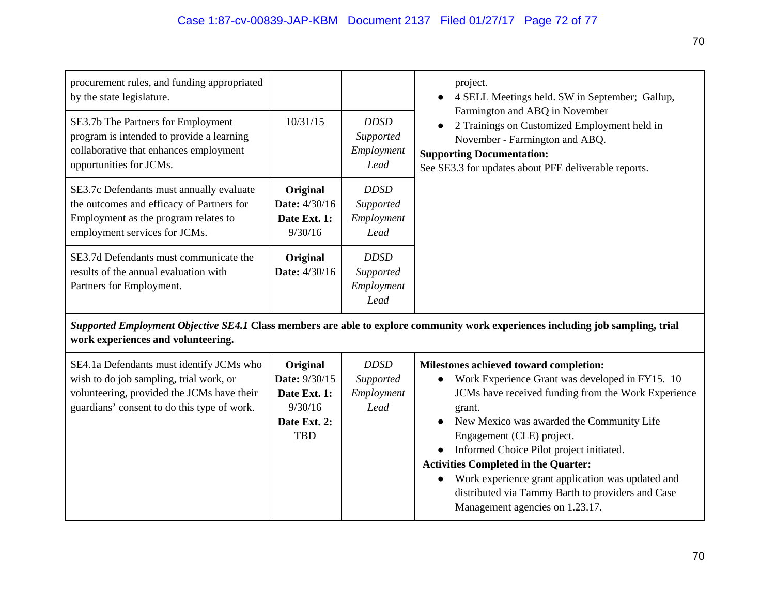| procurement rules, and funding appropriated<br>by the state legislature.<br>SE3.7b The Partners for Employment<br>program is intended to provide a learning<br>collaborative that enhances employment | 10/31/15                                                                           | <b>DDSD</b><br>Supported<br>Employment         | project.<br>4 SELL Meetings held. SW in September; Gallup,<br>$\bullet$<br>Farmington and ABQ in November<br>2 Trainings on Customized Employment held in<br>November - Farmington and ABQ.<br><b>Supporting Documentation:</b>                                                                                                                                                                                                                                                           |
|-------------------------------------------------------------------------------------------------------------------------------------------------------------------------------------------------------|------------------------------------------------------------------------------------|------------------------------------------------|-------------------------------------------------------------------------------------------------------------------------------------------------------------------------------------------------------------------------------------------------------------------------------------------------------------------------------------------------------------------------------------------------------------------------------------------------------------------------------------------|
| opportunities for JCMs.                                                                                                                                                                               |                                                                                    | Lead                                           | See SE3.3 for updates about PFE deliverable reports.                                                                                                                                                                                                                                                                                                                                                                                                                                      |
| SE3.7c Defendants must annually evaluate<br>the outcomes and efficacy of Partners for<br>Employment as the program relates to<br>employment services for JCMs.                                        | Original<br>Date: 4/30/16<br>Date Ext. 1:<br>9/30/16                               | <b>DDSD</b><br>Supported<br>Employment<br>Lead |                                                                                                                                                                                                                                                                                                                                                                                                                                                                                           |
| SE3.7d Defendants must communicate the<br>results of the annual evaluation with<br>Partners for Employment.                                                                                           | Original<br><b>Date:</b> 4/30/16                                                   | <b>DDSD</b><br>Supported<br>Employment<br>Lead |                                                                                                                                                                                                                                                                                                                                                                                                                                                                                           |
| Supported Employment Objective SE4.1 Class members are able to explore community work experiences including job sampling, trial<br>work experiences and volunteering.                                 |                                                                                    |                                                |                                                                                                                                                                                                                                                                                                                                                                                                                                                                                           |
| SE4.1a Defendants must identify JCMs who<br>wish to do job sampling, trial work, or<br>volunteering, provided the JCMs have their<br>guardians' consent to do this type of work.                      | Original<br>Date: 9/30/15<br>Date Ext. 1:<br>9/30/16<br>Date Ext. 2:<br><b>TBD</b> | <b>DDSD</b><br>Supported<br>Employment<br>Lead | Milestones achieved toward completion:<br>Work Experience Grant was developed in FY15. 10<br>JCMs have received funding from the Work Experience<br>grant.<br>New Mexico was awarded the Community Life<br>Engagement (CLE) project.<br>Informed Choice Pilot project initiated.<br><b>Activities Completed in the Quarter:</b><br>Work experience grant application was updated and<br>$\bullet$<br>distributed via Tammy Barth to providers and Case<br>Management agencies on 1.23.17. |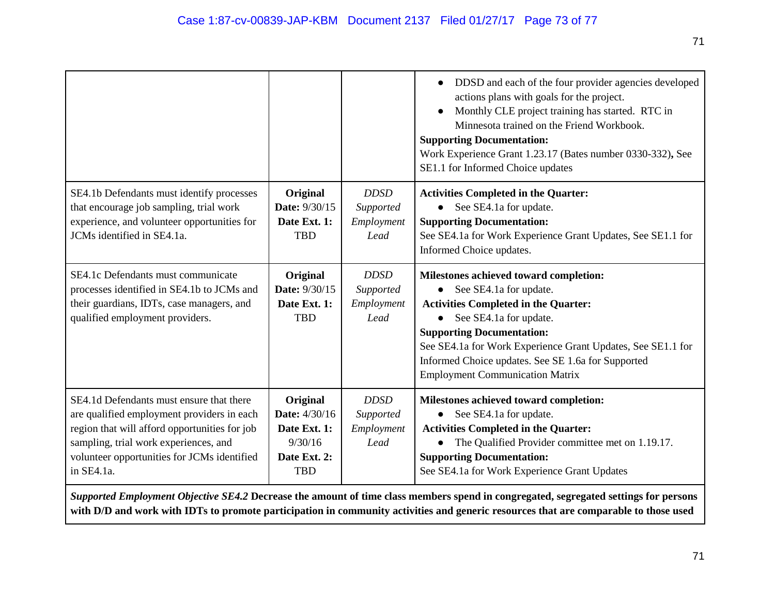|                                                                                                                                                                                                                                               |                                                                                           |                                                | DDSD and each of the four provider agencies developed<br>actions plans with goals for the project.<br>Monthly CLE project training has started. RTC in<br>Minnesota trained on the Friend Workbook.<br><b>Supporting Documentation:</b><br>Work Experience Grant 1.23.17 (Bates number 0330-332), See<br>SE1.1 for Informed Choice updates                |
|-----------------------------------------------------------------------------------------------------------------------------------------------------------------------------------------------------------------------------------------------|-------------------------------------------------------------------------------------------|------------------------------------------------|-----------------------------------------------------------------------------------------------------------------------------------------------------------------------------------------------------------------------------------------------------------------------------------------------------------------------------------------------------------|
| SE4.1b Defendants must identify processes<br>that encourage job sampling, trial work<br>experience, and volunteer opportunities for<br>JCMs identified in SE4.1a.                                                                             | Original<br>Date: 9/30/15<br>Date Ext. 1:<br><b>TBD</b>                                   | <b>DDSD</b><br>Supported<br>Employment<br>Lead | <b>Activities Completed in the Quarter:</b><br>See SE4.1a for update.<br><b>Supporting Documentation:</b><br>See SE4.1a for Work Experience Grant Updates, See SE1.1 for<br>Informed Choice updates.                                                                                                                                                      |
| SE4.1c Defendants must communicate<br>processes identified in SE4.1b to JCMs and<br>their guardians, IDTs, case managers, and<br>qualified employment providers.                                                                              | Original<br>Date: 9/30/15<br>Date Ext. 1:<br><b>TBD</b>                                   | <b>DDSD</b><br>Supported<br>Employment<br>Lead | Milestones achieved toward completion:<br>See SE4.1a for update.<br>$\bullet$<br><b>Activities Completed in the Quarter:</b><br>See SE4.1a for update.<br><b>Supporting Documentation:</b><br>See SE4.1a for Work Experience Grant Updates, See SE1.1 for<br>Informed Choice updates. See SE 1.6a for Supported<br><b>Employment Communication Matrix</b> |
| SE4.1d Defendants must ensure that there<br>are qualified employment providers in each<br>region that will afford opportunities for job<br>sampling, trial work experiences, and<br>volunteer opportunities for JCMs identified<br>in SE4.1a. | Original<br><b>Date:</b> 4/30/16<br>Date Ext. 1:<br>9/30/16<br>Date Ext. 2:<br><b>TBD</b> | <b>DDSD</b><br>Supported<br>Employment<br>Lead | Milestones achieved toward completion:<br>See SE4.1a for update.<br><b>Activities Completed in the Quarter:</b><br>The Qualified Provider committee met on 1.19.17.<br><b>Supporting Documentation:</b><br>See SE4.1a for Work Experience Grant Updates                                                                                                   |

*Supported Employment Objective SE4.2* **Decrease the amount of time class members spend in congregated, segregated settings for persons with D/D and work with IDTs to promote participation in community activities and generic resources that are comparable to those used**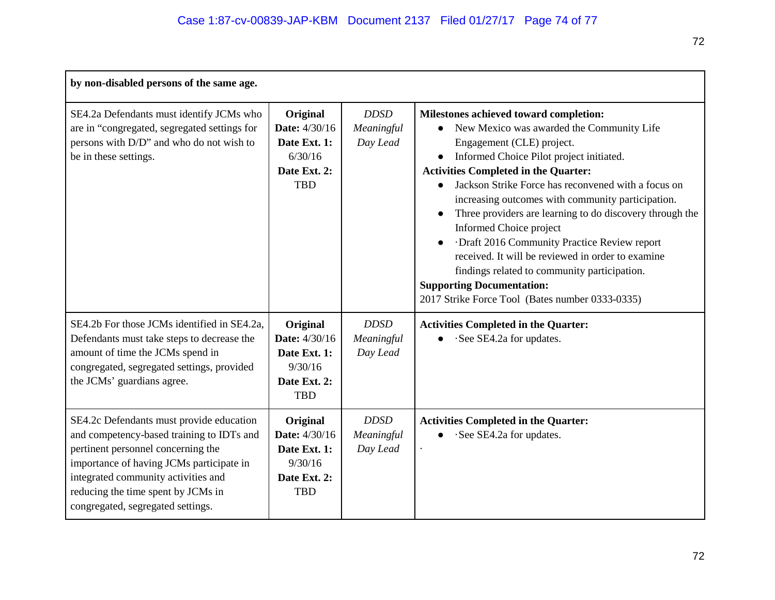| by non-disabled persons of the same age.                                                                                                                                                                                                                                                  |                                                                                    |                                       |                                                                                                                                                                                                                                                                                                                                                                                                                                                                                                                                                                                                                                                                        |  |
|-------------------------------------------------------------------------------------------------------------------------------------------------------------------------------------------------------------------------------------------------------------------------------------------|------------------------------------------------------------------------------------|---------------------------------------|------------------------------------------------------------------------------------------------------------------------------------------------------------------------------------------------------------------------------------------------------------------------------------------------------------------------------------------------------------------------------------------------------------------------------------------------------------------------------------------------------------------------------------------------------------------------------------------------------------------------------------------------------------------------|--|
| SE4.2a Defendants must identify JCMs who<br>are in "congregated, segregated settings for<br>persons with D/D" and who do not wish to<br>be in these settings.                                                                                                                             | Original<br>Date: 4/30/16<br>Date Ext. 1:<br>6/30/16<br>Date Ext. 2:<br><b>TBD</b> | <b>DDSD</b><br>Meaningful<br>Day Lead | Milestones achieved toward completion:<br>New Mexico was awarded the Community Life<br>$\bullet$<br>Engagement (CLE) project.<br>Informed Choice Pilot project initiated.<br><b>Activities Completed in the Quarter:</b><br>Jackson Strike Force has reconvened with a focus on<br>increasing outcomes with community participation.<br>Three providers are learning to do discovery through the<br>Informed Choice project<br>Draft 2016 Community Practice Review report<br>received. It will be reviewed in order to examine<br>findings related to community participation.<br><b>Supporting Documentation:</b><br>2017 Strike Force Tool (Bates number 0333-0335) |  |
| SE4.2b For those JCMs identified in SE4.2a,<br>Defendants must take steps to decrease the<br>amount of time the JCMs spend in<br>congregated, segregated settings, provided<br>the JCMs' guardians agree.                                                                                 | Original<br>Date: 4/30/16<br>Date Ext. 1:<br>9/30/16<br>Date Ext. 2:<br><b>TBD</b> | <b>DDSD</b><br>Meaningful<br>Day Lead | <b>Activities Completed in the Quarter:</b><br>·See SE4.2a for updates.                                                                                                                                                                                                                                                                                                                                                                                                                                                                                                                                                                                                |  |
| SE4.2c Defendants must provide education<br>and competency-based training to IDTs and<br>pertinent personnel concerning the<br>importance of having JCMs participate in<br>integrated community activities and<br>reducing the time spent by JCMs in<br>congregated, segregated settings. | Original<br>Date: 4/30/16<br>Date Ext. 1:<br>9/30/16<br>Date Ext. 2:<br><b>TBD</b> | <b>DDSD</b><br>Meaningful<br>Day Lead | <b>Activities Completed in the Quarter:</b><br>See SE4.2a for updates.                                                                                                                                                                                                                                                                                                                                                                                                                                                                                                                                                                                                 |  |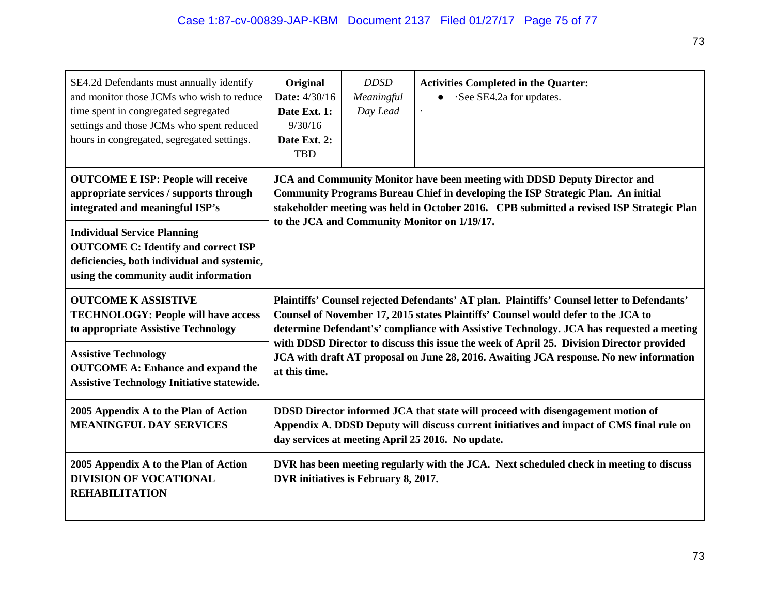| SE4.2d Defendants must annually identify<br>and monitor those JCMs who wish to reduce<br>time spent in congregated segregated<br>settings and those JCMs who spent reduced<br>hours in congregated, segregated settings. | Original<br>Date: 4/30/16<br>Date Ext. 1:<br>9/30/16<br>Date Ext. 2:<br><b>TBD</b>                                                                                                                                                                                           | <b>DDSD</b><br>Meaningful<br>Day Lead | <b>Activities Completed in the Quarter:</b><br>See SE4.2a for updates.<br>$\bullet$                                                                                                                                              |  |  |
|--------------------------------------------------------------------------------------------------------------------------------------------------------------------------------------------------------------------------|------------------------------------------------------------------------------------------------------------------------------------------------------------------------------------------------------------------------------------------------------------------------------|---------------------------------------|----------------------------------------------------------------------------------------------------------------------------------------------------------------------------------------------------------------------------------|--|--|
| <b>OUTCOME E ISP: People will receive</b><br>appropriate services / supports through<br>integrated and meaningful ISP's                                                                                                  | <b>JCA and Community Monitor have been meeting with DDSD Deputy Director and</b><br>Community Programs Bureau Chief in developing the ISP Strategic Plan. An initial<br>stakeholder meeting was held in October 2016. CPB submitted a revised ISP Strategic Plan             |                                       |                                                                                                                                                                                                                                  |  |  |
| <b>Individual Service Planning</b><br><b>OUTCOME C: Identify and correct ISP</b><br>deficiencies, both individual and systemic,<br>using the community audit information                                                 | to the JCA and Community Monitor on 1/19/17.                                                                                                                                                                                                                                 |                                       |                                                                                                                                                                                                                                  |  |  |
| <b>OUTCOME K ASSISTIVE</b><br><b>TECHNOLOGY: People will have access</b><br>to appropriate Assistive Technology                                                                                                          | Plaintiffs' Counsel rejected Defendants' AT plan. Plaintiffs' Counsel letter to Defendants'<br>Counsel of November 17, 2015 states Plaintiffs' Counsel would defer to the JCA to<br>determine Defendant's' compliance with Assistive Technology. JCA has requested a meeting |                                       |                                                                                                                                                                                                                                  |  |  |
| <b>Assistive Technology</b><br><b>OUTCOME A: Enhance and expand the</b><br><b>Assistive Technology Initiative statewide.</b>                                                                                             | with DDSD Director to discuss this issue the week of April 25. Division Director provided<br>JCA with draft AT proposal on June 28, 2016. Awaiting JCA response. No new information<br>at this time.                                                                         |                                       |                                                                                                                                                                                                                                  |  |  |
| 2005 Appendix A to the Plan of Action<br><b>MEANINGFUL DAY SERVICES</b>                                                                                                                                                  |                                                                                                                                                                                                                                                                              |                                       | DDSD Director informed JCA that state will proceed with disengagement motion of<br>Appendix A. DDSD Deputy will discuss current initiatives and impact of CMS final rule on<br>day services at meeting April 25 2016. No update. |  |  |
| 2005 Appendix A to the Plan of Action<br><b>DIVISION OF VOCATIONAL</b><br><b>REHABILITATION</b>                                                                                                                          |                                                                                                                                                                                                                                                                              | DVR initiatives is February 8, 2017.  | DVR has been meeting regularly with the JCA. Next scheduled check in meeting to discuss                                                                                                                                          |  |  |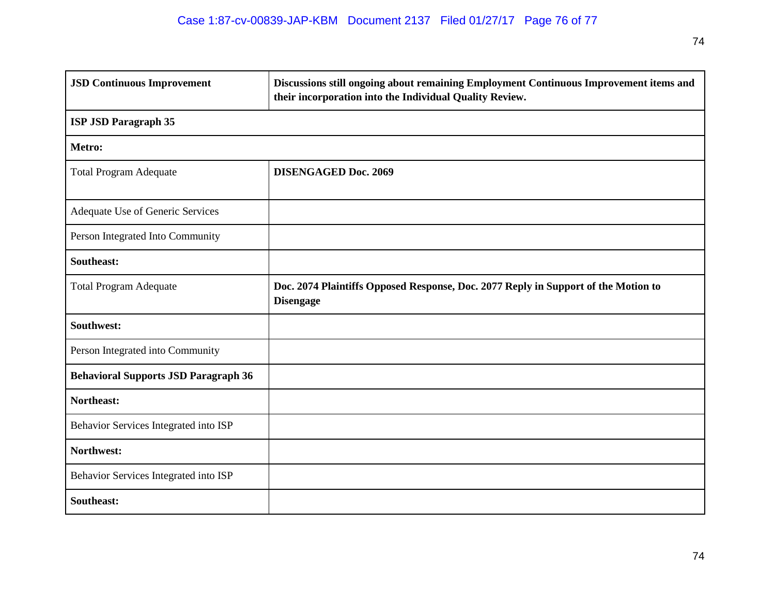| <b>JSD Continuous Improvement</b>           | Discussions still ongoing about remaining Employment Continuous Improvement items and<br>their incorporation into the Individual Quality Review. |  |  |  |
|---------------------------------------------|--------------------------------------------------------------------------------------------------------------------------------------------------|--|--|--|
| <b>ISP JSD Paragraph 35</b>                 |                                                                                                                                                  |  |  |  |
| Metro:                                      |                                                                                                                                                  |  |  |  |
| <b>Total Program Adequate</b>               | <b>DISENGAGED Doc. 2069</b>                                                                                                                      |  |  |  |
| Adequate Use of Generic Services            |                                                                                                                                                  |  |  |  |
| Person Integrated Into Community            |                                                                                                                                                  |  |  |  |
| Southeast:                                  |                                                                                                                                                  |  |  |  |
| <b>Total Program Adequate</b>               | Doc. 2074 Plaintiffs Opposed Response, Doc. 2077 Reply in Support of the Motion to<br><b>Disengage</b>                                           |  |  |  |
| Southwest:                                  |                                                                                                                                                  |  |  |  |
| Person Integrated into Community            |                                                                                                                                                  |  |  |  |
| <b>Behavioral Supports JSD Paragraph 36</b> |                                                                                                                                                  |  |  |  |
| Northeast:                                  |                                                                                                                                                  |  |  |  |
| Behavior Services Integrated into ISP       |                                                                                                                                                  |  |  |  |
| Northwest:                                  |                                                                                                                                                  |  |  |  |
| Behavior Services Integrated into ISP       |                                                                                                                                                  |  |  |  |
| Southeast:                                  |                                                                                                                                                  |  |  |  |

74